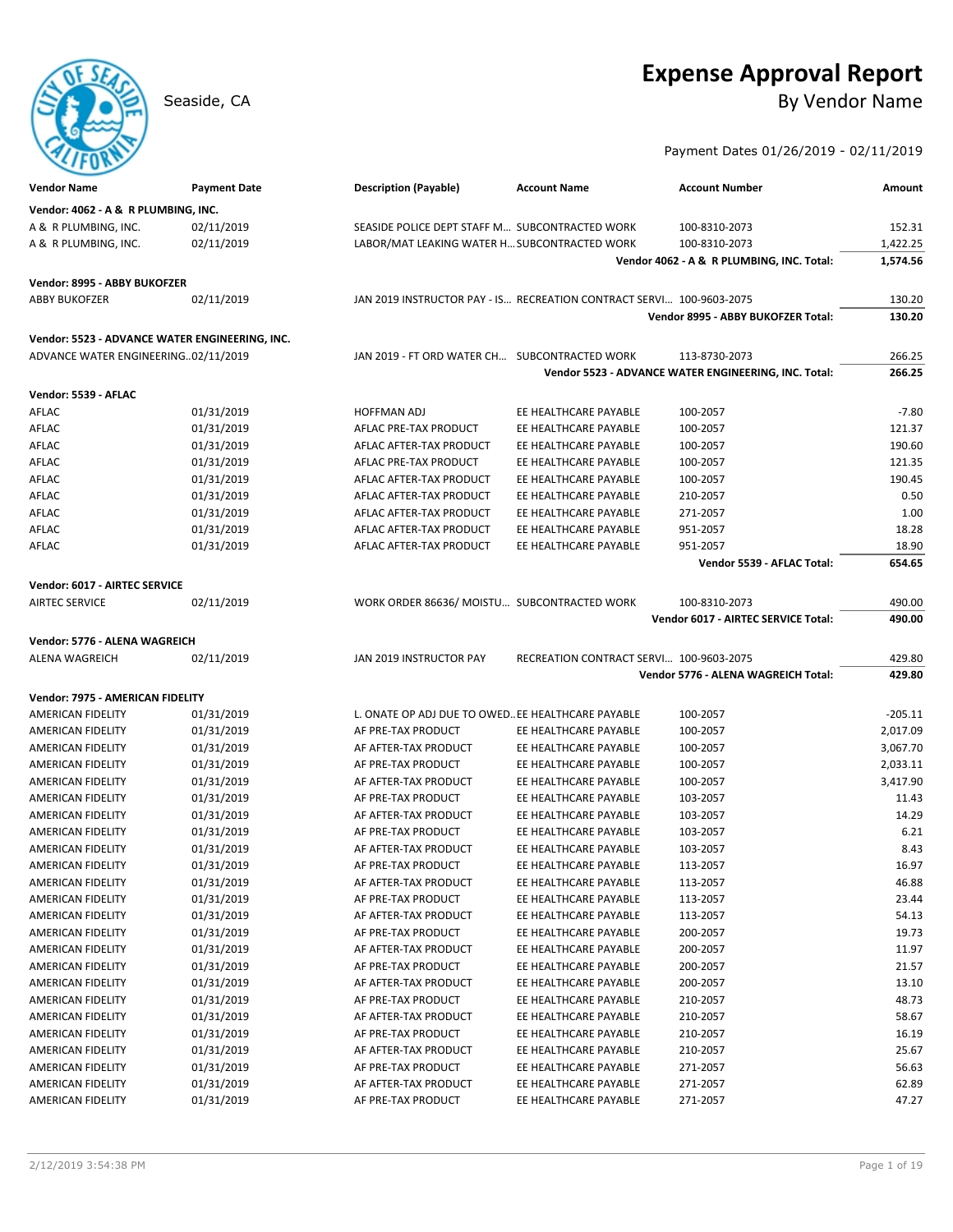# **Expense Approval Report**

Seaside, CA By Vendor Name

### Payment Dates 01/26/2019 - 02/11/2019

| <b>Vendor Name</b>                                                                    | <b>Payment Date</b> | <b>Description (Payable)</b>                                         | <b>Account Name</b>                     | <b>Account Number</b>                                | Amount    |
|---------------------------------------------------------------------------------------|---------------------|----------------------------------------------------------------------|-----------------------------------------|------------------------------------------------------|-----------|
| Vendor: 4062 - A & R PLUMBING, INC.                                                   |                     |                                                                      |                                         |                                                      |           |
| A & R PLUMBING, INC.                                                                  | 02/11/2019          | SEASIDE POLICE DEPT STAFF M SUBCONTRACTED WORK                       |                                         | 100-8310-2073                                        | 152.31    |
| A & R PLUMBING, INC.                                                                  | 02/11/2019          | LABOR/MAT LEAKING WATER H SUBCONTRACTED WORK                         |                                         | 100-8310-2073                                        | 1,422.25  |
|                                                                                       |                     |                                                                      |                                         | Vendor 4062 - A & R PLUMBING, INC. Total:            | 1,574.56  |
| Vendor: 8995 - ABBY BUKOFZER                                                          |                     |                                                                      |                                         |                                                      |           |
| <b>ABBY BUKOFZER</b>                                                                  | 02/11/2019          | JAN 2019 INSTRUCTOR PAY - IS RECREATION CONTRACT SERVI 100-9603-2075 |                                         |                                                      | 130.20    |
|                                                                                       |                     |                                                                      |                                         | Vendor 8995 - ABBY BUKOFZER Total:                   | 130.20    |
|                                                                                       |                     |                                                                      |                                         |                                                      |           |
| Vendor: 5523 - ADVANCE WATER ENGINEERING, INC.<br>ADVANCE WATER ENGINEERING02/11/2019 |                     | JAN 2019 - FT ORD WATER CH SUBCONTRACTED WORK                        |                                         | 113-8730-2073                                        | 266.25    |
|                                                                                       |                     |                                                                      |                                         | Vendor 5523 - ADVANCE WATER ENGINEERING, INC. Total: | 266.25    |
|                                                                                       |                     |                                                                      |                                         |                                                      |           |
| Vendor: 5539 - AFLAC                                                                  |                     |                                                                      |                                         |                                                      |           |
| AFLAC                                                                                 | 01/31/2019          | <b>HOFFMAN ADJ</b>                                                   | EE HEALTHCARE PAYABLE                   | 100-2057                                             | $-7.80$   |
| AFLAC                                                                                 | 01/31/2019          | AFLAC PRE-TAX PRODUCT                                                | EE HEALTHCARE PAYABLE                   | 100-2057                                             | 121.37    |
| AFLAC                                                                                 | 01/31/2019          | AFLAC AFTER-TAX PRODUCT                                              | EE HEALTHCARE PAYABLE                   | 100-2057                                             | 190.60    |
| AFLAC                                                                                 | 01/31/2019          | AFLAC PRE-TAX PRODUCT                                                | EE HEALTHCARE PAYABLE                   | 100-2057                                             | 121.35    |
| AFLAC                                                                                 | 01/31/2019          | AFLAC AFTER-TAX PRODUCT                                              | EE HEALTHCARE PAYABLE                   | 100-2057                                             | 190.45    |
| AFLAC                                                                                 | 01/31/2019          | AFLAC AFTER-TAX PRODUCT                                              | EE HEALTHCARE PAYABLE                   | 210-2057                                             | 0.50      |
| AFLAC                                                                                 | 01/31/2019          | AFLAC AFTER-TAX PRODUCT                                              | EE HEALTHCARE PAYABLE                   | 271-2057                                             | 1.00      |
| AFLAC                                                                                 | 01/31/2019          | AFLAC AFTER-TAX PRODUCT                                              | EE HEALTHCARE PAYABLE                   | 951-2057                                             | 18.28     |
| AFLAC                                                                                 | 01/31/2019          | AFLAC AFTER-TAX PRODUCT                                              | EE HEALTHCARE PAYABLE                   | 951-2057                                             | 18.90     |
|                                                                                       |                     |                                                                      |                                         | Vendor 5539 - AFLAC Total:                           | 654.65    |
| Vendor: 6017 - AIRTEC SERVICE                                                         |                     |                                                                      |                                         |                                                      |           |
| <b>AIRTEC SERVICE</b>                                                                 | 02/11/2019          | WORK ORDER 86636/ MOISTU SUBCONTRACTED WORK                          |                                         | 100-8310-2073                                        | 490.00    |
|                                                                                       |                     |                                                                      |                                         | Vendor 6017 - AIRTEC SERVICE Total:                  | 490.00    |
| Vendor: 5776 - ALENA WAGREICH                                                         |                     |                                                                      |                                         |                                                      |           |
|                                                                                       |                     |                                                                      |                                         |                                                      |           |
| ALENA WAGREICH                                                                        | 02/11/2019          | JAN 2019 INSTRUCTOR PAY                                              | RECREATION CONTRACT SERVI 100-9603-2075 |                                                      | 429.80    |
|                                                                                       |                     |                                                                      |                                         | Vendor 5776 - ALENA WAGREICH Total:                  | 429.80    |
| Vendor: 7975 - AMERICAN FIDELITY                                                      |                     |                                                                      |                                         |                                                      |           |
| <b>AMERICAN FIDELITY</b>                                                              | 01/31/2019          | L. ONATE OP ADJ DUE TO OWED. EE HEALTHCARE PAYABLE                   |                                         | 100-2057                                             | $-205.11$ |
| <b>AMERICAN FIDELITY</b>                                                              | 01/31/2019          | AF PRE-TAX PRODUCT                                                   | EE HEALTHCARE PAYABLE                   | 100-2057                                             | 2,017.09  |
| <b>AMERICAN FIDELITY</b>                                                              | 01/31/2019          | AF AFTER-TAX PRODUCT                                                 | EE HEALTHCARE PAYABLE                   | 100-2057                                             | 3,067.70  |
| <b>AMERICAN FIDELITY</b>                                                              | 01/31/2019          | AF PRE-TAX PRODUCT                                                   | EE HEALTHCARE PAYABLE                   | 100-2057                                             | 2,033.11  |
| AMERICAN FIDELITY                                                                     | 01/31/2019          | AF AFTER-TAX PRODUCT                                                 | EE HEALTHCARE PAYABLE                   | 100-2057                                             | 3,417.90  |
| AMERICAN FIDELITY                                                                     | 01/31/2019          | AF PRE-TAX PRODUCT                                                   | EE HEALTHCARE PAYABLE                   | 103-2057                                             | 11.43     |
| AMERICAN FIDELITY                                                                     | 01/31/2019          | AF AFTER-TAX PRODUCT                                                 | EE HEALTHCARE PAYABLE                   | 103-2057                                             | 14.29     |
| <b>AMERICAN FIDELITY</b>                                                              | 01/31/2019          | AF PRE-TAX PRODUCT                                                   | EE HEALTHCARE PAYABLE                   | 103-2057                                             | 6.21      |
| <b>AMERICAN FIDELITY</b>                                                              | 01/31/2019          | AF AFTER-TAX PRODUCT                                                 | EE HEALTHCARE PAYABLE                   | 103-2057                                             | 8.43      |
| AMERICAN FIDELITY                                                                     | 01/31/2019          | AF PRE-TAX PRODUCT                                                   | EE HEALTHCARE PAYABLE                   | 113-2057                                             | 16.97     |
| AMERICAN FIDELITY                                                                     | 01/31/2019          | AF AFTER-TAX PRODUCT                                                 | EE HEALTHCARE PAYABLE                   | 113-2057                                             | 46.88     |
| AMERICAN FIDELITY                                                                     | 01/31/2019          | AF PRE-TAX PRODUCT                                                   | EE HEALTHCARE PAYABLE                   | 113-2057                                             | 23.44     |
| AMERICAN FIDELITY                                                                     | 01/31/2019          | AF AFTER-TAX PRODUCT                                                 | EE HEALTHCARE PAYABLE                   | 113-2057                                             | 54.13     |
| AMERICAN FIDELITY                                                                     | 01/31/2019          | AF PRE-TAX PRODUCT                                                   | EE HEALTHCARE PAYABLE                   | 200-2057                                             | 19.73     |
| AMERICAN FIDELITY                                                                     | 01/31/2019          | AF AFTER-TAX PRODUCT                                                 | EE HEALTHCARE PAYABLE                   | 200-2057                                             | 11.97     |
| AMERICAN FIDELITY                                                                     | 01/31/2019          | AF PRE-TAX PRODUCT                                                   | EE HEALTHCARE PAYABLE                   | 200-2057                                             | 21.57     |
| AMERICAN FIDELITY                                                                     | 01/31/2019          | AF AFTER-TAX PRODUCT                                                 | EE HEALTHCARE PAYABLE                   | 200-2057                                             | 13.10     |
| <b>AMERICAN FIDELITY</b>                                                              | 01/31/2019          | AF PRE-TAX PRODUCT                                                   | EE HEALTHCARE PAYABLE                   | 210-2057                                             | 48.73     |
| AMERICAN FIDELITY                                                                     | 01/31/2019          | AF AFTER-TAX PRODUCT                                                 | EE HEALTHCARE PAYABLE                   | 210-2057                                             | 58.67     |
| <b>AMERICAN FIDELITY</b>                                                              | 01/31/2019          | AF PRE-TAX PRODUCT                                                   | EE HEALTHCARE PAYABLE                   | 210-2057                                             | 16.19     |
| AMERICAN FIDELITY                                                                     | 01/31/2019          | AF AFTER-TAX PRODUCT                                                 | EE HEALTHCARE PAYABLE                   | 210-2057                                             | 25.67     |
| AMERICAN FIDELITY                                                                     | 01/31/2019          | AF PRE-TAX PRODUCT                                                   | EE HEALTHCARE PAYABLE                   | 271-2057                                             | 56.63     |
| AMERICAN FIDELITY                                                                     | 01/31/2019          | AF AFTER-TAX PRODUCT                                                 | EE HEALTHCARE PAYABLE                   | 271-2057                                             | 62.89     |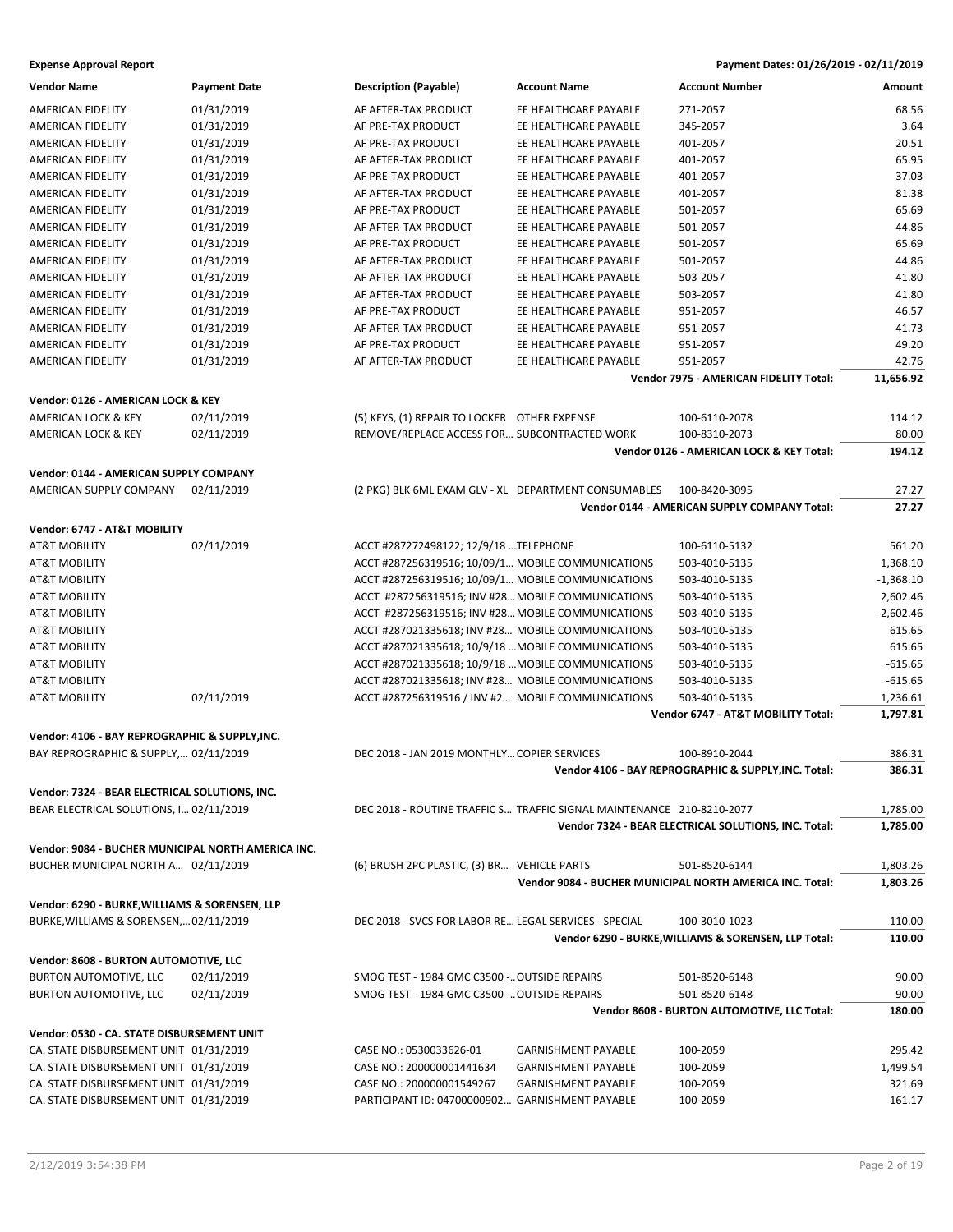| <b>Vendor Name</b>                                 | <b>Payment Date</b> | <b>Description (Payable)</b>                          | <b>Account Name</b>                                                   | <b>Account Number</b>                                    | Amount      |
|----------------------------------------------------|---------------------|-------------------------------------------------------|-----------------------------------------------------------------------|----------------------------------------------------------|-------------|
| <b>AMERICAN FIDELITY</b>                           | 01/31/2019          | AF AFTER-TAX PRODUCT                                  | EE HEALTHCARE PAYABLE                                                 | 271-2057                                                 | 68.56       |
| <b>AMERICAN FIDELITY</b>                           | 01/31/2019          | AF PRE-TAX PRODUCT                                    | EE HEALTHCARE PAYABLE                                                 | 345-2057                                                 | 3.64        |
| <b>AMERICAN FIDELITY</b>                           | 01/31/2019          | AF PRE-TAX PRODUCT                                    | EE HEALTHCARE PAYABLE                                                 | 401-2057                                                 | 20.51       |
| AMERICAN FIDELITY                                  | 01/31/2019          | AF AFTER-TAX PRODUCT                                  | EE HEALTHCARE PAYABLE                                                 | 401-2057                                                 | 65.95       |
| <b>AMERICAN FIDELITY</b>                           | 01/31/2019          | AF PRE-TAX PRODUCT                                    | EE HEALTHCARE PAYABLE                                                 | 401-2057                                                 | 37.03       |
| AMERICAN FIDELITY                                  | 01/31/2019          | AF AFTER-TAX PRODUCT                                  | EE HEALTHCARE PAYABLE                                                 | 401-2057                                                 | 81.38       |
| AMERICAN FIDELITY                                  | 01/31/2019          | AF PRE-TAX PRODUCT                                    | EE HEALTHCARE PAYABLE                                                 | 501-2057                                                 | 65.69       |
| AMERICAN FIDELITY                                  | 01/31/2019          | AF AFTER-TAX PRODUCT                                  | EE HEALTHCARE PAYABLE                                                 | 501-2057                                                 | 44.86       |
| <b>AMERICAN FIDELITY</b>                           | 01/31/2019          | AF PRE-TAX PRODUCT                                    | EE HEALTHCARE PAYABLE                                                 | 501-2057                                                 | 65.69       |
|                                                    | 01/31/2019          | AF AFTER-TAX PRODUCT                                  | EE HEALTHCARE PAYABLE                                                 |                                                          | 44.86       |
| AMERICAN FIDELITY                                  |                     |                                                       |                                                                       | 501-2057                                                 |             |
| AMERICAN FIDELITY                                  | 01/31/2019          | AF AFTER-TAX PRODUCT                                  | EE HEALTHCARE PAYABLE                                                 | 503-2057                                                 | 41.80       |
| AMERICAN FIDELITY                                  | 01/31/2019          | AF AFTER-TAX PRODUCT                                  | EE HEALTHCARE PAYABLE                                                 | 503-2057                                                 | 41.80       |
| AMERICAN FIDELITY                                  | 01/31/2019          | AF PRE-TAX PRODUCT                                    | EE HEALTHCARE PAYABLE                                                 | 951-2057                                                 | 46.57       |
| AMERICAN FIDELITY                                  | 01/31/2019          | AF AFTER-TAX PRODUCT                                  | EE HEALTHCARE PAYABLE                                                 | 951-2057                                                 | 41.73       |
| AMERICAN FIDELITY                                  | 01/31/2019          | AF PRE-TAX PRODUCT                                    | EE HEALTHCARE PAYABLE                                                 | 951-2057                                                 | 49.20       |
| AMERICAN FIDELITY                                  | 01/31/2019          | AF AFTER-TAX PRODUCT                                  | EE HEALTHCARE PAYABLE                                                 | 951-2057                                                 | 42.76       |
|                                                    |                     |                                                       |                                                                       | Vendor 7975 - AMERICAN FIDELITY Total:                   | 11,656.92   |
| Vendor: 0126 - AMERICAN LOCK & KEY                 |                     |                                                       |                                                                       |                                                          |             |
| <b>AMERICAN LOCK &amp; KEY</b>                     | 02/11/2019          | (5) KEYS, (1) REPAIR TO LOCKER OTHER EXPENSE          |                                                                       | 100-6110-2078                                            | 114.12      |
| AMERICAN LOCK & KEY                                | 02/11/2019          | REMOVE/REPLACE ACCESS FOR SUBCONTRACTED WORK          |                                                                       | 100-8310-2073                                            | 80.00       |
|                                                    |                     |                                                       |                                                                       | Vendor 0126 - AMERICAN LOCK & KEY Total:                 | 194.12      |
| Vendor: 0144 - AMERICAN SUPPLY COMPANY             |                     |                                                       |                                                                       |                                                          |             |
| AMERICAN SUPPLY COMPANY                            | 02/11/2019          | (2 PKG) BLK 6ML EXAM GLV - XL DEPARTMENT CONSUMABLES  |                                                                       | 100-8420-3095                                            | 27.27       |
|                                                    |                     |                                                       |                                                                       | Vendor 0144 - AMERICAN SUPPLY COMPANY Total:             | 27.27       |
|                                                    |                     |                                                       |                                                                       |                                                          |             |
| Vendor: 6747 - AT&T MOBILITY                       |                     |                                                       |                                                                       |                                                          |             |
| <b>AT&amp;T MOBILITY</b>                           | 02/11/2019          | ACCT #287272498122; 12/9/18 TELEPHONE                 |                                                                       | 100-6110-5132                                            | 561.20      |
| <b>AT&amp;T MOBILITY</b>                           |                     | ACCT #287256319516; 10/09/1 MOBILE COMMUNICATIONS     |                                                                       | 503-4010-5135                                            | 1,368.10    |
| <b>AT&amp;T MOBILITY</b>                           |                     | ACCT #287256319516; 10/09/1 MOBILE COMMUNICATIONS     |                                                                       | 503-4010-5135                                            | $-1,368.10$ |
| <b>AT&amp;T MOBILITY</b>                           |                     | ACCT #287256319516; INV #28 MOBILE COMMUNICATIONS     |                                                                       | 503-4010-5135                                            | 2,602.46    |
| AT&T MOBILITY                                      |                     | ACCT #287256319516; INV #28 MOBILE COMMUNICATIONS     |                                                                       | 503-4010-5135                                            | $-2,602.46$ |
| AT&T MOBILITY                                      |                     | ACCT #287021335618; INV #28 MOBILE COMMUNICATIONS     |                                                                       | 503-4010-5135                                            | 615.65      |
| <b>AT&amp;T MOBILITY</b>                           |                     | ACCT #287021335618; 10/9/18  MOBILE COMMUNICATIONS    |                                                                       | 503-4010-5135                                            | 615.65      |
| <b>AT&amp;T MOBILITY</b>                           |                     | ACCT #287021335618; 10/9/18  MOBILE COMMUNICATIONS    |                                                                       | 503-4010-5135                                            | $-615.65$   |
| <b>AT&amp;T MOBILITY</b>                           |                     | ACCT #287021335618; INV #28 MOBILE COMMUNICATIONS     |                                                                       | 503-4010-5135                                            | $-615.65$   |
| AT&T MOBILITY                                      | 02/11/2019          | ACCT #287256319516 / INV #2 MOBILE COMMUNICATIONS     |                                                                       | 503-4010-5135                                            | 1,236.61    |
|                                                    |                     |                                                       |                                                                       | Vendor 6747 - AT&T MOBILITY Total:                       | 1,797.81    |
|                                                    |                     |                                                       |                                                                       |                                                          |             |
| Vendor: 4106 - BAY REPROGRAPHIC & SUPPLY, INC.     |                     |                                                       |                                                                       |                                                          |             |
| BAY REPROGRAPHIC & SUPPLY, 02/11/2019              |                     | DEC 2018 - JAN 2019 MONTHLY COPIER SERVICES           |                                                                       | 100-8910-2044                                            | 386.31      |
|                                                    |                     |                                                       |                                                                       | Vendor 4106 - BAY REPROGRAPHIC & SUPPLY.INC. Total:      | 386.31      |
| Vendor: 7324 - BEAR ELECTRICAL SOLUTIONS, INC.     |                     |                                                       |                                                                       |                                                          |             |
| BEAR ELECTRICAL SOLUTIONS, I 02/11/2019            |                     |                                                       | DEC 2018 - ROUTINE TRAFFIC S TRAFFIC SIGNAL MAINTENANCE 210-8210-2077 |                                                          | 1,785.00    |
|                                                    |                     |                                                       |                                                                       | Vendor 7324 - BEAR ELECTRICAL SOLUTIONS, INC. Total:     | 1,785.00    |
| Vendor: 9084 - BUCHER MUNICIPAL NORTH AMERICA INC. |                     |                                                       |                                                                       |                                                          |             |
| BUCHER MUNICIPAL NORTH A 02/11/2019                |                     | (6) BRUSH 2PC PLASTIC, (3) BR VEHICLE PARTS           |                                                                       | 501-8520-6144                                            | 1,803.26    |
|                                                    |                     |                                                       |                                                                       | Vendor 9084 - BUCHER MUNICIPAL NORTH AMERICA INC. Total: | 1,803.26    |
|                                                    |                     |                                                       |                                                                       |                                                          |             |
| Vendor: 6290 - BURKE, WILLIAMS & SORENSEN, LLP     |                     |                                                       |                                                                       |                                                          |             |
| BURKE, WILLIAMS & SORENSEN, 02/11/2019             |                     | DEC 2018 - SVCS FOR LABOR RE LEGAL SERVICES - SPECIAL |                                                                       | 100-3010-1023                                            | 110.00      |
|                                                    |                     |                                                       |                                                                       | Vendor 6290 - BURKE, WILLIAMS & SORENSEN, LLP Total:     | 110.00      |
| Vendor: 8608 - BURTON AUTOMOTIVE, LLC              |                     |                                                       |                                                                       |                                                          |             |
| <b>BURTON AUTOMOTIVE, LLC</b>                      | 02/11/2019          | SMOG TEST - 1984 GMC C3500 - OUTSIDE REPAIRS          |                                                                       | 501-8520-6148                                            | 90.00       |
| BURTON AUTOMOTIVE, LLC                             | 02/11/2019          | SMOG TEST - 1984 GMC C3500 - OUTSIDE REPAIRS          |                                                                       | 501-8520-6148                                            | 90.00       |
|                                                    |                     |                                                       |                                                                       | Vendor 8608 - BURTON AUTOMOTIVE, LLC Total:              | 180.00      |
|                                                    |                     |                                                       |                                                                       |                                                          |             |
| Vendor: 0530 - CA. STATE DISBURSEMENT UNIT         |                     |                                                       |                                                                       |                                                          |             |
| CA. STATE DISBURSEMENT UNIT 01/31/2019             |                     | CASE NO.: 0530033626-01                               | <b>GARNISHMENT PAYABLE</b>                                            | 100-2059                                                 | 295.42      |
| CA. STATE DISBURSEMENT UNIT 01/31/2019             |                     | CASE NO.: 200000001441634                             | <b>GARNISHMENT PAYABLE</b>                                            | 100-2059                                                 | 1,499.54    |
| CA. STATE DISBURSEMENT UNIT 01/31/2019             |                     | CASE NO.: 200000001549267                             | <b>GARNISHMENT PAYABLE</b>                                            | 100-2059                                                 | 321.69      |
| CA. STATE DISBURSEMENT UNIT 01/31/2019             |                     | PARTICIPANT ID: 04700000902 GARNISHMENT PAYABLE       |                                                                       | 100-2059                                                 | 161.17      |
|                                                    |                     |                                                       |                                                                       |                                                          |             |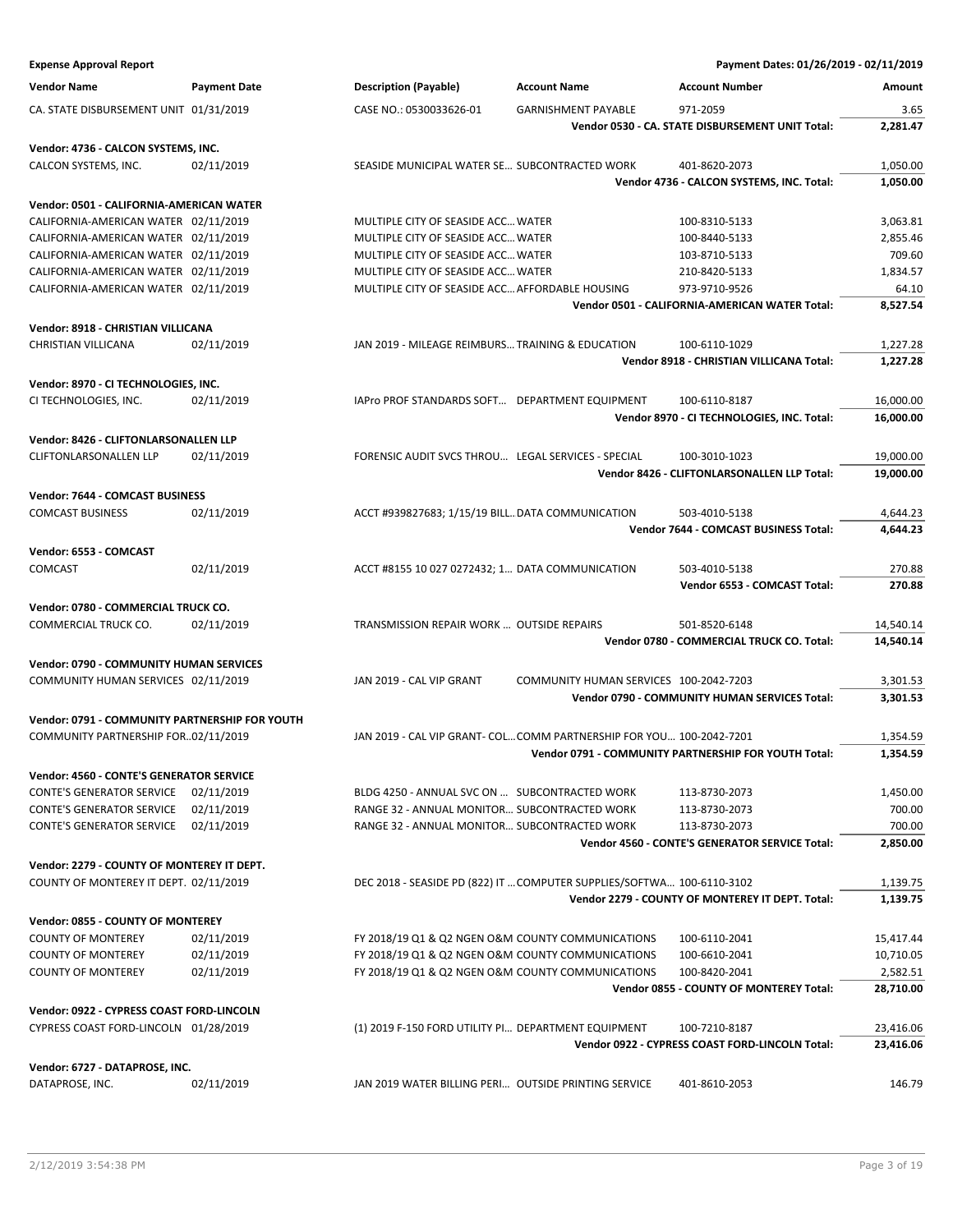| <b>Expense Approval Report</b>                 |                     |                                                      |                                                                        | Payment Dates: 01/26/2019 - 02/11/2019               |           |
|------------------------------------------------|---------------------|------------------------------------------------------|------------------------------------------------------------------------|------------------------------------------------------|-----------|
| <b>Vendor Name</b>                             | <b>Payment Date</b> | <b>Description (Payable)</b>                         | <b>Account Name</b>                                                    | <b>Account Number</b>                                | Amount    |
| CA. STATE DISBURSEMENT UNIT 01/31/2019         |                     | CASE NO.: 0530033626-01                              | <b>GARNISHMENT PAYABLE</b>                                             | 971-2059                                             | 3.65      |
|                                                |                     |                                                      |                                                                        | Vendor 0530 - CA. STATE DISBURSEMENT UNIT Total:     | 2,281.47  |
| Vendor: 4736 - CALCON SYSTEMS, INC.            |                     |                                                      |                                                                        |                                                      |           |
| CALCON SYSTEMS, INC.                           | 02/11/2019          | SEASIDE MUNICIPAL WATER SE SUBCONTRACTED WORK        |                                                                        | 401-8620-2073                                        | 1,050.00  |
|                                                |                     |                                                      |                                                                        | Vendor 4736 - CALCON SYSTEMS, INC. Total:            | 1,050.00  |
| Vendor: 0501 - CALIFORNIA-AMERICAN WATER       |                     |                                                      |                                                                        |                                                      |           |
| CALIFORNIA-AMERICAN WATER 02/11/2019           |                     | MULTIPLE CITY OF SEASIDE ACC WATER                   |                                                                        | 100-8310-5133                                        | 3,063.81  |
| CALIFORNIA-AMERICAN WATER 02/11/2019           |                     | MULTIPLE CITY OF SEASIDE ACC WATER                   |                                                                        | 100-8440-5133                                        | 2,855.46  |
| CALIFORNIA-AMERICAN WATER 02/11/2019           |                     | MULTIPLE CITY OF SEASIDE ACC WATER                   |                                                                        | 103-8710-5133                                        | 709.60    |
| CALIFORNIA-AMERICAN WATER 02/11/2019           |                     | MULTIPLE CITY OF SEASIDE ACC WATER                   |                                                                        | 210-8420-5133                                        | 1,834.57  |
| CALIFORNIA-AMERICAN WATER 02/11/2019           |                     | MULTIPLE CITY OF SEASIDE ACC AFFORDABLE HOUSING      |                                                                        | 973-9710-9526                                        | 64.10     |
|                                                |                     |                                                      |                                                                        | Vendor 0501 - CALIFORNIA-AMERICAN WATER Total:       | 8,527.54  |
| Vendor: 8918 - CHRISTIAN VILLICANA             |                     |                                                      |                                                                        |                                                      |           |
| CHRISTIAN VILLICANA                            | 02/11/2019          | JAN 2019 - MILEAGE REIMBURS TRAINING & EDUCATION     |                                                                        | 100-6110-1029                                        | 1,227.28  |
|                                                |                     |                                                      |                                                                        | Vendor 8918 - CHRISTIAN VILLICANA Total:             | 1,227.28  |
| Vendor: 8970 - CI TECHNOLOGIES, INC.           |                     |                                                      |                                                                        |                                                      |           |
| CI TECHNOLOGIES, INC.                          | 02/11/2019          | IAPro PROF STANDARDS SOFT DEPARTMENT EQUIPMENT       |                                                                        | 100-6110-8187                                        | 16,000.00 |
|                                                |                     |                                                      |                                                                        | Vendor 8970 - CI TECHNOLOGIES, INC. Total:           | 16,000.00 |
| Vendor: 8426 - CLIFTONLARSONALLEN LLP          |                     |                                                      |                                                                        |                                                      |           |
| <b>CLIFTONLARSONALLEN LLP</b>                  | 02/11/2019          | FORENSIC AUDIT SVCS THROU LEGAL SERVICES - SPECIAL   |                                                                        | 100-3010-1023                                        | 19,000.00 |
|                                                |                     |                                                      |                                                                        | Vendor 8426 - CLIFTONLARSONALLEN LLP Total:          | 19,000.00 |
| Vendor: 7644 - COMCAST BUSINESS                |                     |                                                      |                                                                        |                                                      |           |
| <b>COMCAST BUSINESS</b>                        | 02/11/2019          | ACCT #939827683; 1/15/19 BILL DATA COMMUNICATION     |                                                                        | 503-4010-5138                                        | 4,644.23  |
|                                                |                     |                                                      |                                                                        | Vendor 7644 - COMCAST BUSINESS Total:                | 4,644.23  |
| Vendor: 6553 - COMCAST                         |                     |                                                      |                                                                        |                                                      |           |
| <b>COMCAST</b>                                 | 02/11/2019          | ACCT #8155 10 027 0272432; 1 DATA COMMUNICATION      |                                                                        | 503-4010-5138                                        | 270.88    |
|                                                |                     |                                                      |                                                                        | Vendor 6553 - COMCAST Total:                         | 270.88    |
| Vendor: 0780 - COMMERCIAL TRUCK CO.            |                     |                                                      |                                                                        |                                                      |           |
| COMMERCIAL TRUCK CO.                           | 02/11/2019          | TRANSMISSION REPAIR WORK  OUTSIDE REPAIRS            |                                                                        | 501-8520-6148                                        | 14,540.14 |
|                                                |                     |                                                      |                                                                        | Vendor 0780 - COMMERCIAL TRUCK CO. Total:            | 14,540.14 |
| Vendor: 0790 - COMMUNITY HUMAN SERVICES        |                     |                                                      |                                                                        |                                                      |           |
| COMMUNITY HUMAN SERVICES 02/11/2019            |                     | JAN 2019 - CAL VIP GRANT                             | COMMUNITY HUMAN SERVICES 100-2042-7203                                 |                                                      | 3,301.53  |
|                                                |                     |                                                      |                                                                        | Vendor 0790 - COMMUNITY HUMAN SERVICES Total:        | 3,301.53  |
| Vendor: 0791 - COMMUNITY PARTNERSHIP FOR YOUTH |                     |                                                      |                                                                        |                                                      |           |
| COMMUNITY PARTNERSHIP FOR02/11/2019            |                     |                                                      | JAN 2019 - CAL VIP GRANT- COL COMM PARTNERSHIP FOR YOU 100-2042-7201   |                                                      | 1,354.59  |
|                                                |                     |                                                      |                                                                        | Vendor 0791 - COMMUNITY PARTNERSHIP FOR YOUTH Total: | 1,354.59  |
| Vendor: 4560 - CONTE'S GENERATOR SERVICE       |                     |                                                      |                                                                        |                                                      |           |
| <b>CONTE'S GENERATOR SERVICE</b>               | 02/11/2019          | BLDG 4250 - ANNUAL SVC ON  SUBCONTRACTED WORK        |                                                                        | 113-8730-2073                                        | 1,450.00  |
| <b>CONTE'S GENERATOR SERVICE</b>               | 02/11/2019          | RANGE 32 - ANNUAL MONITOR SUBCONTRACTED WORK         |                                                                        | 113-8730-2073                                        | 700.00    |
| <b>CONTE'S GENERATOR SERVICE</b>               | 02/11/2019          | RANGE 32 - ANNUAL MONITOR SUBCONTRACTED WORK         |                                                                        | 113-8730-2073                                        | 700.00    |
|                                                |                     |                                                      |                                                                        | Vendor 4560 - CONTE'S GENERATOR SERVICE Total:       | 2,850.00  |
| Vendor: 2279 - COUNTY OF MONTEREY IT DEPT.     |                     |                                                      |                                                                        |                                                      |           |
| COUNTY OF MONTEREY IT DEPT. 02/11/2019         |                     |                                                      | DEC 2018 - SEASIDE PD (822) IT  COMPUTER SUPPLIES/SOFTWA 100-6110-3102 |                                                      | 1,139.75  |
|                                                |                     |                                                      |                                                                        | Vendor 2279 - COUNTY OF MONTEREY IT DEPT. Total:     | 1,139.75  |
| Vendor: 0855 - COUNTY OF MONTEREY              |                     |                                                      |                                                                        |                                                      |           |
| <b>COUNTY OF MONTEREY</b>                      | 02/11/2019          | FY 2018/19 Q1 & Q2 NGEN O&M COUNTY COMMUNICATIONS    |                                                                        | 100-6110-2041                                        | 15,417.44 |
| <b>COUNTY OF MONTEREY</b>                      | 02/11/2019          | FY 2018/19 Q1 & Q2 NGEN O&M COUNTY COMMUNICATIONS    |                                                                        | 100-6610-2041                                        | 10,710.05 |
| <b>COUNTY OF MONTEREY</b>                      | 02/11/2019          | FY 2018/19 Q1 & Q2 NGEN O&M COUNTY COMMUNICATIONS    |                                                                        | 100-8420-2041                                        | 2,582.51  |
|                                                |                     |                                                      |                                                                        | Vendor 0855 - COUNTY OF MONTEREY Total:              | 28,710.00 |
| Vendor: 0922 - CYPRESS COAST FORD-LINCOLN      |                     |                                                      |                                                                        |                                                      |           |
| CYPRESS COAST FORD-LINCOLN 01/28/2019          |                     | (1) 2019 F-150 FORD UTILITY PI DEPARTMENT EQUIPMENT  |                                                                        | 100-7210-8187                                        | 23,416.06 |
|                                                |                     |                                                      |                                                                        | Vendor 0922 - CYPRESS COAST FORD-LINCOLN Total:      | 23,416.06 |
| Vendor: 6727 - DATAPROSE, INC.                 |                     |                                                      |                                                                        |                                                      |           |
| DATAPROSE, INC.                                | 02/11/2019          | JAN 2019 WATER BILLING PERI OUTSIDE PRINTING SERVICE |                                                                        | 401-8610-2053                                        | 146.79    |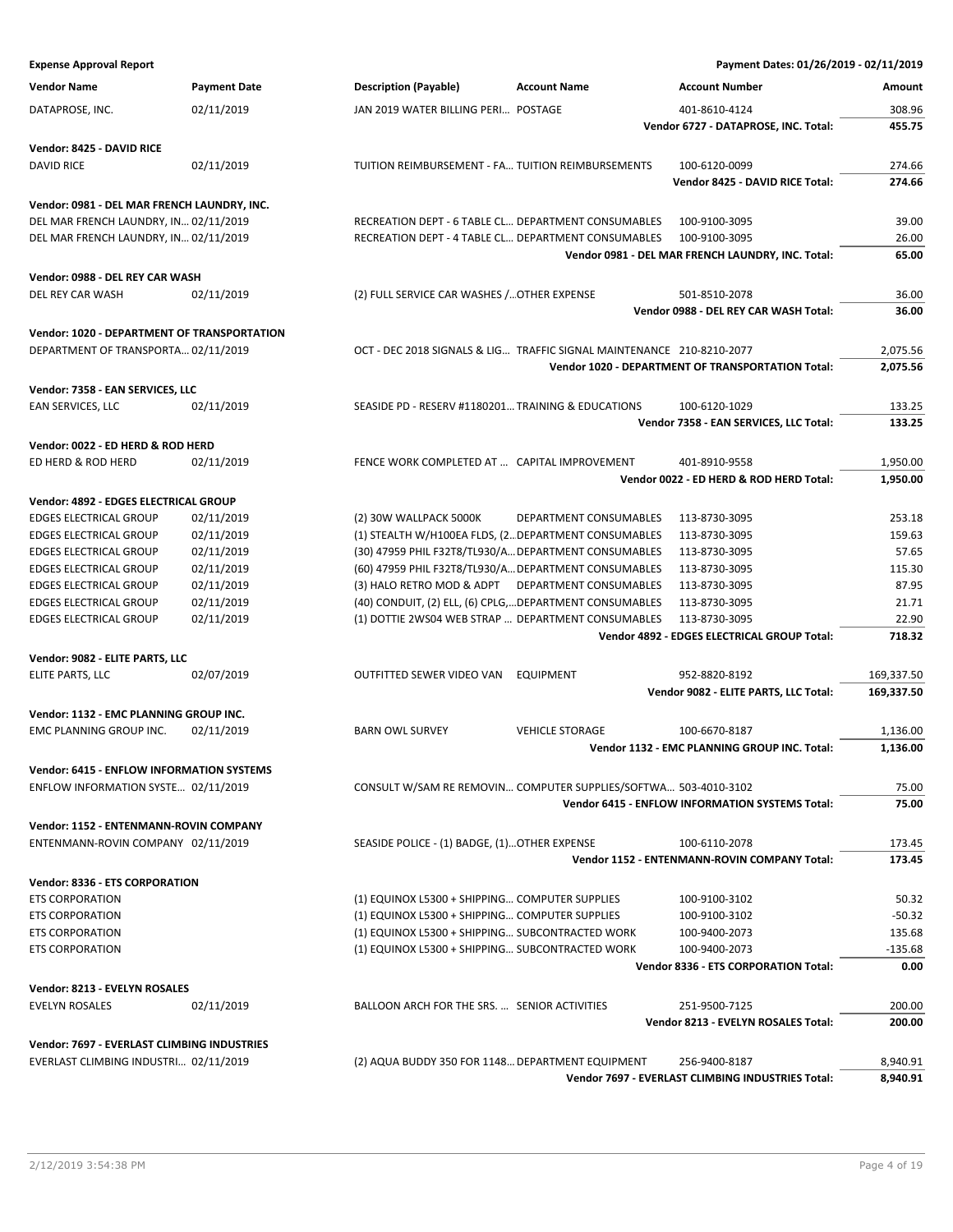| <b>Expense Approval Report</b>                     |                     |                                                                                                    | Payment Dates: 01/26/2019 - 02/11/2019                   |                      |
|----------------------------------------------------|---------------------|----------------------------------------------------------------------------------------------------|----------------------------------------------------------|----------------------|
| <b>Vendor Name</b>                                 | <b>Payment Date</b> | <b>Description (Payable)</b><br><b>Account Name</b>                                                | <b>Account Number</b>                                    | Amount               |
| DATAPROSE, INC.                                    | 02/11/2019          | JAN 2019 WATER BILLING PERI POSTAGE                                                                | 401-8610-4124                                            | 308.96               |
|                                                    |                     |                                                                                                    | Vendor 6727 - DATAPROSE, INC. Total:                     | 455.75               |
|                                                    |                     |                                                                                                    |                                                          |                      |
| Vendor: 8425 - DAVID RICE<br><b>DAVID RICE</b>     | 02/11/2019          | TUITION REIMBURSEMENT - FA TUITION REIMBURSEMENTS                                                  | 100-6120-0099                                            | 274.66               |
|                                                    |                     |                                                                                                    | Vendor 8425 - DAVID RICE Total:                          | 274.66               |
|                                                    |                     |                                                                                                    |                                                          |                      |
| Vendor: 0981 - DEL MAR FRENCH LAUNDRY, INC.        |                     |                                                                                                    |                                                          |                      |
| DEL MAR FRENCH LAUNDRY, IN 02/11/2019              |                     | RECREATION DEPT - 6 TABLE CL DEPARTMENT CONSUMABLES                                                | 100-9100-3095                                            | 39.00                |
| DEL MAR FRENCH LAUNDRY, IN 02/11/2019              |                     | RECREATION DEPT - 4 TABLE CL DEPARTMENT CONSUMABLES                                                | 100-9100-3095                                            | 26.00                |
|                                                    |                     |                                                                                                    | Vendor 0981 - DEL MAR FRENCH LAUNDRY, INC. Total:        | 65.00                |
| Vendor: 0988 - DEL REY CAR WASH                    |                     |                                                                                                    |                                                          |                      |
| DEL REY CAR WASH                                   | 02/11/2019          | (2) FULL SERVICE CAR WASHES / OTHER EXPENSE                                                        | 501-8510-2078                                            | 36.00                |
|                                                    |                     |                                                                                                    | Vendor 0988 - DEL REY CAR WASH Total:                    | 36.00                |
| <b>Vendor: 1020 - DEPARTMENT OF TRANSPORTATION</b> |                     |                                                                                                    |                                                          |                      |
| DEPARTMENT OF TRANSPORTA 02/11/2019                |                     | OCT - DEC 2018 SIGNALS & LIG TRAFFIC SIGNAL MAINTENANCE 210-8210-2077                              |                                                          | 2,075.56             |
|                                                    |                     |                                                                                                    | <b>Vendor 1020 - DEPARTMENT OF TRANSPORTATION Total:</b> | 2,075.56             |
| Vendor: 7358 - EAN SERVICES, LLC                   |                     |                                                                                                    |                                                          |                      |
| EAN SERVICES, LLC                                  | 02/11/2019          | SEASIDE PD - RESERV #1180201 TRAINING & EDUCATIONS                                                 | 100-6120-1029                                            | 133.25               |
|                                                    |                     |                                                                                                    | Vendor 7358 - EAN SERVICES, LLC Total:                   | 133.25               |
|                                                    |                     |                                                                                                    |                                                          |                      |
| Vendor: 0022 - ED HERD & ROD HERD                  |                     |                                                                                                    |                                                          |                      |
| ED HERD & ROD HERD                                 | 02/11/2019          | FENCE WORK COMPLETED AT  CAPITAL IMPROVEMENT                                                       | 401-8910-9558<br>Vendor 0022 - ED HERD & ROD HERD Total: | 1,950.00<br>1.950.00 |
|                                                    |                     |                                                                                                    |                                                          |                      |
| Vendor: 4892 - EDGES ELECTRICAL GROUP              |                     |                                                                                                    |                                                          |                      |
| <b>EDGES ELECTRICAL GROUP</b>                      | 02/11/2019          | (2) 30W WALLPACK 5000K<br>DEPARTMENT CONSUMABLES                                                   | 113-8730-3095                                            | 253.18               |
| <b>EDGES ELECTRICAL GROUP</b>                      | 02/11/2019          | (1) STEALTH W/H100EA FLDS, (2 DEPARTMENT CONSUMABLES                                               | 113-8730-3095                                            | 159.63               |
| <b>EDGES ELECTRICAL GROUP</b>                      | 02/11/2019          | (30) 47959 PHIL F32T8/TL930/A DEPARTMENT CONSUMABLES                                               | 113-8730-3095                                            | 57.65                |
| <b>EDGES ELECTRICAL GROUP</b>                      | 02/11/2019          | (60) 47959 PHIL F32T8/TL930/A DEPARTMENT CONSUMABLES                                               | 113-8730-3095                                            | 115.30               |
| <b>EDGES ELECTRICAL GROUP</b>                      | 02/11/2019          | (3) HALO RETRO MOD & ADPT DEPARTMENT CONSUMABLES                                                   | 113-8730-3095                                            | 87.95                |
| <b>EDGES ELECTRICAL GROUP</b>                      | 02/11/2019          | (40) CONDUIT, (2) ELL, (6) CPLG,DEPARTMENT CONSUMABLES                                             | 113-8730-3095                                            | 21.71                |
| <b>EDGES ELECTRICAL GROUP</b>                      | 02/11/2019          | (1) DOTTIE 2WS04 WEB STRAP  DEPARTMENT CONSUMABLES                                                 | 113-8730-3095                                            | 22.90                |
|                                                    |                     |                                                                                                    | Vendor 4892 - EDGES ELECTRICAL GROUP Total:              | 718.32               |
| Vendor: 9082 - ELITE PARTS, LLC                    |                     |                                                                                                    |                                                          |                      |
| ELITE PARTS, LLC                                   | 02/07/2019          | <b>OUTFITTED SEWER VIDEO VAN</b><br><b>EQUIPMENT</b>                                               | 952-8820-8192                                            | 169,337.50           |
|                                                    |                     |                                                                                                    | Vendor 9082 - ELITE PARTS, LLC Total:                    | 169,337.50           |
| Vendor: 1132 - EMC PLANNING GROUP INC.             |                     |                                                                                                    |                                                          |                      |
| EMC PLANNING GROUP INC.                            | 02/11/2019          | <b>BARN OWL SURVEY</b><br><b>VEHICLE STORAGE</b>                                                   | 100-6670-8187                                            | 1,136.00             |
|                                                    |                     |                                                                                                    | Vendor 1132 - EMC PLANNING GROUP INC. Total:             | 1,136.00             |
| <b>Vendor: 6415 - ENFLOW INFORMATION SYSTEMS</b>   |                     |                                                                                                    |                                                          |                      |
| ENFLOW INFORMATION SYSTE 02/11/2019                |                     | CONSULT W/SAM RE REMOVIN COMPUTER SUPPLIES/SOFTWA 503-4010-3102                                    |                                                          | 75.00                |
|                                                    |                     |                                                                                                    | <b>Vendor 6415 - ENFLOW INFORMATION SYSTEMS Total:</b>   | 75.00                |
| Vendor: 1152 - ENTENMANN-ROVIN COMPANY             |                     |                                                                                                    |                                                          |                      |
| ENTENMANN-ROVIN COMPANY 02/11/2019                 |                     | SEASIDE POLICE - (1) BADGE, (1) OTHER EXPENSE                                                      | 100-6110-2078                                            | 173.45               |
|                                                    |                     |                                                                                                    | <b>Vendor 1152 - ENTENMANN-ROVIN COMPANY Total:</b>      | 173.45               |
|                                                    |                     |                                                                                                    |                                                          |                      |
| <b>Vendor: 8336 - ETS CORPORATION</b>              |                     |                                                                                                    |                                                          |                      |
| <b>ETS CORPORATION</b>                             |                     | (1) EQUINOX L5300 + SHIPPING COMPUTER SUPPLIES                                                     | 100-9100-3102                                            | 50.32                |
| <b>ETS CORPORATION</b>                             |                     | (1) EQUINOX L5300 + SHIPPING COMPUTER SUPPLIES                                                     | 100-9100-3102                                            | $-50.32$             |
| <b>ETS CORPORATION</b>                             |                     | (1) EQUINOX L5300 + SHIPPING SUBCONTRACTED WORK<br>(1) EQUINOX L5300 + SHIPPING SUBCONTRACTED WORK | 100-9400-2073                                            | 135.68               |
| <b>ETS CORPORATION</b>                             |                     |                                                                                                    | 100-9400-2073                                            | $-135.68$            |
|                                                    |                     |                                                                                                    | Vendor 8336 - ETS CORPORATION Total:                     | 0.00                 |
| Vendor: 8213 - EVELYN ROSALES                      |                     |                                                                                                    |                                                          |                      |
| <b>EVELYN ROSALES</b>                              | 02/11/2019          | BALLOON ARCH FOR THE SRS.  SENIOR ACTIVITIES                                                       | 251-9500-7125                                            | 200.00               |
|                                                    |                     |                                                                                                    | Vendor 8213 - EVELYN ROSALES Total:                      | 200.00               |
| Vendor: 7697 - EVERLAST CLIMBING INDUSTRIES        |                     |                                                                                                    |                                                          |                      |
| EVERLAST CLIMBING INDUSTRI 02/11/2019              |                     | (2) AQUA BUDDY 350 FOR 1148 DEPARTMENT EQUIPMENT                                                   | 256-9400-8187                                            | 8,940.91             |
|                                                    |                     |                                                                                                    | Vendor 7697 - EVERLAST CLIMBING INDUSTRIES Total:        | 8,940.91             |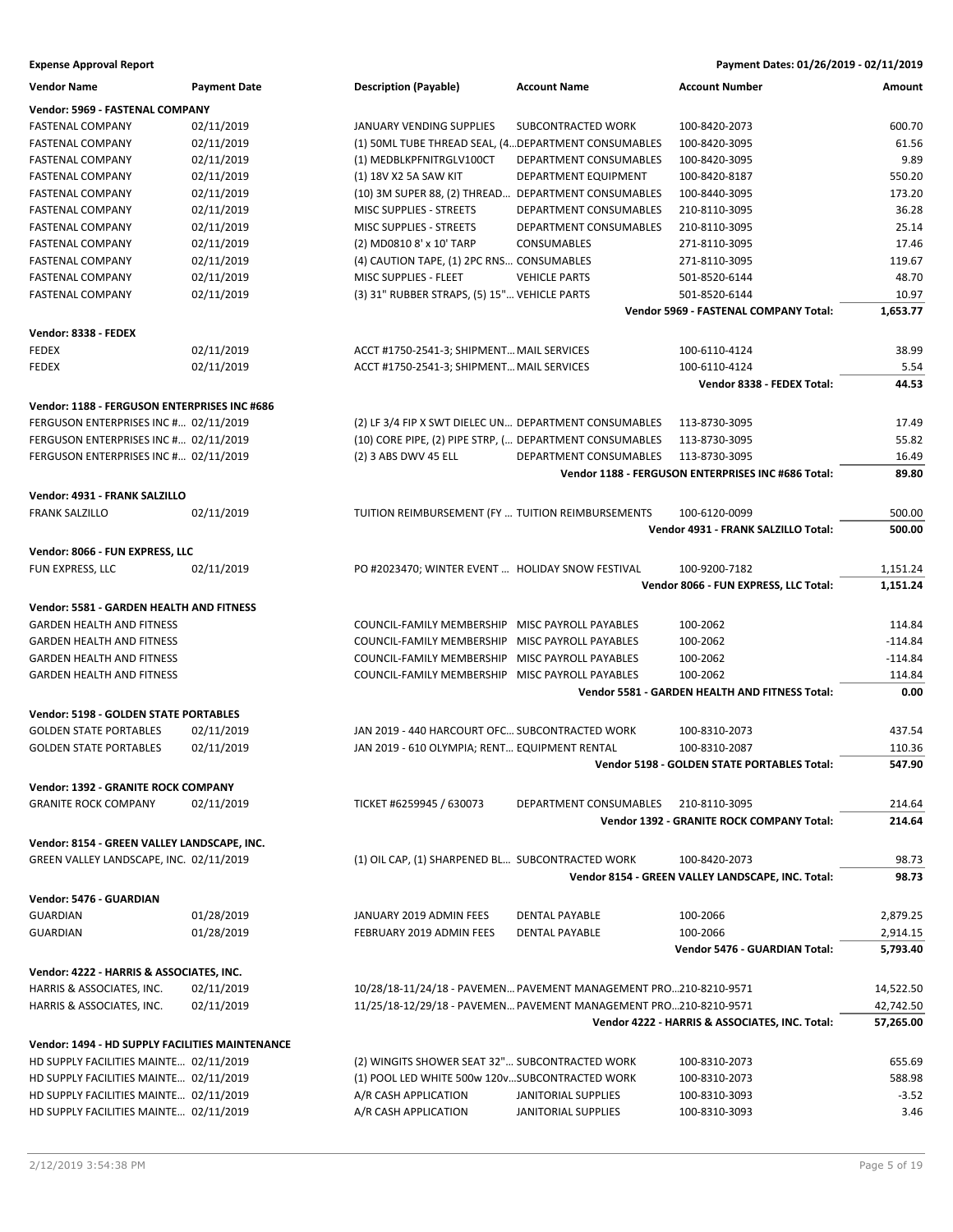| <b>Vendor Name</b>                              | <b>Payment Date</b> | <b>Description (Payable)</b>                            | <b>Account Name</b>                                              | <b>Account Number</b>                              | Amount    |
|-------------------------------------------------|---------------------|---------------------------------------------------------|------------------------------------------------------------------|----------------------------------------------------|-----------|
| Vendor: 5969 - FASTENAL COMPANY                 |                     |                                                         |                                                                  |                                                    |           |
| <b>FASTENAL COMPANY</b>                         | 02/11/2019          | <b>JANUARY VENDING SUPPLIES</b>                         | SUBCONTRACTED WORK                                               | 100-8420-2073                                      | 600.70    |
| <b>FASTENAL COMPANY</b>                         | 02/11/2019          | (1) SOML TUBE THREAD SEAL, (4 DEPARTMENT CONSUMABLES    |                                                                  | 100-8420-3095                                      | 61.56     |
| <b>FASTENAL COMPANY</b>                         | 02/11/2019          | (1) MEDBLKPFNITRGLV100CT                                | DEPARTMENT CONSUMABLES                                           | 100-8420-3095                                      | 9.89      |
| <b>FASTENAL COMPANY</b>                         | 02/11/2019          | (1) 18V X2 5A SAW KIT                                   | DEPARTMENT EQUIPMENT                                             | 100-8420-8187                                      | 550.20    |
| <b>FASTENAL COMPANY</b>                         | 02/11/2019          | (10) 3M SUPER 88, (2) THREAD                            | DEPARTMENT CONSUMABLES                                           | 100-8440-3095                                      | 173.20    |
| <b>FASTENAL COMPANY</b>                         | 02/11/2019          | <b>MISC SUPPLIES - STREETS</b>                          | DEPARTMENT CONSUMABLES                                           | 210-8110-3095                                      | 36.28     |
| <b>FASTENAL COMPANY</b>                         | 02/11/2019          | <b>MISC SUPPLIES - STREETS</b>                          | DEPARTMENT CONSUMABLES                                           | 210-8110-3095                                      | 25.14     |
| <b>FASTENAL COMPANY</b>                         | 02/11/2019          | (2) MD0810 8' x 10' TARP                                | <b>CONSUMABLES</b>                                               | 271-8110-3095                                      | 17.46     |
| <b>FASTENAL COMPANY</b>                         | 02/11/2019          | (4) CAUTION TAPE, (1) 2PC RNS CONSUMABLES               |                                                                  | 271-8110-3095                                      | 119.67    |
| <b>FASTENAL COMPANY</b>                         | 02/11/2019          | MISC SUPPLIES - FLEET                                   | <b>VEHICLE PARTS</b>                                             | 501-8520-6144                                      | 48.70     |
| <b>FASTENAL COMPANY</b>                         | 02/11/2019          | (3) 31" RUBBER STRAPS, (5) 15" VEHICLE PARTS            |                                                                  | 501-8520-6144                                      | 10.97     |
|                                                 |                     |                                                         |                                                                  | Vendor 5969 - FASTENAL COMPANY Total:              | 1,653.77  |
| Vendor: 8338 - FEDEX                            |                     |                                                         |                                                                  |                                                    |           |
| <b>FEDEX</b>                                    | 02/11/2019          | ACCT #1750-2541-3; SHIPMENT MAIL SERVICES               |                                                                  | 100-6110-4124                                      | 38.99     |
| <b>FEDEX</b>                                    | 02/11/2019          | ACCT #1750-2541-3; SHIPMENT MAIL SERVICES               |                                                                  | 100-6110-4124                                      | 5.54      |
|                                                 |                     |                                                         |                                                                  | Vendor 8338 - FEDEX Total:                         | 44.53     |
|                                                 |                     |                                                         |                                                                  |                                                    |           |
| Vendor: 1188 - FERGUSON ENTERPRISES INC #686    |                     |                                                         |                                                                  |                                                    |           |
| FERGUSON ENTERPRISES INC # 02/11/2019           |                     | (2) LF 3/4 FIP X SWT DIELEC UN DEPARTMENT CONSUMABLES   |                                                                  | 113-8730-3095                                      | 17.49     |
| FERGUSON ENTERPRISES INC # 02/11/2019           |                     | (10) CORE PIPE, (2) PIPE STRP, ( DEPARTMENT CONSUMABLES |                                                                  | 113-8730-3095                                      | 55.82     |
| FERGUSON ENTERPRISES INC # 02/11/2019           |                     | (2) 3 ABS DWV 45 ELL                                    | DEPARTMENT CONSUMABLES                                           | 113-8730-3095                                      | 16.49     |
|                                                 |                     |                                                         |                                                                  | Vendor 1188 - FERGUSON ENTERPRISES INC #686 Total: | 89.80     |
| Vendor: 4931 - FRANK SALZILLO                   |                     |                                                         |                                                                  |                                                    |           |
| <b>FRANK SALZILLO</b>                           | 02/11/2019          | TUITION REIMBURSEMENT (FY  TUITION REIMBURSEMENTS       |                                                                  | 100-6120-0099                                      | 500.00    |
|                                                 |                     |                                                         |                                                                  | Vendor 4931 - FRANK SALZILLO Total:                | 500.00    |
| Vendor: 8066 - FUN EXPRESS, LLC                 |                     |                                                         |                                                                  |                                                    |           |
| FUN EXPRESS, LLC                                | 02/11/2019          | PO #2023470; WINTER EVENT  HOLIDAY SNOW FESTIVAL        |                                                                  | 100-9200-7182                                      | 1,151.24  |
|                                                 |                     |                                                         |                                                                  | Vendor 8066 - FUN EXPRESS, LLC Total:              | 1,151.24  |
|                                                 |                     |                                                         |                                                                  |                                                    |           |
| Vendor: 5581 - GARDEN HEALTH AND FITNESS        |                     |                                                         |                                                                  |                                                    |           |
| <b>GARDEN HEALTH AND FITNESS</b>                |                     | COUNCIL-FAMILY MEMBERSHIP                               | MISC PAYROLL PAYABLES                                            | 100-2062                                           | 114.84    |
| <b>GARDEN HEALTH AND FITNESS</b>                |                     | COUNCIL-FAMILY MEMBERSHIP                               | MISC PAYROLL PAYABLES                                            | 100-2062                                           | $-114.84$ |
| <b>GARDEN HEALTH AND FITNESS</b>                |                     | COUNCIL-FAMILY MEMBERSHIP                               | MISC PAYROLL PAYABLES                                            | 100-2062                                           | $-114.84$ |
| <b>GARDEN HEALTH AND FITNESS</b>                |                     | COUNCIL-FAMILY MEMBERSHIP                               | MISC PAYROLL PAYABLES                                            | 100-2062                                           | 114.84    |
|                                                 |                     |                                                         |                                                                  | Vendor 5581 - GARDEN HEALTH AND FITNESS Total:     | 0.00      |
| <b>Vendor: 5198 - GOLDEN STATE PORTABLES</b>    |                     |                                                         |                                                                  |                                                    |           |
| <b>GOLDEN STATE PORTABLES</b>                   | 02/11/2019          | JAN 2019 - 440 HARCOURT OFC SUBCONTRACTED WORK          |                                                                  | 100-8310-2073                                      | 437.54    |
| <b>GOLDEN STATE PORTABLES</b>                   | 02/11/2019          | JAN 2019 - 610 OLYMPIA; RENT EQUIPMENT RENTAL           |                                                                  | 100-8310-2087                                      | 110.36    |
|                                                 |                     |                                                         |                                                                  | <b>Vendor 5198 - GOLDEN STATE PORTABLES Total:</b> | 547.90    |
| <b>Vendor: 1392 - GRANITE ROCK COMPANY</b>      |                     |                                                         |                                                                  |                                                    |           |
| <b>GRANITE ROCK COMPANY</b>                     | 02/11/2019          | TICKET #6259945 / 630073                                | DEPARTMENT CONSUMABLES                                           | 210-8110-3095                                      | 214.64    |
|                                                 |                     |                                                         |                                                                  | Vendor 1392 - GRANITE ROCK COMPANY Total:          | 214.64    |
| Vendor: 8154 - GREEN VALLEY LANDSCAPE, INC.     |                     |                                                         |                                                                  |                                                    |           |
| GREEN VALLEY LANDSCAPE, INC. 02/11/2019         |                     | (1) OIL CAP, (1) SHARPENED BL SUBCONTRACTED WORK        |                                                                  |                                                    | 98.73     |
|                                                 |                     |                                                         |                                                                  | 100-8420-2073                                      | 98.73     |
|                                                 |                     |                                                         |                                                                  | Vendor 8154 - GREEN VALLEY LANDSCAPE, INC. Total:  |           |
| Vendor: 5476 - GUARDIAN                         |                     |                                                         |                                                                  |                                                    |           |
| <b>GUARDIAN</b>                                 | 01/28/2019          | JANUARY 2019 ADMIN FEES                                 | DENTAL PAYABLE                                                   | 100-2066                                           | 2,879.25  |
| <b>GUARDIAN</b>                                 | 01/28/2019          | FEBRUARY 2019 ADMIN FEES                                | <b>DENTAL PAYABLE</b>                                            | 100-2066                                           | 2,914.15  |
|                                                 |                     |                                                         |                                                                  | Vendor 5476 - GUARDIAN Total:                      | 5,793.40  |
| Vendor: 4222 - HARRIS & ASSOCIATES, INC.        |                     |                                                         |                                                                  |                                                    |           |
| HARRIS & ASSOCIATES, INC.                       | 02/11/2019          |                                                         | 10/28/18-11/24/18 - PAVEMEN PAVEMENT MANAGEMENT PRO210-8210-9571 |                                                    | 14,522.50 |
| HARRIS & ASSOCIATES, INC.                       | 02/11/2019          |                                                         | 11/25/18-12/29/18 - PAVEMEN PAVEMENT MANAGEMENT PRO210-8210-9571 |                                                    | 42,742.50 |
|                                                 |                     |                                                         |                                                                  | Vendor 4222 - HARRIS & ASSOCIATES, INC. Total:     | 57,265.00 |
| Vendor: 1494 - HD SUPPLY FACILITIES MAINTENANCE |                     |                                                         |                                                                  |                                                    |           |
| HD SUPPLY FACILITIES MAINTE 02/11/2019          |                     | (2) WINGITS SHOWER SEAT 32" SUBCONTRACTED WORK          |                                                                  | 100-8310-2073                                      | 655.69    |
| HD SUPPLY FACILITIES MAINTE 02/11/2019          |                     | (1) POOL LED WHITE 500w 120vSUBCONTRACTED WORK          |                                                                  | 100-8310-2073                                      | 588.98    |
| HD SUPPLY FACILITIES MAINTE 02/11/2019          |                     | A/R CASH APPLICATION                                    | <b>JANITORIAL SUPPLIES</b>                                       | 100-8310-3093                                      | $-3.52$   |
| HD SUPPLY FACILITIES MAINTE 02/11/2019          |                     | A/R CASH APPLICATION                                    | <b>JANITORIAL SUPPLIES</b>                                       | 100-8310-3093                                      | 3.46      |
|                                                 |                     |                                                         |                                                                  |                                                    |           |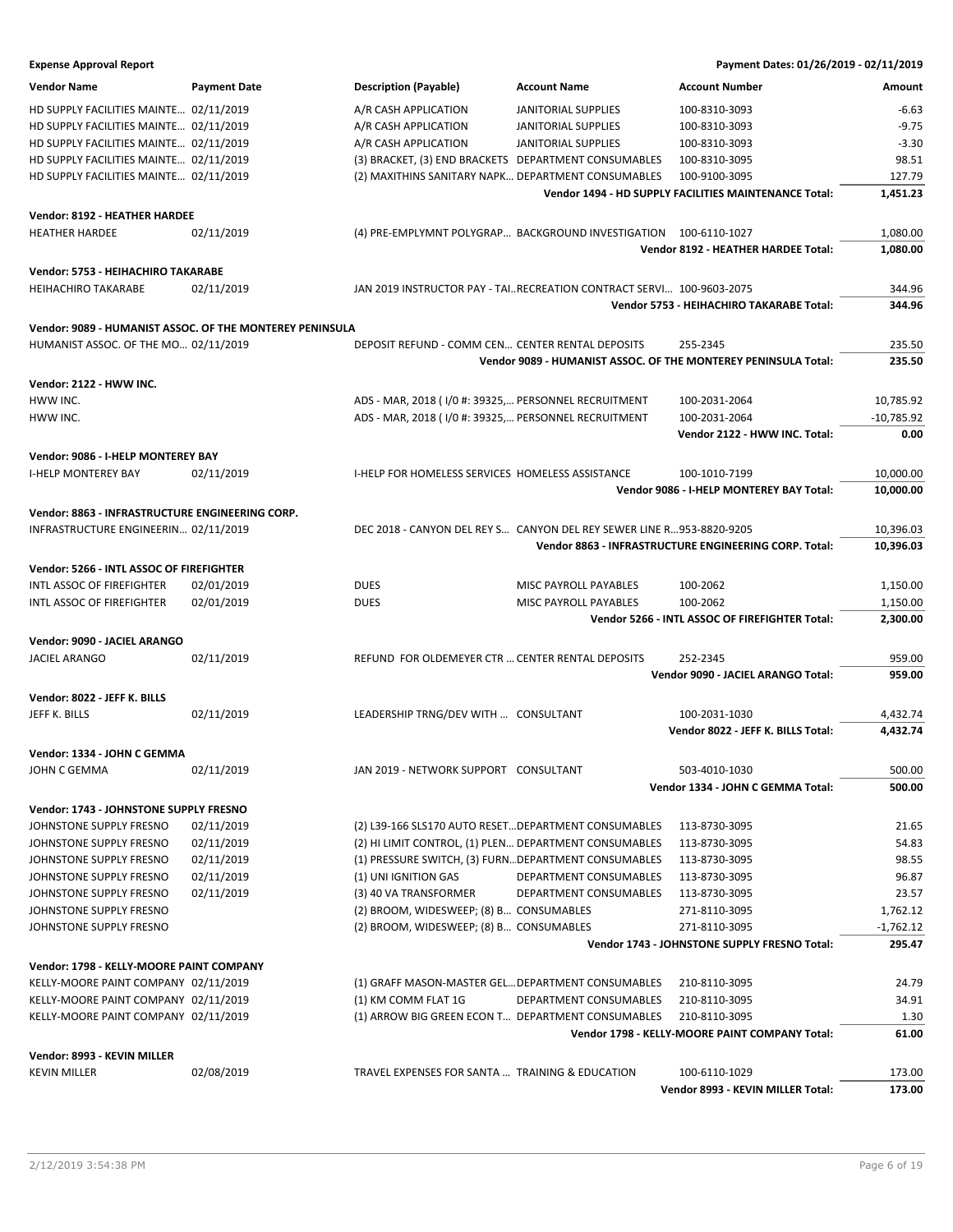| <b>Vendor Name</b>                                                                      | <b>Payment Date</b>                                      | <b>Description (Payable)</b>                                                 | <b>Account Name</b>                                                   | <b>Account Number</b>                                          | Amount         |
|-----------------------------------------------------------------------------------------|----------------------------------------------------------|------------------------------------------------------------------------------|-----------------------------------------------------------------------|----------------------------------------------------------------|----------------|
| HD SUPPLY FACILITIES MAINTE 02/11/2019                                                  |                                                          | A/R CASH APPLICATION                                                         | <b>JANITORIAL SUPPLIES</b>                                            | 100-8310-3093                                                  | $-6.63$        |
| HD SUPPLY FACILITIES MAINTE 02/11/2019                                                  |                                                          | A/R CASH APPLICATION                                                         | <b>JANITORIAL SUPPLIES</b>                                            | 100-8310-3093                                                  | $-9.75$        |
| HD SUPPLY FACILITIES MAINTE 02/11/2019                                                  |                                                          | A/R CASH APPLICATION                                                         | <b>JANITORIAL SUPPLIES</b>                                            | 100-8310-3093                                                  | $-3.30$        |
| HD SUPPLY FACILITIES MAINTE 02/11/2019                                                  |                                                          | (3) BRACKET, (3) END BRACKETS DEPARTMENT CONSUMABLES                         |                                                                       | 100-8310-3095                                                  | 98.51          |
| HD SUPPLY FACILITIES MAINTE 02/11/2019                                                  |                                                          | (2) MAXITHINS SANITARY NAPK DEPARTMENT CONSUMABLES                           |                                                                       | 100-9100-3095                                                  | 127.79         |
|                                                                                         |                                                          |                                                                              |                                                                       | Vendor 1494 - HD SUPPLY FACILITIES MAINTENANCE Total:          | 1,451.23       |
| Vendor: 8192 - HEATHER HARDEE                                                           |                                                          |                                                                              |                                                                       |                                                                |                |
| <b>HEATHER HARDEE</b>                                                                   | 02/11/2019                                               |                                                                              | (4) PRE-EMPLYMNT POLYGRAP BACKGROUND INVESTIGATION 100-6110-1027      |                                                                | 1,080.00       |
|                                                                                         |                                                          |                                                                              |                                                                       | Vendor 8192 - HEATHER HARDEE Total:                            | 1,080.00       |
|                                                                                         |                                                          |                                                                              |                                                                       |                                                                |                |
| Vendor: 5753 - HEIHACHIRO TAKARABE                                                      |                                                          |                                                                              |                                                                       |                                                                |                |
| <b>HEIHACHIRO TAKARABE</b>                                                              | 02/11/2019                                               |                                                                              | JAN 2019 INSTRUCTOR PAY - TAIRECREATION CONTRACT SERVI 100-9603-2075  |                                                                | 344.96         |
|                                                                                         |                                                          |                                                                              |                                                                       | Vendor 5753 - HEIHACHIRO TAKARABE Total:                       | 344.96         |
|                                                                                         | Vendor: 9089 - HUMANIST ASSOC. OF THE MONTEREY PENINSULA |                                                                              |                                                                       |                                                                |                |
| HUMANIST ASSOC. OF THE MO 02/11/2019                                                    |                                                          | DEPOSIT REFUND - COMM CEN CENTER RENTAL DEPOSITS                             |                                                                       | 255-2345                                                       | 235.50         |
|                                                                                         |                                                          |                                                                              |                                                                       | Vendor 9089 - HUMANIST ASSOC. OF THE MONTEREY PENINSULA Total: | 235.50         |
| Vendor: 2122 - HWW INC.                                                                 |                                                          |                                                                              |                                                                       |                                                                |                |
| HWW INC.                                                                                |                                                          | ADS - MAR, 2018 (1/0 #: 39325, PERSONNEL RECRUITMENT                         |                                                                       | 100-2031-2064                                                  | 10,785.92      |
| HWW INC.                                                                                |                                                          | ADS - MAR, 2018 (1/0 #: 39325, PERSONNEL RECRUITMENT                         |                                                                       | 100-2031-2064                                                  | $-10,785.92$   |
|                                                                                         |                                                          |                                                                              |                                                                       | Vendor 2122 - HWW INC. Total:                                  | 0.00           |
| Vendor: 9086 - I-HELP MONTEREY BAY                                                      |                                                          |                                                                              |                                                                       |                                                                |                |
| <b>I-HELP MONTEREY BAY</b>                                                              | 02/11/2019                                               | I-HELP FOR HOMELESS SERVICES HOMELESS ASSISTANCE                             |                                                                       | 100-1010-7199                                                  | 10,000.00      |
|                                                                                         |                                                          |                                                                              |                                                                       | Vendor 9086 - I-HELP MONTEREY BAY Total:                       | 10,000.00      |
|                                                                                         |                                                          |                                                                              |                                                                       |                                                                |                |
| Vendor: 8863 - INFRASTRUCTURE ENGINEERING CORP.<br>INFRASTRUCTURE ENGINEERIN 02/11/2019 |                                                          |                                                                              | DEC 2018 - CANYON DEL REY S CANYON DEL REY SEWER LINE R 953-8820-9205 |                                                                | 10,396.03      |
|                                                                                         |                                                          |                                                                              |                                                                       | Vendor 8863 - INFRASTRUCTURE ENGINEERING CORP. Total:          | 10,396.03      |
|                                                                                         |                                                          |                                                                              |                                                                       |                                                                |                |
| Vendor: 5266 - INTL ASSOC OF FIREFIGHTER                                                |                                                          |                                                                              |                                                                       |                                                                |                |
| INTL ASSOC OF FIREFIGHTER                                                               | 02/01/2019                                               | <b>DUES</b>                                                                  | MISC PAYROLL PAYABLES                                                 | 100-2062                                                       | 1,150.00       |
| INTL ASSOC OF FIREFIGHTER                                                               | 02/01/2019                                               | <b>DUES</b>                                                                  | MISC PAYROLL PAYABLES                                                 | 100-2062                                                       | 1,150.00       |
|                                                                                         |                                                          |                                                                              |                                                                       | Vendor 5266 - INTL ASSOC OF FIREFIGHTER Total:                 | 2,300.00       |
| Vendor: 9090 - JACIEL ARANGO                                                            |                                                          |                                                                              |                                                                       |                                                                |                |
| <b>JACIEL ARANGO</b>                                                                    | 02/11/2019                                               | REFUND FOR OLDEMEYER CTR  CENTER RENTAL DEPOSITS                             |                                                                       | 252-2345                                                       | 959.00         |
|                                                                                         |                                                          |                                                                              |                                                                       | Vendor 9090 - JACIEL ARANGO Total:                             | 959.00         |
| Vendor: 8022 - JEFF K. BILLS                                                            |                                                          |                                                                              |                                                                       |                                                                |                |
| JEFF K. BILLS                                                                           | 02/11/2019                                               | LEADERSHIP TRNG/DEV WITH  CONSULTANT                                         |                                                                       | 100-2031-1030                                                  | 4,432.74       |
|                                                                                         |                                                          |                                                                              |                                                                       | Vendor 8022 - JEFF K. BILLS Total:                             | 4,432.74       |
| Vendor: 1334 - JOHN C GEMMA                                                             |                                                          |                                                                              |                                                                       |                                                                |                |
| JOHN C GEMMA                                                                            | 02/11/2019                                               | JAN 2019 - NETWORK SUPPORT CONSULTANT                                        |                                                                       | 503-4010-1030                                                  | 500.00         |
|                                                                                         |                                                          |                                                                              |                                                                       | Vendor 1334 - JOHN C GEMMA Total:                              | 500.00         |
| Vendor: 1743 - JOHNSTONE SUPPLY FRESNO                                                  |                                                          |                                                                              |                                                                       |                                                                |                |
| JOHNSTONE SUPPLY FRESNO                                                                 | 02/11/2019                                               | (2) L39-166 SLS170 AUTO RESET DEPARTMENT CONSUMABLES                         |                                                                       | 113-8730-3095                                                  | 21.65          |
|                                                                                         |                                                          |                                                                              |                                                                       |                                                                |                |
| JOHNSTONE SUPPLY FRESNO                                                                 | 02/11/2019                                               | (2) HI LIMIT CONTROL, (1) PLEN DEPARTMENT CONSUMABLES                        |                                                                       | 113-8730-3095                                                  | 54.83          |
| JOHNSTONE SUPPLY FRESNO                                                                 | 02/11/2019                                               | (1) PRESSURE SWITCH, (3) FURN DEPARTMENT CONSUMABLES<br>(1) UNI IGNITION GAS |                                                                       | 113-8730-3095                                                  | 98.55          |
| JOHNSTONE SUPPLY FRESNO                                                                 | 02/11/2019<br>02/11/2019                                 |                                                                              | DEPARTMENT CONSUMABLES                                                | 113-8730-3095                                                  | 96.87<br>23.57 |
| JOHNSTONE SUPPLY FRESNO                                                                 |                                                          | (3) 40 VA TRANSFORMER                                                        | DEPARTMENT CONSUMABLES                                                | 113-8730-3095                                                  | 1,762.12       |
| JOHNSTONE SUPPLY FRESNO                                                                 |                                                          | (2) BROOM, WIDESWEEP; (8) B CONSUMABLES                                      |                                                                       | 271-8110-3095                                                  |                |
| JOHNSTONE SUPPLY FRESNO                                                                 |                                                          | (2) BROOM, WIDESWEEP; (8) B CONSUMABLES                                      |                                                                       | 271-8110-3095                                                  | $-1,762.12$    |
|                                                                                         |                                                          |                                                                              |                                                                       | Vendor 1743 - JOHNSTONE SUPPLY FRESNO Total:                   | 295.47         |
| Vendor: 1798 - KELLY-MOORE PAINT COMPANY                                                |                                                          |                                                                              |                                                                       |                                                                |                |
| KELLY-MOORE PAINT COMPANY 02/11/2019                                                    |                                                          | (1) GRAFF MASON-MASTER GEL DEPARTMENT CONSUMABLES                            |                                                                       | 210-8110-3095                                                  | 24.79          |
| KELLY-MOORE PAINT COMPANY 02/11/2019                                                    |                                                          | (1) KM COMM FLAT 1G                                                          | DEPARTMENT CONSUMABLES                                                | 210-8110-3095                                                  | 34.91          |
| KELLY-MOORE PAINT COMPANY 02/11/2019                                                    |                                                          | (1) ARROW BIG GREEN ECON T DEPARTMENT CONSUMABLES                            |                                                                       | 210-8110-3095                                                  | 1.30           |
|                                                                                         |                                                          |                                                                              |                                                                       | Vendor 1798 - KELLY-MOORE PAINT COMPANY Total:                 | 61.00          |
| Vendor: 8993 - KEVIN MILLER                                                             |                                                          |                                                                              |                                                                       |                                                                |                |
| <b>KEVIN MILLER</b>                                                                     | 02/08/2019                                               | TRAVEL EXPENSES FOR SANTA  TRAINING & EDUCATION                              |                                                                       | 100-6110-1029                                                  | 173.00         |
|                                                                                         |                                                          |                                                                              |                                                                       | Vendor 8993 - KEVIN MILLER Total:                              | 173.00         |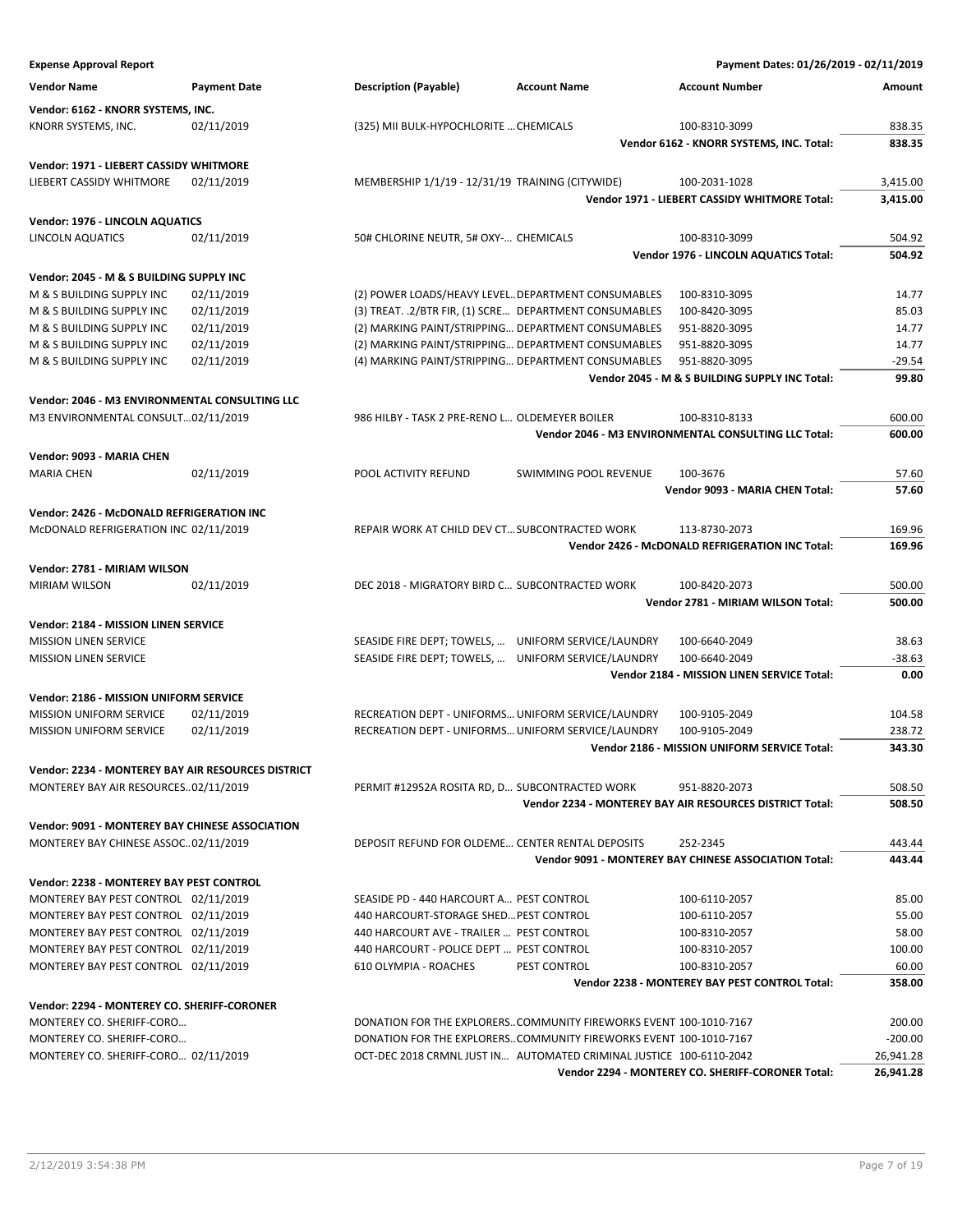| <b>Expense Approval Report</b>                                               |                     |                                                                                      |                                                                                                                                        | Payment Dates: 01/26/2019 - 02/11/2019                   |                 |
|------------------------------------------------------------------------------|---------------------|--------------------------------------------------------------------------------------|----------------------------------------------------------------------------------------------------------------------------------------|----------------------------------------------------------|-----------------|
| <b>Vendor Name</b>                                                           | <b>Payment Date</b> | <b>Description (Payable)</b>                                                         | <b>Account Name</b>                                                                                                                    | <b>Account Number</b>                                    | Amount          |
| Vendor: 6162 - KNORR SYSTEMS, INC.                                           |                     |                                                                                      |                                                                                                                                        |                                                          |                 |
| KNORR SYSTEMS, INC.                                                          | 02/11/2019          | (325) MII BULK-HYPOCHLORITE  CHEMICALS                                               |                                                                                                                                        | 100-8310-3099                                            | 838.35          |
|                                                                              |                     |                                                                                      |                                                                                                                                        | Vendor 6162 - KNORR SYSTEMS, INC. Total:                 | 838.35          |
| Vendor: 1971 - LIEBERT CASSIDY WHITMORE                                      |                     |                                                                                      |                                                                                                                                        |                                                          |                 |
| LIEBERT CASSIDY WHITMORE                                                     | 02/11/2019          | MEMBERSHIP 1/1/19 - 12/31/19 TRAINING (CITYWIDE)                                     |                                                                                                                                        | 100-2031-1028                                            | 3,415.00        |
|                                                                              |                     |                                                                                      |                                                                                                                                        | Vendor 1971 - LIEBERT CASSIDY WHITMORE Total:            | 3,415.00        |
| Vendor: 1976 - LINCOLN AQUATICS                                              |                     |                                                                                      |                                                                                                                                        |                                                          |                 |
| LINCOLN AQUATICS                                                             | 02/11/2019          | 50# CHLORINE NEUTR, 5# OXY- CHEMICALS                                                |                                                                                                                                        | 100-8310-3099                                            | 504.92          |
|                                                                              |                     |                                                                                      |                                                                                                                                        | Vendor 1976 - LINCOLN AQUATICS Total:                    | 504.92          |
| Vendor: 2045 - M & S BUILDING SUPPLY INC                                     |                     |                                                                                      |                                                                                                                                        |                                                          |                 |
| M & S BUILDING SUPPLY INC                                                    | 02/11/2019          | (2) POWER LOADS/HEAVY LEVEL DEPARTMENT CONSUMABLES                                   |                                                                                                                                        | 100-8310-3095                                            | 14.77           |
| M & S BUILDING SUPPLY INC                                                    | 02/11/2019          | (3) TREAT. . 2/BTR FIR, (1) SCRE DEPARTMENT CONSUMABLES                              |                                                                                                                                        | 100-8420-3095                                            | 85.03           |
| M & S BUILDING SUPPLY INC                                                    | 02/11/2019          | (2) MARKING PAINT/STRIPPING DEPARTMENT CONSUMABLES                                   |                                                                                                                                        | 951-8820-3095                                            | 14.77           |
| M & S BUILDING SUPPLY INC                                                    | 02/11/2019          | (2) MARKING PAINT/STRIPPING DEPARTMENT CONSUMABLES                                   |                                                                                                                                        | 951-8820-3095                                            | 14.77           |
| M & S BUILDING SUPPLY INC                                                    | 02/11/2019          | (4) MARKING PAINT/STRIPPING DEPARTMENT CONSUMABLES                                   |                                                                                                                                        | 951-8820-3095                                            | $-29.54$        |
|                                                                              |                     |                                                                                      |                                                                                                                                        | Vendor 2045 - M & S BUILDING SUPPLY INC Total:           | 99.80           |
| Vendor: 2046 - M3 ENVIRONMENTAL CONSULTING LLC                               |                     |                                                                                      |                                                                                                                                        |                                                          |                 |
| M3 ENVIRONMENTAL CONSULT02/11/2019                                           |                     | 986 HILBY - TASK 2 PRE-RENO L OLDEMEYER BOILER                                       |                                                                                                                                        | 100-8310-8133                                            | 600.00          |
|                                                                              |                     |                                                                                      |                                                                                                                                        | Vendor 2046 - M3 ENVIRONMENTAL CONSULTING LLC Total:     | 600.00          |
| Vendor: 9093 - MARIA CHEN                                                    |                     |                                                                                      |                                                                                                                                        |                                                          |                 |
| <b>MARIA CHEN</b>                                                            | 02/11/2019          | POOL ACTIVITY REFUND                                                                 | <b>SWIMMING POOL REVENUE</b>                                                                                                           | 100-3676                                                 | 57.60           |
|                                                                              |                     |                                                                                      |                                                                                                                                        | Vendor 9093 - MARIA CHEN Total:                          | 57.60           |
| Vendor: 2426 - McDONALD REFRIGERATION INC                                    |                     |                                                                                      |                                                                                                                                        |                                                          |                 |
| McDONALD REFRIGERATION INC 02/11/2019                                        |                     | REPAIR WORK AT CHILD DEV CT SUBCONTRACTED WORK                                       |                                                                                                                                        | 113-8730-2073                                            | 169.96          |
|                                                                              |                     |                                                                                      |                                                                                                                                        | Vendor 2426 - McDONALD REFRIGERATION INC Total:          | 169.96          |
| Vendor: 2781 - MIRIAM WILSON                                                 |                     |                                                                                      |                                                                                                                                        |                                                          |                 |
| <b>MIRIAM WILSON</b>                                                         | 02/11/2019          | DEC 2018 - MIGRATORY BIRD C SUBCONTRACTED WORK                                       |                                                                                                                                        | 100-8420-2073                                            | 500.00          |
|                                                                              |                     |                                                                                      |                                                                                                                                        | Vendor 2781 - MIRIAM WILSON Total:                       | 500.00          |
| Vendor: 2184 - MISSION LINEN SERVICE                                         |                     |                                                                                      |                                                                                                                                        |                                                          |                 |
| <b>MISSION LINEN SERVICE</b>                                                 |                     | SEASIDE FIRE DEPT; TOWELS,  UNIFORM SERVICE/LAUNDRY                                  |                                                                                                                                        | 100-6640-2049                                            | 38.63           |
| <b>MISSION LINEN SERVICE</b>                                                 |                     | SEASIDE FIRE DEPT; TOWELS,  UNIFORM SERVICE/LAUNDRY                                  |                                                                                                                                        | 100-6640-2049                                            | $-38.63$        |
|                                                                              |                     |                                                                                      |                                                                                                                                        | Vendor 2184 - MISSION LINEN SERVICE Total:               | 0.00            |
| Vendor: 2186 - MISSION UNIFORM SERVICE                                       |                     |                                                                                      |                                                                                                                                        |                                                          |                 |
| <b>MISSION UNIFORM SERVICE</b>                                               | 02/11/2019          | RECREATION DEPT - UNIFORMS UNIFORM SERVICE/LAUNDRY                                   |                                                                                                                                        | 100-9105-2049                                            | 104.58          |
| <b>MISSION UNIFORM SERVICE</b>                                               | 02/11/2019          | RECREATION DEPT - UNIFORMS UNIFORM SERVICE/LAUNDRY                                   |                                                                                                                                        | 100-9105-2049                                            | 238.72          |
|                                                                              |                     |                                                                                      |                                                                                                                                        | Vendor 2186 - MISSION UNIFORM SERVICE Total:             | 343.30          |
| Vendor: 2234 - MONTEREY BAY AIR RESOURCES DISTRICT                           |                     |                                                                                      |                                                                                                                                        |                                                          |                 |
| MONTEREY BAY AIR RESOURCES02/11/2019                                         |                     | PERMIT #12952A ROSITA RD, D SUBCONTRACTED WORK                                       |                                                                                                                                        | 951-8820-2073                                            | 508.50          |
|                                                                              |                     |                                                                                      |                                                                                                                                        | Vendor 2234 - MONTEREY BAY AIR RESOURCES DISTRICT Total: | 508.50          |
| Vendor: 9091 - MONTEREY BAY CHINESE ASSOCIATION                              |                     |                                                                                      |                                                                                                                                        |                                                          |                 |
| MONTEREY BAY CHINESE ASSOC02/11/2019                                         |                     | DEPOSIT REFUND FOR OLDEME CENTER RENTAL DEPOSITS                                     |                                                                                                                                        | 252-2345                                                 | 443.44          |
|                                                                              |                     |                                                                                      |                                                                                                                                        | Vendor 9091 - MONTEREY BAY CHINESE ASSOCIATION Total:    | 443.44          |
| Vendor: 2238 - MONTEREY BAY PEST CONTROL                                     |                     |                                                                                      |                                                                                                                                        |                                                          |                 |
| MONTEREY BAY PEST CONTROL 02/11/2019                                         |                     | SEASIDE PD - 440 HARCOURT A PEST CONTROL                                             |                                                                                                                                        | 100-6110-2057                                            | 85.00           |
| MONTEREY BAY PEST CONTROL 02/11/2019                                         |                     | 440 HARCOURT-STORAGE SHED PEST CONTROL                                               |                                                                                                                                        | 100-6110-2057                                            | 55.00           |
| MONTEREY BAY PEST CONTROL 02/11/2019<br>MONTEREY BAY PEST CONTROL 02/11/2019 |                     | 440 HARCOURT AVE - TRAILER  PEST CONTROL<br>440 HARCOURT - POLICE DEPT  PEST CONTROL |                                                                                                                                        | 100-8310-2057<br>100-8310-2057                           | 58.00<br>100.00 |
| MONTEREY BAY PEST CONTROL 02/11/2019                                         |                     | 610 OLYMPIA - ROACHES                                                                | PEST CONTROL                                                                                                                           | 100-8310-2057                                            | 60.00           |
|                                                                              |                     |                                                                                      |                                                                                                                                        | Vendor 2238 - MONTEREY BAY PEST CONTROL Total:           | 358.00          |
|                                                                              |                     |                                                                                      |                                                                                                                                        |                                                          |                 |
| Vendor: 2294 - MONTEREY CO. SHERIFF-CORONER                                  |                     |                                                                                      |                                                                                                                                        |                                                          | 200.00          |
| MONTEREY CO. SHERIFF-CORO<br>MONTEREY CO. SHERIFF-CORO                       |                     |                                                                                      | DONATION FOR THE EXPLORERSCOMMUNITY FIREWORKS EVENT 100-1010-7167<br>DONATION FOR THE EXPLORERSCOMMUNITY FIREWORKS EVENT 100-1010-7167 |                                                          | $-200.00$       |
| MONTEREY CO. SHERIFF-CORO 02/11/2019                                         |                     |                                                                                      | OCT-DEC 2018 CRMNL JUST IN AUTOMATED CRIMINAL JUSTICE 100-6110-2042                                                                    |                                                          | 26,941.28       |
|                                                                              |                     |                                                                                      |                                                                                                                                        | Vendor 2294 - MONTEREY CO. SHERIFF-CORONER Total:        | 26,941.28       |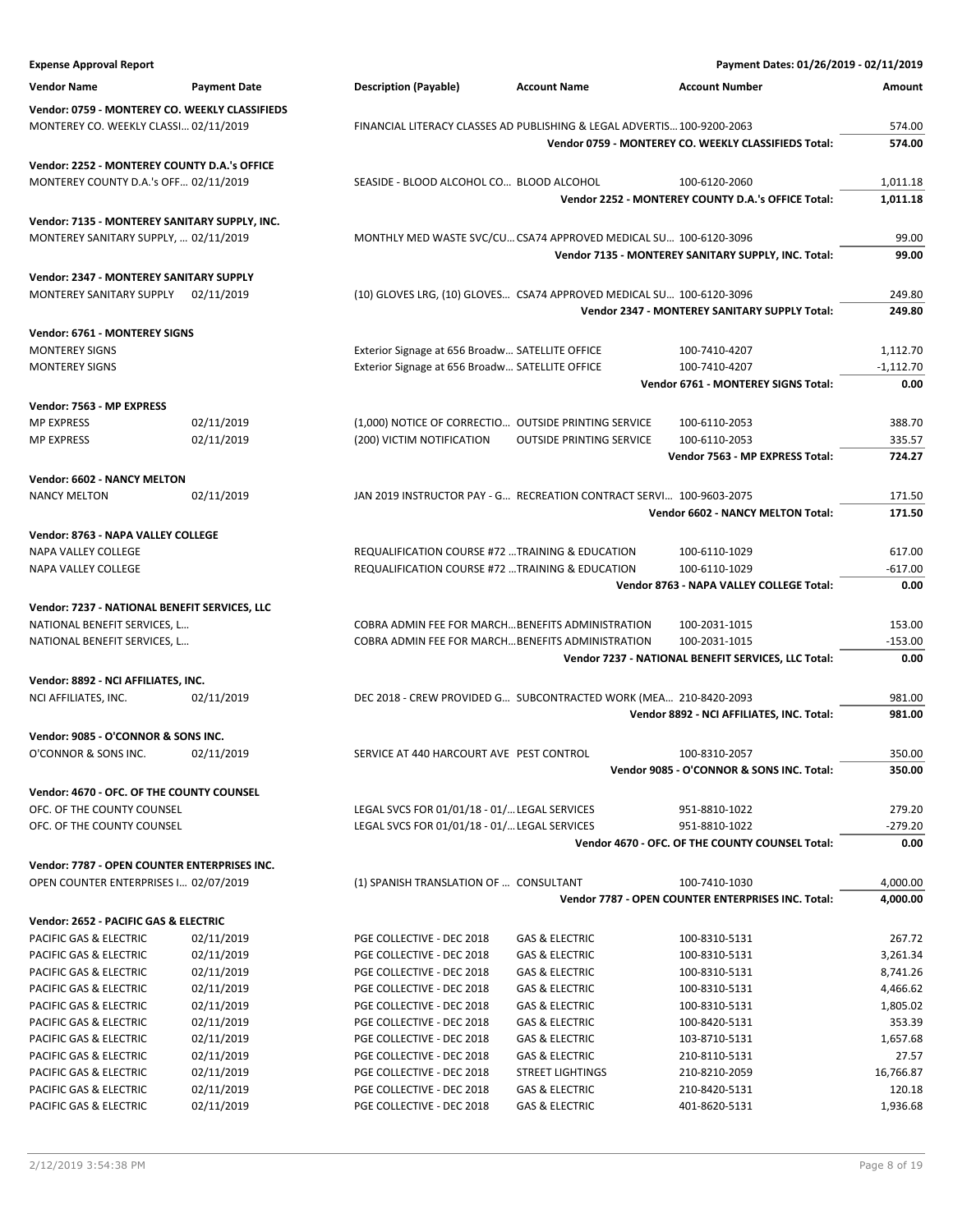| <b>Expense Approval Report</b>                   |                          |                                                        |                                                                         | Payment Dates: 01/26/2019 - 02/11/2019                              |                    |
|--------------------------------------------------|--------------------------|--------------------------------------------------------|-------------------------------------------------------------------------|---------------------------------------------------------------------|--------------------|
| <b>Vendor Name</b>                               | <b>Payment Date</b>      | <b>Description (Payable)</b>                           | <b>Account Name</b>                                                     | <b>Account Number</b>                                               | Amount             |
| Vendor: 0759 - MONTEREY CO. WEEKLY CLASSIFIEDS   |                          |                                                        |                                                                         |                                                                     |                    |
| MONTEREY CO. WEEKLY CLASSI 02/11/2019            |                          |                                                        | FINANCIAL LITERACY CLASSES AD PUBLISHING & LEGAL ADVERTIS 100-9200-2063 |                                                                     | 574.00             |
|                                                  |                          |                                                        |                                                                         | Vendor 0759 - MONTEREY CO. WEEKLY CLASSIFIEDS Total:                | 574.00             |
|                                                  |                          |                                                        |                                                                         |                                                                     |                    |
| Vendor: 2252 - MONTEREY COUNTY D.A.'s OFFICE     |                          |                                                        |                                                                         |                                                                     |                    |
| MONTEREY COUNTY D.A.'s OFF 02/11/2019            |                          | SEASIDE - BLOOD ALCOHOL CO BLOOD ALCOHOL               |                                                                         | 100-6120-2060<br>Vendor 2252 - MONTEREY COUNTY D.A.'s OFFICE Total: | 1,011.18           |
|                                                  |                          |                                                        |                                                                         |                                                                     | 1,011.18           |
| Vendor: 7135 - MONTEREY SANITARY SUPPLY, INC.    |                          |                                                        |                                                                         |                                                                     |                    |
| MONTEREY SANITARY SUPPLY,  02/11/2019            |                          |                                                        | MONTHLY MED WASTE SVC/CU CSA74 APPROVED MEDICAL SU 100-6120-3096        |                                                                     | 99.00              |
|                                                  |                          |                                                        |                                                                         | Vendor 7135 - MONTEREY SANITARY SUPPLY, INC. Total:                 | 99.00              |
| Vendor: 2347 - MONTEREY SANITARY SUPPLY          |                          |                                                        |                                                                         |                                                                     |                    |
| MONTEREY SANITARY SUPPLY                         | 02/11/2019               |                                                        | (10) GLOVES LRG, (10) GLOVES CSA74 APPROVED MEDICAL SU 100-6120-3096    |                                                                     | 249.80             |
|                                                  |                          |                                                        |                                                                         | <b>Vendor 2347 - MONTEREY SANITARY SUPPLY Total:</b>                | 249.80             |
| Vendor: 6761 - MONTEREY SIGNS                    |                          |                                                        |                                                                         |                                                                     |                    |
| <b>MONTEREY SIGNS</b>                            |                          | Exterior Signage at 656 Broadw SATELLITE OFFICE        |                                                                         | 100-7410-4207                                                       | 1,112.70           |
| <b>MONTEREY SIGNS</b>                            |                          | Exterior Signage at 656 Broadw SATELLITE OFFICE        |                                                                         | 100-7410-4207                                                       | $-1,112.70$        |
|                                                  |                          |                                                        |                                                                         | Vendor 6761 - MONTEREY SIGNS Total:                                 | 0.00               |
|                                                  |                          |                                                        |                                                                         |                                                                     |                    |
| Vendor: 7563 - MP EXPRESS                        |                          |                                                        |                                                                         |                                                                     |                    |
| <b>MP EXPRESS</b>                                | 02/11/2019               |                                                        | (1,000) NOTICE OF CORRECTIO OUTSIDE PRINTING SERVICE                    | 100-6110-2053                                                       | 388.70             |
| <b>MP EXPRESS</b>                                | 02/11/2019               | (200) VICTIM NOTIFICATION                              | <b>OUTSIDE PRINTING SERVICE</b>                                         | 100-6110-2053                                                       | 335.57             |
|                                                  |                          |                                                        |                                                                         | Vendor 7563 - MP EXPRESS Total:                                     | 724.27             |
| Vendor: 6602 - NANCY MELTON                      |                          |                                                        |                                                                         |                                                                     |                    |
| <b>NANCY MELTON</b>                              | 02/11/2019               |                                                        | JAN 2019 INSTRUCTOR PAY - G RECREATION CONTRACT SERVI 100-9603-2075     |                                                                     | 171.50             |
|                                                  |                          |                                                        |                                                                         | Vendor 6602 - NANCY MELTON Total:                                   | 171.50             |
| Vendor: 8763 - NAPA VALLEY COLLEGE               |                          |                                                        |                                                                         |                                                                     |                    |
| NAPA VALLEY COLLEGE                              |                          | REQUALIFICATION COURSE #72 TRAINING & EDUCATION        |                                                                         | 100-6110-1029                                                       | 617.00             |
| NAPA VALLEY COLLEGE                              |                          | REQUALIFICATION COURSE #72 TRAINING & EDUCATION        |                                                                         | 100-6110-1029                                                       | $-617.00$          |
|                                                  |                          |                                                        |                                                                         | Vendor 8763 - NAPA VALLEY COLLEGE Total:                            | 0.00               |
| Vendor: 7237 - NATIONAL BENEFIT SERVICES, LLC    |                          |                                                        |                                                                         |                                                                     |                    |
| NATIONAL BENEFIT SERVICES, L                     |                          |                                                        | COBRA ADMIN FEE FOR MARCH BENEFITS ADMINISTRATION                       | 100-2031-1015                                                       | 153.00             |
| NATIONAL BENEFIT SERVICES, L                     |                          |                                                        | COBRA ADMIN FEE FOR MARCH BENEFITS ADMINISTRATION                       | 100-2031-1015                                                       | $-153.00$          |
|                                                  |                          |                                                        |                                                                         | Vendor 7237 - NATIONAL BENEFIT SERVICES, LLC Total:                 | 0.00               |
|                                                  |                          |                                                        |                                                                         |                                                                     |                    |
| Vendor: 8892 - NCI AFFILIATES, INC.              |                          |                                                        |                                                                         |                                                                     |                    |
| NCI AFFILIATES, INC.                             | 02/11/2019               |                                                        | DEC 2018 - CREW PROVIDED G SUBCONTRACTED WORK (MEA 210-8420-2093        | Vendor 8892 - NCI AFFILIATES, INC. Total:                           | 981.00<br>981.00   |
|                                                  |                          |                                                        |                                                                         |                                                                     |                    |
| Vendor: 9085 - O'CONNOR & SONS INC.              |                          |                                                        |                                                                         |                                                                     |                    |
| O'CONNOR & SONS INC.                             | 02/11/2019               | SERVICE AT 440 HARCOURT AVE PEST CONTROL               |                                                                         | 100-8310-2057                                                       | 350.00             |
|                                                  |                          |                                                        |                                                                         | Vendor 9085 - O'CONNOR & SONS INC. Total:                           | 350.00             |
| Vendor: 4670 - OFC. OF THE COUNTY COUNSEL        |                          |                                                        |                                                                         |                                                                     |                    |
| OFC. OF THE COUNTY COUNSEL                       |                          | LEGAL SVCS FOR 01/01/18 - 01/ LEGAL SERVICES           |                                                                         | 951-8810-1022                                                       | 279.20             |
| OFC. OF THE COUNTY COUNSEL                       |                          | LEGAL SVCS FOR 01/01/18 - 01/ LEGAL SERVICES           |                                                                         | 951-8810-1022                                                       | $-279.20$          |
|                                                  |                          |                                                        |                                                                         | Vendor 4670 - OFC. OF THE COUNTY COUNSEL Total:                     | 0.00               |
| Vendor: 7787 - OPEN COUNTER ENTERPRISES INC.     |                          |                                                        |                                                                         |                                                                     |                    |
| OPEN COUNTER ENTERPRISES I 02/07/2019            |                          | (1) SPANISH TRANSLATION OF  CONSULTANT                 |                                                                         | 100-7410-1030                                                       | 4,000.00           |
|                                                  |                          |                                                        |                                                                         | Vendor 7787 - OPEN COUNTER ENTERPRISES INC. Total:                  | 4,000.00           |
|                                                  |                          |                                                        |                                                                         |                                                                     |                    |
| Vendor: 2652 - PACIFIC GAS & ELECTRIC            |                          |                                                        |                                                                         |                                                                     |                    |
| PACIFIC GAS & ELECTRIC                           | 02/11/2019               | PGE COLLECTIVE - DEC 2018                              | <b>GAS &amp; ELECTRIC</b>                                               | 100-8310-5131                                                       | 267.72             |
| PACIFIC GAS & ELECTRIC                           | 02/11/2019               | PGE COLLECTIVE - DEC 2018                              | <b>GAS &amp; ELECTRIC</b>                                               | 100-8310-5131                                                       | 3,261.34           |
| PACIFIC GAS & ELECTRIC                           | 02/11/2019               | PGE COLLECTIVE - DEC 2018                              | <b>GAS &amp; ELECTRIC</b>                                               | 100-8310-5131                                                       | 8,741.26           |
| PACIFIC GAS & ELECTRIC                           | 02/11/2019               | PGE COLLECTIVE - DEC 2018                              | <b>GAS &amp; ELECTRIC</b>                                               | 100-8310-5131                                                       | 4,466.62           |
| PACIFIC GAS & ELECTRIC                           | 02/11/2019               | PGE COLLECTIVE - DEC 2018                              | <b>GAS &amp; ELECTRIC</b>                                               | 100-8310-5131                                                       | 1,805.02           |
| PACIFIC GAS & ELECTRIC<br>PACIFIC GAS & ELECTRIC | 02/11/2019<br>02/11/2019 | PGE COLLECTIVE - DEC 2018<br>PGE COLLECTIVE - DEC 2018 | <b>GAS &amp; ELECTRIC</b><br><b>GAS &amp; ELECTRIC</b>                  | 100-8420-5131<br>103-8710-5131                                      | 353.39<br>1,657.68 |
| PACIFIC GAS & ELECTRIC                           | 02/11/2019               | PGE COLLECTIVE - DEC 2018                              | GAS & ELECTRIC                                                          | 210-8110-5131                                                       | 27.57              |
| PACIFIC GAS & ELECTRIC                           | 02/11/2019               | PGE COLLECTIVE - DEC 2018                              | <b>STREET LIGHTINGS</b>                                                 | 210-8210-2059                                                       | 16,766.87          |
| PACIFIC GAS & ELECTRIC                           | 02/11/2019               | PGE COLLECTIVE - DEC 2018                              | <b>GAS &amp; ELECTRIC</b>                                               | 210-8420-5131                                                       | 120.18             |
| PACIFIC GAS & ELECTRIC                           | 02/11/2019               | PGE COLLECTIVE - DEC 2018                              | <b>GAS &amp; ELECTRIC</b>                                               | 401-8620-5131                                                       | 1,936.68           |
|                                                  |                          |                                                        |                                                                         |                                                                     |                    |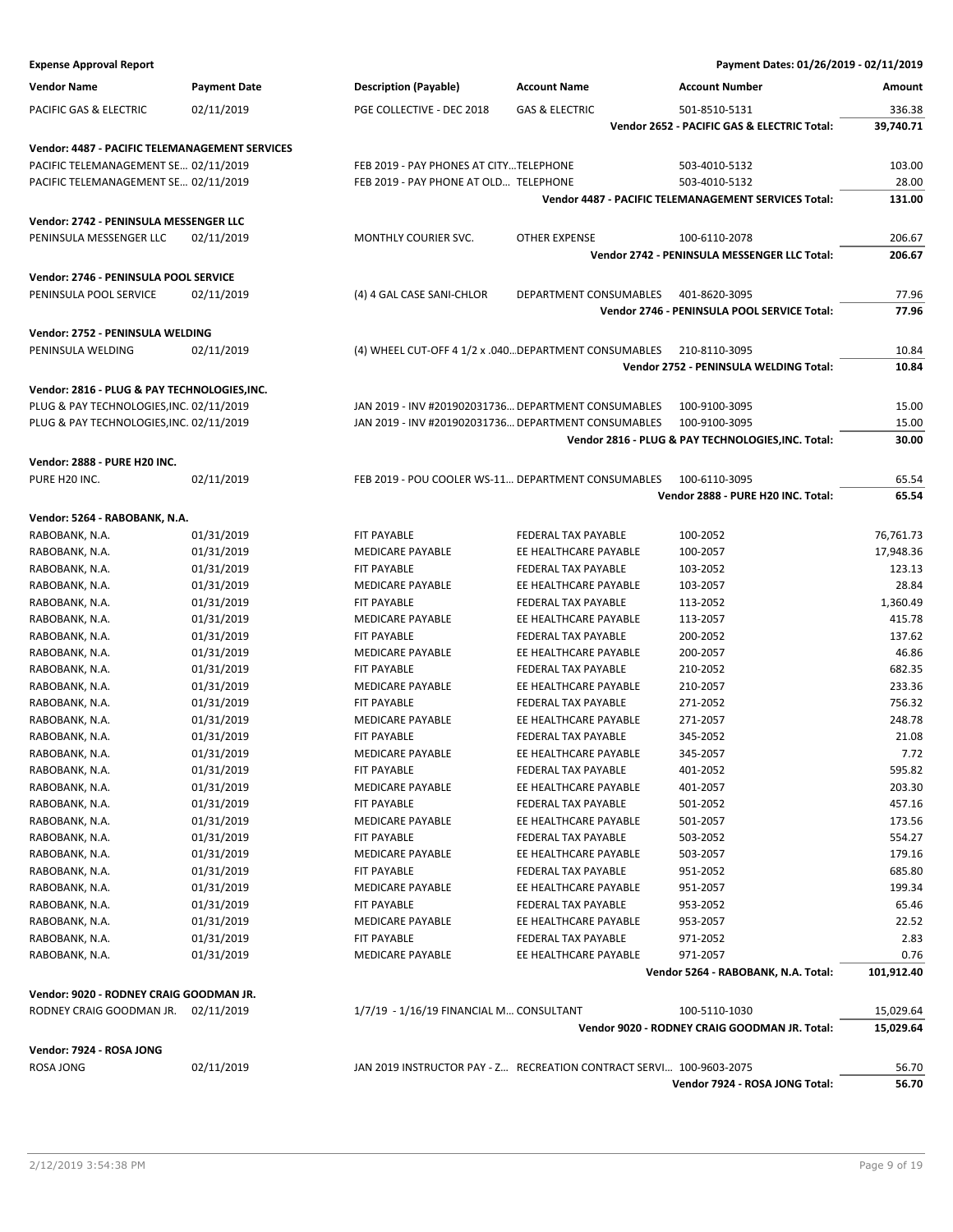**Vendor: 2888 - PURE H20 INC.**

| <b>Expense Approval Report</b>                        |                     |                                                       |                           | Payment Dates: 01/26/2019 - 02/11/2019                      |           |
|-------------------------------------------------------|---------------------|-------------------------------------------------------|---------------------------|-------------------------------------------------------------|-----------|
| <b>Vendor Name</b>                                    | <b>Payment Date</b> | <b>Description (Payable)</b>                          | <b>Account Name</b>       | <b>Account Number</b>                                       | Amount    |
| <b>PACIFIC GAS &amp; ELECTRIC</b>                     | 02/11/2019          | PGE COLLECTIVE - DEC 2018                             | <b>GAS &amp; ELECTRIC</b> | 501-8510-5131                                               | 336.38    |
|                                                       |                     |                                                       |                           | Vendor 2652 - PACIFIC GAS & ELECTRIC Total:                 | 39,740.71 |
| <b>Vendor: 4487 - PACIFIC TELEMANAGEMENT SERVICES</b> |                     |                                                       |                           |                                                             |           |
| PACIFIC TELEMANAGEMENT SE 02/11/2019                  |                     | FEB 2019 - PAY PHONES AT CITYTELEPHONE                |                           | 503-4010-5132                                               | 103.00    |
| PACIFIC TELEMANAGEMENT SE 02/11/2019                  |                     | FEB 2019 - PAY PHONE AT OLD TELEPHONE                 |                           | 503-4010-5132                                               | 28.00     |
|                                                       |                     |                                                       |                           | <b>Vendor 4487 - PACIFIC TELEMANAGEMENT SERVICES Total:</b> | 131.00    |
| Vendor: 2742 - PENINSULA MESSENGER LLC                |                     |                                                       |                           |                                                             |           |
| PENINSULA MESSENGER LLC                               | 02/11/2019          | <b>MONTHLY COURIER SVC.</b>                           | <b>OTHER EXPENSE</b>      | 100-6110-2078                                               | 206.67    |
|                                                       |                     |                                                       |                           | Vendor 2742 - PENINSULA MESSENGER LLC Total:                | 206.67    |
| Vendor: 2746 - PENINSULA POOL SERVICE                 |                     |                                                       |                           |                                                             |           |
| PENINSULA POOL SERVICE                                | 02/11/2019          | (4) 4 GAL CASE SANI-CHLOR                             | DEPARTMENT CONSUMABLES    | 401-8620-3095                                               | 77.96     |
|                                                       |                     |                                                       |                           | Vendor 2746 - PENINSULA POOL SERVICE Total:                 | 77.96     |
| Vendor: 2752 - PENINSULA WELDING                      |                     |                                                       |                           |                                                             |           |
| PENINSULA WELDING                                     | 02/11/2019          | (4) WHEEL CUT-OFF 4 1/2 x .040 DEPARTMENT CONSUMABLES |                           | 210-8110-3095                                               | 10.84     |
|                                                       |                     |                                                       |                           | Vendor 2752 - PENINSULA WELDING Total:                      | 10.84     |
| Vendor: 2816 - PLUG & PAY TECHNOLOGIES, INC.          |                     |                                                       |                           |                                                             |           |
| PLUG & PAY TECHNOLOGIES, INC. 02/11/2019              |                     | JAN 2019 - INV #201902031736 DEPARTMENT CONSUMABLES   |                           | 100-9100-3095                                               | 15.00     |
| PLUG & PAY TECHNOLOGIES, INC. 02/11/2019              |                     | JAN 2019 - INV #201902031736 DEPARTMENT CONSUMABLES   |                           | 100-9100-3095                                               | 15.00     |
|                                                       |                     |                                                       |                           | Vendor 2816 - PLUG & PAY TECHNOLOGIES, INC. Total:          | 30.00     |

| PURE H20 INC.                           | 02/11/2019 | FEB 2019 - POU COOLER WS-11 DEPARTMENT CONSUMABLES |                            | 100-6110-3095                                 | 65.54      |
|-----------------------------------------|------------|----------------------------------------------------|----------------------------|-----------------------------------------------|------------|
|                                         |            |                                                    |                            | Vendor 2888 - PURE H20 INC. Total:            | 65.54      |
| Vendor: 5264 - RABOBANK, N.A.           |            |                                                    |                            |                                               |            |
| RABOBANK, N.A.                          | 01/31/2019 | <b>FIT PAYABLE</b>                                 | FEDERAL TAX PAYABLE        | 100-2052                                      | 76,761.73  |
| RABOBANK, N.A.                          | 01/31/2019 | <b>MEDICARE PAYABLE</b>                            | EE HEALTHCARE PAYABLE      | 100-2057                                      | 17,948.36  |
| RABOBANK, N.A.                          | 01/31/2019 | <b>FIT PAYABLE</b>                                 | <b>FEDERAL TAX PAYABLE</b> | 103-2052                                      | 123.13     |
| RABOBANK, N.A.                          | 01/31/2019 | <b>MEDICARE PAYABLE</b>                            | EE HEALTHCARE PAYABLE      | 103-2057                                      | 28.84      |
| RABOBANK, N.A.                          | 01/31/2019 | <b>FIT PAYABLE</b>                                 | <b>FEDERAL TAX PAYABLE</b> | 113-2052                                      | 1,360.49   |
| RABOBANK, N.A.                          | 01/31/2019 | <b>MEDICARE PAYABLE</b>                            | EE HEALTHCARE PAYABLE      | 113-2057                                      | 415.78     |
| RABOBANK, N.A.                          | 01/31/2019 | FIT PAYABLE                                        | FEDERAL TAX PAYABLE        | 200-2052                                      | 137.62     |
| RABOBANK, N.A.                          | 01/31/2019 | <b>MEDICARE PAYABLE</b>                            | EE HEALTHCARE PAYABLE      | 200-2057                                      | 46.86      |
| RABOBANK, N.A.                          | 01/31/2019 | FIT PAYABLE                                        | FEDERAL TAX PAYABLE        | 210-2052                                      | 682.35     |
| RABOBANK, N.A.                          | 01/31/2019 | <b>MEDICARE PAYABLE</b>                            | EE HEALTHCARE PAYABLE      | 210-2057                                      | 233.36     |
| RABOBANK, N.A.                          | 01/31/2019 | FIT PAYABLE                                        | FEDERAL TAX PAYABLE        | 271-2052                                      | 756.32     |
| RABOBANK, N.A.                          | 01/31/2019 | <b>MEDICARE PAYABLE</b>                            | EE HEALTHCARE PAYABLE      | 271-2057                                      | 248.78     |
| RABOBANK, N.A.                          | 01/31/2019 | <b>FIT PAYABLE</b>                                 | FEDERAL TAX PAYABLE        | 345-2052                                      | 21.08      |
| RABOBANK, N.A.                          | 01/31/2019 | <b>MEDICARE PAYABLE</b>                            | EE HEALTHCARE PAYABLE      | 345-2057                                      | 7.72       |
| RABOBANK, N.A.                          | 01/31/2019 | FIT PAYABLE                                        | FEDERAL TAX PAYABLE        | 401-2052                                      | 595.82     |
| RABOBANK, N.A.                          | 01/31/2019 | <b>MEDICARE PAYABLE</b>                            | EE HEALTHCARE PAYABLE      | 401-2057                                      | 203.30     |
| RABOBANK, N.A.                          | 01/31/2019 | <b>FIT PAYABLE</b>                                 | <b>FEDERAL TAX PAYABLE</b> | 501-2052                                      | 457.16     |
| RABOBANK, N.A.                          | 01/31/2019 | <b>MEDICARE PAYABLE</b>                            | EE HEALTHCARE PAYABLE      | 501-2057                                      | 173.56     |
| RABOBANK, N.A.                          | 01/31/2019 | <b>FIT PAYABLE</b>                                 | FEDERAL TAX PAYABLE        | 503-2052                                      | 554.27     |
| RABOBANK, N.A.                          | 01/31/2019 | <b>MEDICARE PAYABLE</b>                            | EE HEALTHCARE PAYABLE      | 503-2057                                      | 179.16     |
| RABOBANK, N.A.                          | 01/31/2019 | <b>FIT PAYABLE</b>                                 | <b>FEDERAL TAX PAYABLE</b> | 951-2052                                      | 685.80     |
| RABOBANK, N.A.                          | 01/31/2019 | <b>MEDICARE PAYABLE</b>                            | EE HEALTHCARE PAYABLE      | 951-2057                                      | 199.34     |
| RABOBANK, N.A.                          | 01/31/2019 | FIT PAYABLE                                        | FEDERAL TAX PAYABLE        | 953-2052                                      | 65.46      |
| RABOBANK, N.A.                          | 01/31/2019 | <b>MEDICARE PAYABLE</b>                            | EE HEALTHCARE PAYABLE      | 953-2057                                      | 22.52      |
| RABOBANK, N.A.                          | 01/31/2019 | FIT PAYABLE                                        | FEDERAL TAX PAYABLE        | 971-2052                                      | 2.83       |
| RABOBANK, N.A.                          | 01/31/2019 | <b>MEDICARE PAYABLE</b>                            | EE HEALTHCARE PAYABLE      | 971-2057                                      | 0.76       |
|                                         |            |                                                    |                            | Vendor 5264 - RABOBANK, N.A. Total:           | 101,912.40 |
| Vendor: 9020 - RODNEY CRAIG GOODMAN JR. |            |                                                    |                            |                                               |            |
| RODNEY CRAIG GOODMAN JR.                | 02/11/2019 | 1/7/19 - 1/16/19 FINANCIAL M CONSULTANT            |                            | 100-5110-1030                                 | 15,029.64  |
|                                         |            |                                                    |                            | Vendor 9020 - RODNEY CRAIG GOODMAN JR. Total: | 15,029.64  |
| Vendor: 7924 - ROSA JONG                |            |                                                    |                            |                                               |            |

| Vendor: 7924 - ROSA JONG |
|--------------------------|
|                          |

ROSA JONG 02/11/2019 JAN 2019 INSTRUCTOR PAY - Z... RECREATION CONTRACT SERVI... 100-9603-2075 56.70 **Vendor 7924 - ROSA JONG Total: 56.70**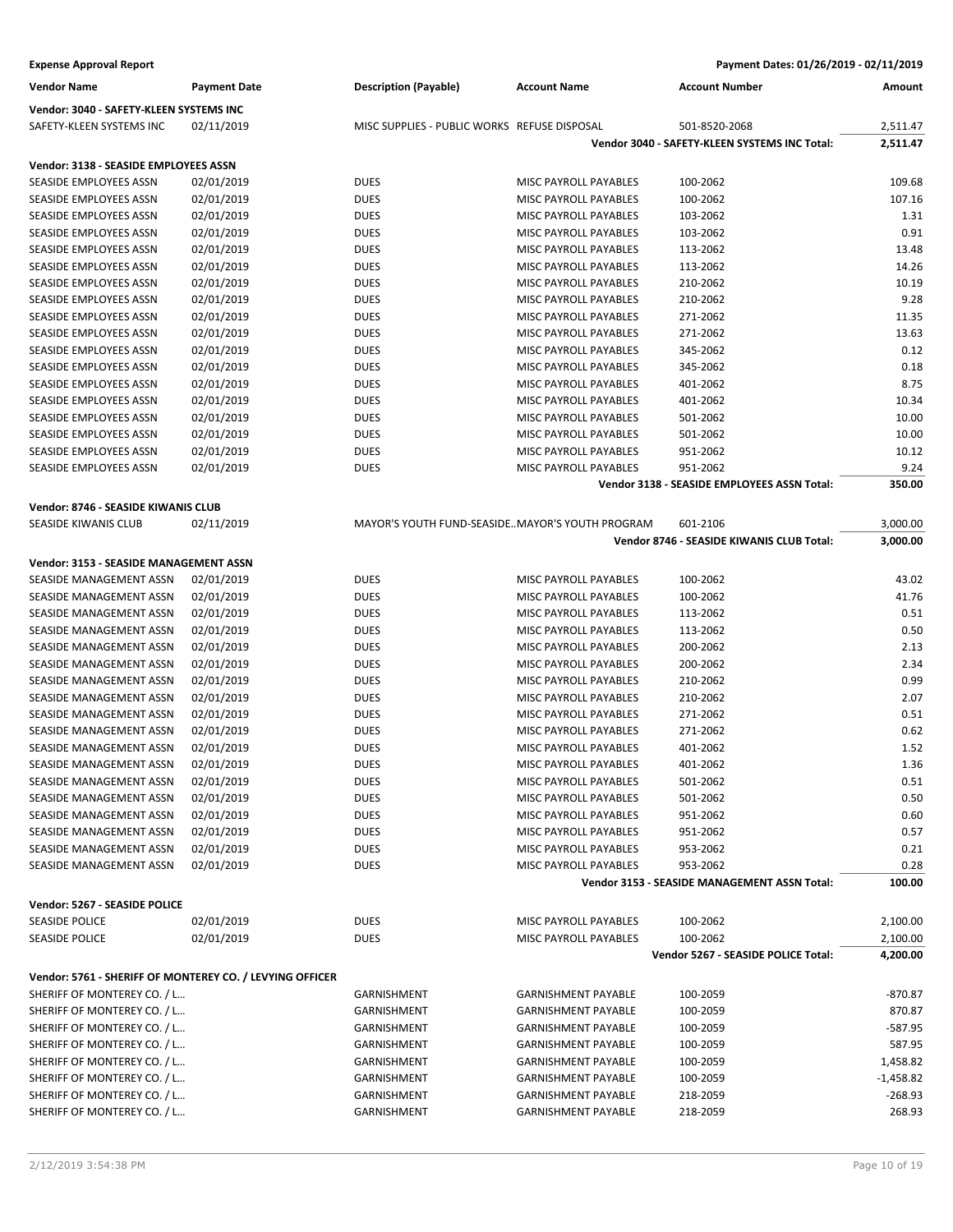| <b>Expense Approval Report</b>                           |                     |                                                 |                              | Payment Dates: 01/26/2019 - 02/11/2019        |             |
|----------------------------------------------------------|---------------------|-------------------------------------------------|------------------------------|-----------------------------------------------|-------------|
| <b>Vendor Name</b>                                       | <b>Payment Date</b> | <b>Description (Payable)</b>                    | <b>Account Name</b>          | <b>Account Number</b>                         | Amount      |
| Vendor: 3040 - SAFETY-KLEEN SYSTEMS INC                  |                     |                                                 |                              |                                               |             |
| SAFETY-KLEEN SYSTEMS INC                                 | 02/11/2019          | MISC SUPPLIES - PUBLIC WORKS REFUSE DISPOSAL    |                              | 501-8520-2068                                 | 2,511.47    |
|                                                          |                     |                                                 |                              | Vendor 3040 - SAFETY-KLEEN SYSTEMS INC Total: | 2,511.47    |
| Vendor: 3138 - SEASIDE EMPLOYEES ASSN                    |                     |                                                 |                              |                                               |             |
| SEASIDE EMPLOYEES ASSN                                   | 02/01/2019          | <b>DUES</b>                                     | MISC PAYROLL PAYABLES        | 100-2062                                      | 109.68      |
| SEASIDE EMPLOYEES ASSN                                   | 02/01/2019          | <b>DUES</b>                                     | MISC PAYROLL PAYABLES        | 100-2062                                      | 107.16      |
| SEASIDE EMPLOYEES ASSN                                   | 02/01/2019          | <b>DUES</b>                                     | MISC PAYROLL PAYABLES        | 103-2062                                      | 1.31        |
| SEASIDE EMPLOYEES ASSN                                   | 02/01/2019          | <b>DUES</b>                                     | MISC PAYROLL PAYABLES        | 103-2062                                      | 0.91        |
| SEASIDE EMPLOYEES ASSN                                   | 02/01/2019          | <b>DUES</b>                                     | MISC PAYROLL PAYABLES        | 113-2062                                      | 13.48       |
| SEASIDE EMPLOYEES ASSN                                   | 02/01/2019          | <b>DUES</b>                                     | MISC PAYROLL PAYABLES        | 113-2062                                      | 14.26       |
| SEASIDE EMPLOYEES ASSN                                   | 02/01/2019          | <b>DUES</b>                                     | MISC PAYROLL PAYABLES        | 210-2062                                      | 10.19       |
| SEASIDE EMPLOYEES ASSN                                   | 02/01/2019          | <b>DUES</b>                                     | MISC PAYROLL PAYABLES        | 210-2062                                      | 9.28        |
| SEASIDE EMPLOYEES ASSN                                   | 02/01/2019          | <b>DUES</b>                                     | MISC PAYROLL PAYABLES        | 271-2062                                      | 11.35       |
| SEASIDE EMPLOYEES ASSN                                   | 02/01/2019          | <b>DUES</b>                                     | MISC PAYROLL PAYABLES        | 271-2062                                      | 13.63       |
| SEASIDE EMPLOYEES ASSN                                   | 02/01/2019          | <b>DUES</b>                                     | MISC PAYROLL PAYABLES        | 345-2062                                      | 0.12        |
| SEASIDE EMPLOYEES ASSN                                   | 02/01/2019          | <b>DUES</b>                                     | MISC PAYROLL PAYABLES        | 345-2062                                      | 0.18        |
| SEASIDE EMPLOYEES ASSN                                   | 02/01/2019          | <b>DUES</b>                                     | MISC PAYROLL PAYABLES        | 401-2062                                      | 8.75        |
| SEASIDE EMPLOYEES ASSN                                   | 02/01/2019          | <b>DUES</b>                                     | MISC PAYROLL PAYABLES        | 401-2062                                      | 10.34       |
| SEASIDE EMPLOYEES ASSN                                   | 02/01/2019          | <b>DUES</b>                                     | <b>MISC PAYROLL PAYABLES</b> | 501-2062                                      | 10.00       |
|                                                          |                     |                                                 |                              |                                               |             |
| SEASIDE EMPLOYEES ASSN                                   | 02/01/2019          | <b>DUES</b>                                     | MISC PAYROLL PAYABLES        | 501-2062                                      | 10.00       |
| SEASIDE EMPLOYEES ASSN                                   | 02/01/2019          | <b>DUES</b>                                     | MISC PAYROLL PAYABLES        | 951-2062                                      | 10.12       |
| <b>SEASIDE EMPLOYEES ASSN</b>                            | 02/01/2019          | <b>DUES</b>                                     | MISC PAYROLL PAYABLES        | 951-2062                                      | 9.24        |
|                                                          |                     |                                                 |                              | Vendor 3138 - SEASIDE EMPLOYEES ASSN Total:   | 350.00      |
| Vendor: 8746 - SEASIDE KIWANIS CLUB                      |                     |                                                 |                              |                                               |             |
| SEASIDE KIWANIS CLUB                                     | 02/11/2019          | MAYOR'S YOUTH FUND-SEASIDEMAYOR'S YOUTH PROGRAM |                              | 601-2106                                      | 3,000.00    |
|                                                          |                     |                                                 |                              | Vendor 8746 - SEASIDE KIWANIS CLUB Total:     | 3,000.00    |
| Vendor: 3153 - SEASIDE MANAGEMENT ASSN                   |                     |                                                 |                              |                                               |             |
| SEASIDE MANAGEMENT ASSN                                  | 02/01/2019          | <b>DUES</b>                                     | MISC PAYROLL PAYABLES        | 100-2062                                      | 43.02       |
| SEASIDE MANAGEMENT ASSN                                  | 02/01/2019          | <b>DUES</b>                                     | MISC PAYROLL PAYABLES        | 100-2062                                      | 41.76       |
| SEASIDE MANAGEMENT ASSN                                  | 02/01/2019          | <b>DUES</b>                                     | MISC PAYROLL PAYABLES        | 113-2062                                      | 0.51        |
| SEASIDE MANAGEMENT ASSN                                  | 02/01/2019          | <b>DUES</b>                                     | MISC PAYROLL PAYABLES        | 113-2062                                      | 0.50        |
| SEASIDE MANAGEMENT ASSN                                  | 02/01/2019          | <b>DUES</b>                                     | MISC PAYROLL PAYABLES        | 200-2062                                      | 2.13        |
| SEASIDE MANAGEMENT ASSN                                  | 02/01/2019          | <b>DUES</b>                                     | <b>MISC PAYROLL PAYABLES</b> | 200-2062                                      | 2.34        |
| SEASIDE MANAGEMENT ASSN                                  | 02/01/2019          | <b>DUES</b>                                     | MISC PAYROLL PAYABLES        | 210-2062                                      | 0.99        |
| SEASIDE MANAGEMENT ASSN                                  | 02/01/2019          | <b>DUES</b>                                     | MISC PAYROLL PAYABLES        | 210-2062                                      | 2.07        |
|                                                          |                     |                                                 |                              |                                               |             |
| SEASIDE MANAGEMENT ASSN                                  | 02/01/2019          | <b>DUES</b>                                     | MISC PAYROLL PAYABLES        | 271-2062                                      | 0.51        |
| SEASIDE MANAGEMENT ASSN                                  | 02/01/2019          | <b>DUES</b>                                     | MISC PAYROLL PAYABLES        | 271-2062                                      | 0.62        |
| SEASIDE MANAGEMENT ASSN                                  | 02/01/2019          | <b>DUES</b>                                     | MISC PAYROLL PAYABLES        | 401-2062                                      | 1.52        |
| SEASIDE MANAGEMENT ASSN                                  | 02/01/2019          | <b>DUES</b>                                     | MISC PAYROLL PAYABLES        | 401-2062                                      | 1.36        |
| SEASIDE MANAGEMENT ASSN                                  | 02/01/2019          | <b>DUES</b>                                     | MISC PAYROLL PAYABLES        | 501-2062                                      | 0.51        |
| SEASIDE MANAGEMENT ASSN                                  | 02/01/2019          | <b>DUES</b>                                     | MISC PAYROLL PAYABLES        | 501-2062                                      | 0.50        |
| SEASIDE MANAGEMENT ASSN                                  | 02/01/2019          | <b>DUES</b>                                     | MISC PAYROLL PAYABLES        | 951-2062                                      | 0.60        |
| SEASIDE MANAGEMENT ASSN                                  | 02/01/2019          | <b>DUES</b>                                     | MISC PAYROLL PAYABLES        | 951-2062                                      | 0.57        |
| SEASIDE MANAGEMENT ASSN                                  | 02/01/2019          | <b>DUES</b>                                     | MISC PAYROLL PAYABLES        | 953-2062                                      | 0.21        |
| SEASIDE MANAGEMENT ASSN                                  | 02/01/2019          | <b>DUES</b>                                     | MISC PAYROLL PAYABLES        | 953-2062                                      | 0.28        |
|                                                          |                     |                                                 |                              | Vendor 3153 - SEASIDE MANAGEMENT ASSN Total:  | 100.00      |
| Vendor: 5267 - SEASIDE POLICE                            |                     |                                                 |                              |                                               |             |
| <b>SEASIDE POLICE</b>                                    | 02/01/2019          | <b>DUES</b>                                     | MISC PAYROLL PAYABLES        | 100-2062                                      | 2,100.00    |
| <b>SEASIDE POLICE</b>                                    | 02/01/2019          | <b>DUES</b>                                     | MISC PAYROLL PAYABLES        | 100-2062                                      | 2,100.00    |
|                                                          |                     |                                                 |                              | Vendor 5267 - SEASIDE POLICE Total:           | 4,200.00    |
| Vendor: 5761 - SHERIFF OF MONTEREY CO. / LEVYING OFFICER |                     |                                                 |                              |                                               |             |
|                                                          |                     |                                                 |                              |                                               |             |
| SHERIFF OF MONTEREY CO. / L                              |                     | GARNISHMENT                                     | <b>GARNISHMENT PAYABLE</b>   | 100-2059                                      | -870.87     |
| SHERIFF OF MONTEREY CO. / L                              |                     | GARNISHMENT                                     | <b>GARNISHMENT PAYABLE</b>   | 100-2059                                      | 870.87      |
| SHERIFF OF MONTEREY CO. / L                              |                     | GARNISHMENT                                     | <b>GARNISHMENT PAYABLE</b>   | 100-2059                                      | -587.95     |
| SHERIFF OF MONTEREY CO. / L                              |                     | GARNISHMENT                                     | <b>GARNISHMENT PAYABLE</b>   | 100-2059                                      | 587.95      |
| SHERIFF OF MONTEREY CO. / L                              |                     | GARNISHMENT                                     | <b>GARNISHMENT PAYABLE</b>   | 100-2059                                      | 1,458.82    |
| SHERIFF OF MONTEREY CO. / L                              |                     | GARNISHMENT                                     | <b>GARNISHMENT PAYABLE</b>   | 100-2059                                      | $-1,458.82$ |
| SHERIFF OF MONTEREY CO. / L                              |                     | GARNISHMENT                                     | <b>GARNISHMENT PAYABLE</b>   | 218-2059                                      | $-268.93$   |
| SHERIFF OF MONTEREY CO. / L                              |                     | GARNISHMENT                                     | <b>GARNISHMENT PAYABLE</b>   | 218-2059                                      | 268.93      |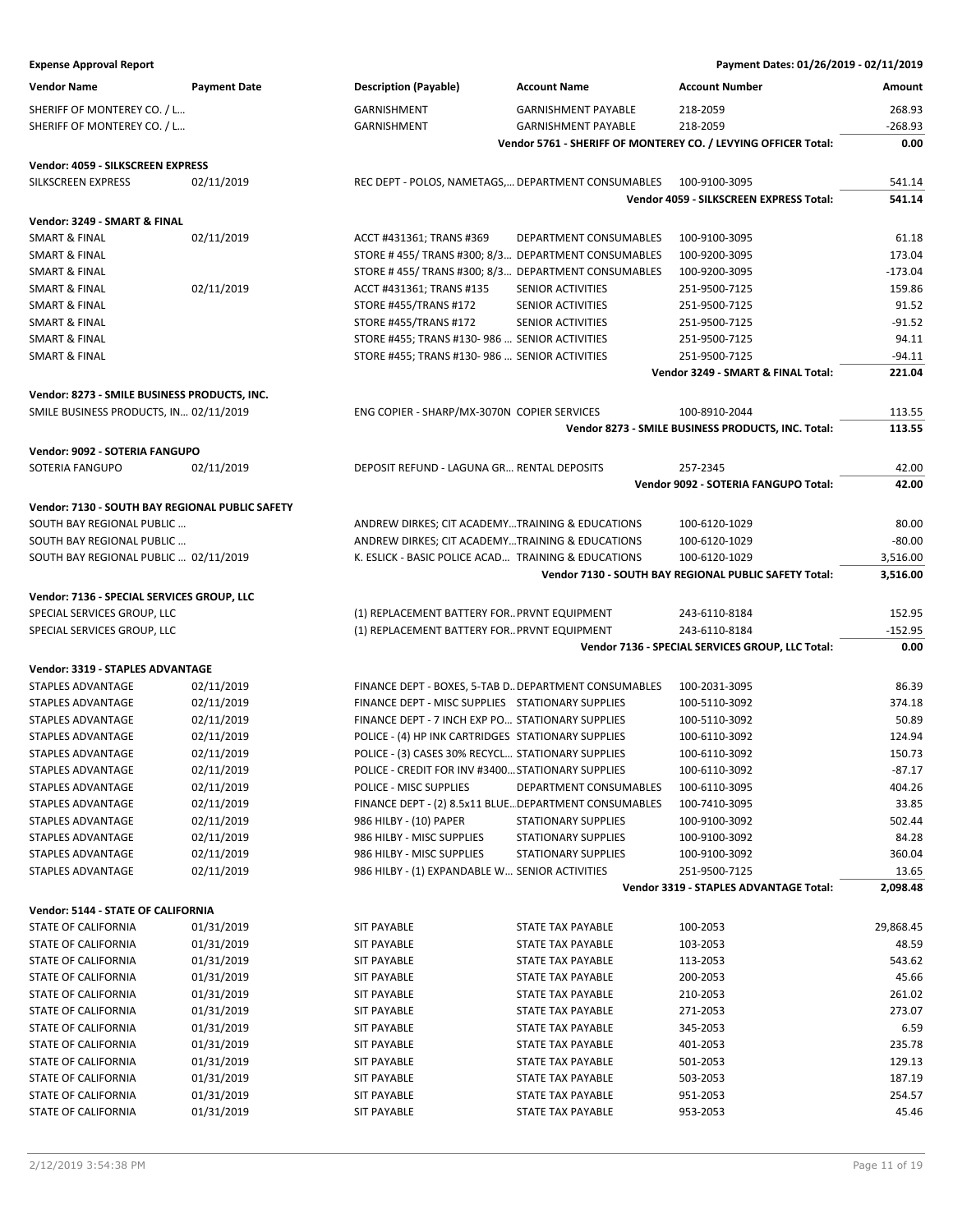| <b>Expense Approval Report</b> | Payment Dates: 01/26/2019 - 02/11/2019 |
|--------------------------------|----------------------------------------|
|--------------------------------|----------------------------------------|

| <b>Vendor Name</b>                              | <b>Payment Date</b> | <b>Description (Payable)</b>                        | <b>Account Name</b>                                   | <b>Account Number</b>                                          | Amount    |
|-------------------------------------------------|---------------------|-----------------------------------------------------|-------------------------------------------------------|----------------------------------------------------------------|-----------|
| SHERIFF OF MONTEREY CO. / L                     |                     | GARNISHMENT                                         | <b>GARNISHMENT PAYABLE</b>                            | 218-2059                                                       | 268.93    |
| SHERIFF OF MONTEREY CO. / L                     |                     | GARNISHMENT                                         | <b>GARNISHMENT PAYABLE</b>                            | 218-2059                                                       | $-268.93$ |
|                                                 |                     |                                                     |                                                       | Vendor 5761 - SHERIFF OF MONTEREY CO. / LEVYING OFFICER Total: | 0.00      |
| Vendor: 4059 - SILKSCREEN EXPRESS               |                     |                                                     |                                                       |                                                                |           |
| SILKSCREEN EXPRESS                              | 02/11/2019          |                                                     | REC DEPT - POLOS, NAMETAGS, DEPARTMENT CONSUMABLES    | 100-9100-3095                                                  | 541.14    |
|                                                 |                     |                                                     |                                                       | Vendor 4059 - SILKSCREEN EXPRESS Total:                        | 541.14    |
|                                                 |                     |                                                     |                                                       |                                                                |           |
| Vendor: 3249 - SMART & FINAL                    |                     |                                                     |                                                       |                                                                |           |
| <b>SMART &amp; FINAL</b>                        | 02/11/2019          | ACCT #431361; TRANS #369                            | DEPARTMENT CONSUMABLES                                | 100-9100-3095                                                  | 61.18     |
| <b>SMART &amp; FINAL</b>                        |                     |                                                     | STORE #455/TRANS #300; 8/3 DEPARTMENT CONSUMABLES     | 100-9200-3095                                                  | 173.04    |
| <b>SMART &amp; FINAL</b>                        |                     |                                                     | STORE #455/TRANS #300; 8/3 DEPARTMENT CONSUMABLES     | 100-9200-3095                                                  | $-173.04$ |
| <b>SMART &amp; FINAL</b>                        | 02/11/2019          | ACCT #431361; TRANS #135                            | SENIOR ACTIVITIES                                     | 251-9500-7125                                                  | 159.86    |
| SMART & FINAL                                   |                     | STORE #455/TRANS #172                               | SENIOR ACTIVITIES                                     | 251-9500-7125                                                  | 91.52     |
| SMART & FINAL                                   |                     | STORE #455/TRANS #172                               | SENIOR ACTIVITIES                                     | 251-9500-7125                                                  | $-91.52$  |
| <b>SMART &amp; FINAL</b>                        |                     | STORE #455; TRANS #130-986  SENIOR ACTIVITIES       |                                                       | 251-9500-7125                                                  | 94.11     |
| <b>SMART &amp; FINAL</b>                        |                     | STORE #455; TRANS #130-986  SENIOR ACTIVITIES       |                                                       | 251-9500-7125                                                  | $-94.11$  |
|                                                 |                     |                                                     |                                                       | Vendor 3249 - SMART & FINAL Total:                             | 221.04    |
| Vendor: 8273 - SMILE BUSINESS PRODUCTS, INC.    |                     |                                                     |                                                       |                                                                |           |
| SMILE BUSINESS PRODUCTS, IN 02/11/2019          |                     | ENG COPIER - SHARP/MX-3070N COPIER SERVICES         |                                                       | 100-8910-2044                                                  | 113.55    |
|                                                 |                     |                                                     |                                                       | Vendor 8273 - SMILE BUSINESS PRODUCTS, INC. Total:             | 113.55    |
| Vendor: 9092 - SOTERIA FANGUPO                  |                     |                                                     |                                                       |                                                                |           |
| SOTERIA FANGUPO                                 | 02/11/2019          | DEPOSIT REFUND - LAGUNA GR RENTAL DEPOSITS          |                                                       | 257-2345                                                       | 42.00     |
|                                                 |                     |                                                     |                                                       | Vendor 9092 - SOTERIA FANGUPO Total:                           | 42.00     |
|                                                 |                     |                                                     |                                                       |                                                                |           |
| Vendor: 7130 - SOUTH BAY REGIONAL PUBLIC SAFETY |                     |                                                     |                                                       |                                                                |           |
| SOUTH BAY REGIONAL PUBLIC                       |                     | ANDREW DIRKES; CIT ACADEMYTRAINING & EDUCATIONS     |                                                       | 100-6120-1029                                                  | 80.00     |
| SOUTH BAY REGIONAL PUBLIC                       |                     | ANDREW DIRKES; CIT ACADEMYTRAINING & EDUCATIONS     |                                                       | 100-6120-1029                                                  | $-80.00$  |
| SOUTH BAY REGIONAL PUBLIC  02/11/2019           |                     | K. ESLICK - BASIC POLICE ACAD TRAINING & EDUCATIONS |                                                       | 100-6120-1029                                                  | 3,516.00  |
|                                                 |                     |                                                     |                                                       | Vendor 7130 - SOUTH BAY REGIONAL PUBLIC SAFETY Total:          | 3,516.00  |
| Vendor: 7136 - SPECIAL SERVICES GROUP, LLC      |                     |                                                     |                                                       |                                                                |           |
| SPECIAL SERVICES GROUP, LLC                     |                     | (1) REPLACEMENT BATTERY FOR PRVNT EQUIPMENT         |                                                       | 243-6110-8184                                                  | 152.95    |
| SPECIAL SERVICES GROUP, LLC                     |                     | (1) REPLACEMENT BATTERY FOR PRVNT EQUIPMENT         |                                                       | 243-6110-8184                                                  | $-152.95$ |
|                                                 |                     |                                                     |                                                       | Vendor 7136 - SPECIAL SERVICES GROUP, LLC Total:               | 0.00      |
| Vendor: 3319 - STAPLES ADVANTAGE                |                     |                                                     |                                                       |                                                                |           |
| STAPLES ADVANTAGE                               | 02/11/2019          |                                                     | FINANCE DEPT - BOXES, 5-TAB D DEPARTMENT CONSUMABLES  | 100-2031-3095                                                  | 86.39     |
| STAPLES ADVANTAGE                               | 02/11/2019          | FINANCE DEPT - MISC SUPPLIES STATIONARY SUPPLIES    |                                                       | 100-5110-3092                                                  | 374.18    |
| STAPLES ADVANTAGE                               | 02/11/2019          | FINANCE DEPT - 7 INCH EXP PO STATIONARY SUPPLIES    |                                                       | 100-5110-3092                                                  | 50.89     |
| STAPLES ADVANTAGE                               | 02/11/2019          | POLICE - (4) HP INK CARTRIDGES STATIONARY SUPPLIES  |                                                       | 100-6110-3092                                                  | 124.94    |
| STAPLES ADVANTAGE                               | 02/11/2019          | POLICE - (3) CASES 30% RECYCL STATIONARY SUPPLIES   |                                                       | 100-6110-3092                                                  | 150.73    |
| STAPLES ADVANTAGE                               | 02/11/2019          | POLICE - CREDIT FOR INV #3400 STATIONARY SUPPLIES   |                                                       | 100-6110-3092                                                  | $-87.17$  |
| STAPLES ADVANTAGE                               | 02/11/2019          | POLICE - MISC SUPPLIES                              | DEPARTMENT CONSUMABLES                                | 100-6110-3095                                                  | 404.26    |
| STAPLES ADVANTAGE                               | 02/11/2019          |                                                     | FINANCE DEPT - (2) 8.5x11 BLUE DEPARTMENT CONSUMABLES | 100-7410-3095                                                  | 33.85     |
| STAPLES ADVANTAGE                               | 02/11/2019          | 986 HILBY - (10) PAPER                              | <b>STATIONARY SUPPLIES</b>                            | 100-9100-3092                                                  | 502.44    |
| STAPLES ADVANTAGE                               | 02/11/2019          | 986 HILBY - MISC SUPPLIES                           | <b>STATIONARY SUPPLIES</b>                            | 100-9100-3092                                                  | 84.28     |
| STAPLES ADVANTAGE                               | 02/11/2019          | 986 HILBY - MISC SUPPLIES                           | <b>STATIONARY SUPPLIES</b>                            | 100-9100-3092                                                  | 360.04    |
| STAPLES ADVANTAGE                               | 02/11/2019          | 986 HILBY - (1) EXPANDABLE W SENIOR ACTIVITIES      |                                                       | 251-9500-7125                                                  | 13.65     |
|                                                 |                     |                                                     |                                                       | Vendor 3319 - STAPLES ADVANTAGE Total:                         | 2,098.48  |
| Vendor: 5144 - STATE OF CALIFORNIA              |                     |                                                     |                                                       |                                                                |           |
| STATE OF CALIFORNIA                             | 01/31/2019          | <b>SIT PAYABLE</b>                                  | STATE TAX PAYABLE                                     | 100-2053                                                       | 29,868.45 |
| <b>STATE OF CALIFORNIA</b>                      | 01/31/2019          | <b>SIT PAYABLE</b>                                  | STATE TAX PAYABLE                                     | 103-2053                                                       | 48.59     |
| STATE OF CALIFORNIA                             | 01/31/2019          | <b>SIT PAYABLE</b>                                  | STATE TAX PAYABLE                                     | 113-2053                                                       | 543.62    |
| STATE OF CALIFORNIA                             | 01/31/2019          | <b>SIT PAYABLE</b>                                  | STATE TAX PAYABLE                                     | 200-2053                                                       | 45.66     |
| STATE OF CALIFORNIA                             | 01/31/2019          | <b>SIT PAYABLE</b>                                  | STATE TAX PAYABLE                                     | 210-2053                                                       | 261.02    |
| STATE OF CALIFORNIA                             | 01/31/2019          | <b>SIT PAYABLE</b>                                  | STATE TAX PAYABLE                                     | 271-2053                                                       | 273.07    |
| STATE OF CALIFORNIA                             | 01/31/2019          | <b>SIT PAYABLE</b>                                  | STATE TAX PAYABLE                                     | 345-2053                                                       | 6.59      |
| STATE OF CALIFORNIA                             | 01/31/2019          | <b>SIT PAYABLE</b>                                  | STATE TAX PAYABLE                                     | 401-2053                                                       | 235.78    |
| STATE OF CALIFORNIA                             | 01/31/2019          | <b>SIT PAYABLE</b>                                  | STATE TAX PAYABLE                                     | 501-2053                                                       | 129.13    |
| STATE OF CALIFORNIA                             | 01/31/2019          | <b>SIT PAYABLE</b>                                  | STATE TAX PAYABLE                                     | 503-2053                                                       | 187.19    |
| STATE OF CALIFORNIA                             | 01/31/2019          | <b>SIT PAYABLE</b>                                  | STATE TAX PAYABLE                                     | 951-2053                                                       | 254.57    |
| STATE OF CALIFORNIA                             | 01/31/2019          | <b>SIT PAYABLE</b>                                  | STATE TAX PAYABLE                                     | 953-2053                                                       | 45.46     |
|                                                 |                     |                                                     |                                                       |                                                                |           |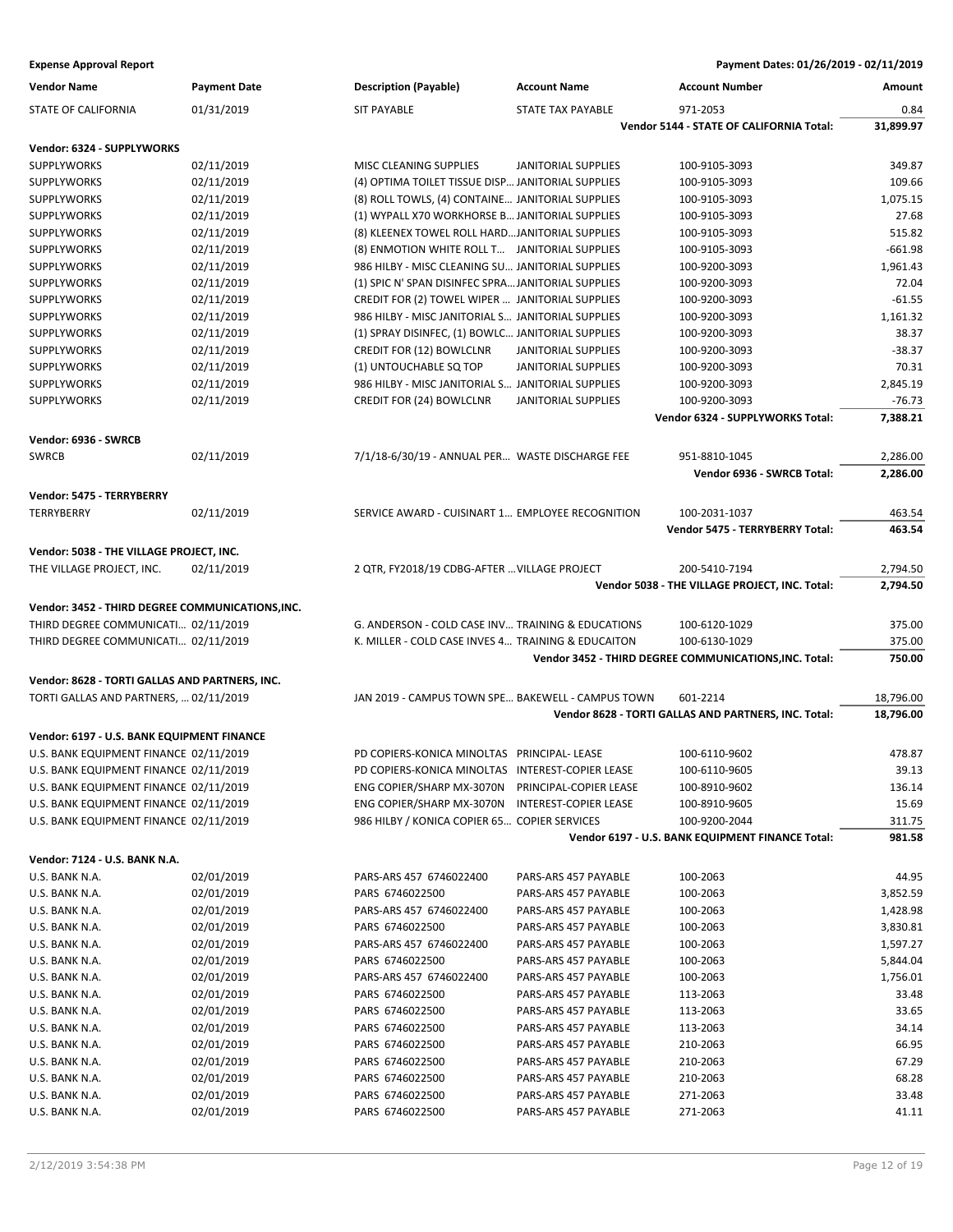| <b>Vendor Name</b>                               | <b>Payment Date</b> | <b>Description (Payable)</b>                       | <b>Account Name</b>        | <b>Account Number</b>                                  | Amount    |
|--------------------------------------------------|---------------------|----------------------------------------------------|----------------------------|--------------------------------------------------------|-----------|
| STATE OF CALIFORNIA                              | 01/31/2019          | <b>SIT PAYABLE</b>                                 | STATE TAX PAYABLE          | 971-2053                                               | 0.84      |
|                                                  |                     |                                                    |                            | Vendor 5144 - STATE OF CALIFORNIA Total:               | 31,899.97 |
| Vendor: 6324 - SUPPLYWORKS                       |                     |                                                    |                            |                                                        |           |
| <b>SUPPLYWORKS</b>                               | 02/11/2019          | MISC CLEANING SUPPLIES                             | <b>JANITORIAL SUPPLIES</b> | 100-9105-3093                                          | 349.87    |
| SUPPLYWORKS                                      | 02/11/2019          | (4) OPTIMA TOILET TISSUE DISP JANITORIAL SUPPLIES  |                            | 100-9105-3093                                          | 109.66    |
| <b>SUPPLYWORKS</b>                               | 02/11/2019          | (8) ROLL TOWLS, (4) CONTAINE JANITORIAL SUPPLIES   |                            | 100-9105-3093                                          | 1,075.15  |
| <b>SUPPLYWORKS</b>                               | 02/11/2019          | (1) WYPALL X70 WORKHORSE B JANITORIAL SUPPLIES     |                            | 100-9105-3093                                          | 27.68     |
| <b>SUPPLYWORKS</b>                               | 02/11/2019          | (8) KLEENEX TOWEL ROLL HARDJANITORIAL SUPPLIES     |                            | 100-9105-3093                                          | 515.82    |
| SUPPLYWORKS                                      | 02/11/2019          | (8) ENMOTION WHITE ROLL T JANITORIAL SUPPLIES      |                            | 100-9105-3093                                          | $-661.98$ |
| <b>SUPPLYWORKS</b>                               | 02/11/2019          | 986 HILBY - MISC CLEANING SU JANITORIAL SUPPLIES   |                            | 100-9200-3093                                          | 1,961.43  |
| <b>SUPPLYWORKS</b>                               | 02/11/2019          | (1) SPIC N' SPAN DISINFEC SPRA JANITORIAL SUPPLIES |                            | 100-9200-3093                                          | 72.04     |
| <b>SUPPLYWORKS</b>                               | 02/11/2019          | CREDIT FOR (2) TOWEL WIPER  JANITORIAL SUPPLIES    |                            | 100-9200-3093                                          | $-61.55$  |
| <b>SUPPLYWORKS</b>                               | 02/11/2019          | 986 HILBY - MISC JANITORIAL S JANITORIAL SUPPLIES  |                            | 100-9200-3093                                          | 1,161.32  |
| SUPPLYWORKS                                      | 02/11/2019          | (1) SPRAY DISINFEC, (1) BOWLC JANITORIAL SUPPLIES  |                            | 100-9200-3093                                          | 38.37     |
| SUPPLYWORKS                                      | 02/11/2019          | <b>CREDIT FOR (12) BOWLCLNR</b>                    | <b>JANITORIAL SUPPLIES</b> | 100-9200-3093                                          | $-38.37$  |
| SUPPLYWORKS                                      | 02/11/2019          | (1) UNTOUCHABLE SQ TOP                             | <b>JANITORIAL SUPPLIES</b> | 100-9200-3093                                          | 70.31     |
| <b>SUPPLYWORKS</b>                               | 02/11/2019          | 986 HILBY - MISC JANITORIAL S JANITORIAL SUPPLIES  |                            | 100-9200-3093                                          | 2,845.19  |
| <b>SUPPLYWORKS</b>                               | 02/11/2019          | <b>CREDIT FOR (24) BOWLCLNR</b>                    | <b>JANITORIAL SUPPLIES</b> | 100-9200-3093                                          | $-76.73$  |
|                                                  |                     |                                                    |                            | Vendor 6324 - SUPPLYWORKS Total:                       | 7,388.21  |
|                                                  |                     |                                                    |                            |                                                        |           |
| Vendor: 6936 - SWRCB                             |                     |                                                    |                            |                                                        |           |
| <b>SWRCB</b>                                     | 02/11/2019          | 7/1/18-6/30/19 - ANNUAL PER WASTE DISCHARGE FEE    |                            | 951-8810-1045                                          | 2,286.00  |
|                                                  |                     |                                                    |                            | Vendor 6936 - SWRCB Total:                             | 2,286.00  |
| Vendor: 5475 - TERRYBERRY                        |                     |                                                    |                            |                                                        |           |
| <b>TERRYBERRY</b>                                | 02/11/2019          | SERVICE AWARD - CUISINART 1 EMPLOYEE RECOGNITION   |                            | 100-2031-1037                                          | 463.54    |
|                                                  |                     |                                                    |                            | Vendor 5475 - TERRYBERRY Total:                        | 463.54    |
| Vendor: 5038 - THE VILLAGE PROJECT, INC.         |                     |                                                    |                            |                                                        |           |
| THE VILLAGE PROJECT, INC.                        | 02/11/2019          | 2 QTR, FY2018/19 CDBG-AFTER  VILLAGE PROJECT       |                            | 200-5410-7194                                          | 2,794.50  |
|                                                  |                     |                                                    |                            | Vendor 5038 - THE VILLAGE PROJECT, INC. Total:         | 2,794.50  |
| Vendor: 3452 - THIRD DEGREE COMMUNICATIONS, INC. |                     |                                                    |                            |                                                        |           |
| THIRD DEGREE COMMUNICATI 02/11/2019              |                     | G. ANDERSON - COLD CASE INV TRAINING & EDUCATIONS  |                            | 100-6120-1029                                          | 375.00    |
| THIRD DEGREE COMMUNICATI 02/11/2019              |                     | K. MILLER - COLD CASE INVES 4 TRAINING & EDUCAITON |                            | 100-6130-1029                                          | 375.00    |
|                                                  |                     |                                                    |                            | Vendor 3452 - THIRD DEGREE COMMUNICATIONS, INC. Total: | 750.00    |
|                                                  |                     |                                                    |                            |                                                        |           |
| Vendor: 8628 - TORTI GALLAS AND PARTNERS, INC.   |                     |                                                    |                            |                                                        |           |
| TORTI GALLAS AND PARTNERS,  02/11/2019           |                     | JAN 2019 - CAMPUS TOWN SPE BAKEWELL - CAMPUS TOWN  |                            | 601-2214                                               | 18,796.00 |
|                                                  |                     |                                                    |                            | Vendor 8628 - TORTI GALLAS AND PARTNERS, INC. Total:   | 18,796.00 |
| Vendor: 6197 - U.S. BANK EQUIPMENT FINANCE       |                     |                                                    |                            |                                                        |           |
| U.S. BANK EQUIPMENT FINANCE 02/11/2019           |                     | PD COPIERS-KONICA MINOLTAS PRINCIPAL- LEASE        |                            | 100-6110-9602                                          | 478.87    |
| U.S. BANK EQUIPMENT FINANCE 02/11/2019           |                     | PD COPIERS-KONICA MINOLTAS INTEREST-COPIER LEASE   |                            | 100-6110-9605                                          | 39.13     |
| U.S. BANK EQUIPMENT FINANCE 02/11/2019           |                     | ENG COPIER/SHARP MX-3070N PRINCIPAL-COPIER LEASE   |                            | 100-8910-9602                                          | 136.14    |
| U.S. BANK EQUIPMENT FINANCE 02/11/2019           |                     | ENG COPIER/SHARP MX-3070N INTEREST-COPIER LEASE    |                            | 100-8910-9605                                          | 15.69     |
| U.S. BANK EQUIPMENT FINANCE 02/11/2019           |                     | 986 HILBY / KONICA COPIER 65 COPIER SERVICES       |                            | 100-9200-2044                                          | 311.75    |
|                                                  |                     |                                                    |                            | Vendor 6197 - U.S. BANK EQUIPMENT FINANCE Total:       | 981.58    |
| Vendor: 7124 - U.S. BANK N.A.                    |                     |                                                    |                            |                                                        |           |
| U.S. BANK N.A.                                   | 02/01/2019          | PARS-ARS 457 6746022400                            | PARS-ARS 457 PAYABLE       | 100-2063                                               | 44.95     |
| U.S. BANK N.A.                                   | 02/01/2019          | PARS 6746022500                                    | PARS-ARS 457 PAYABLE       | 100-2063                                               | 3,852.59  |
| U.S. BANK N.A.                                   | 02/01/2019          | PARS-ARS 457 6746022400                            | PARS-ARS 457 PAYABLE       | 100-2063                                               | 1,428.98  |
| U.S. BANK N.A.                                   | 02/01/2019          | PARS 6746022500                                    | PARS-ARS 457 PAYABLE       | 100-2063                                               | 3,830.81  |
| U.S. BANK N.A.                                   | 02/01/2019          | PARS-ARS 457 6746022400                            | PARS-ARS 457 PAYABLE       | 100-2063                                               | 1,597.27  |
| U.S. BANK N.A.                                   | 02/01/2019          | PARS 6746022500                                    | PARS-ARS 457 PAYABLE       | 100-2063                                               | 5,844.04  |
| U.S. BANK N.A.                                   | 02/01/2019          | PARS-ARS 457 6746022400                            | PARS-ARS 457 PAYABLE       | 100-2063                                               | 1,756.01  |
| U.S. BANK N.A.                                   | 02/01/2019          | PARS 6746022500                                    | PARS-ARS 457 PAYABLE       | 113-2063                                               | 33.48     |
| U.S. BANK N.A.                                   | 02/01/2019          | PARS 6746022500                                    | PARS-ARS 457 PAYABLE       | 113-2063                                               | 33.65     |
| U.S. BANK N.A.                                   | 02/01/2019          | PARS 6746022500                                    | PARS-ARS 457 PAYABLE       | 113-2063                                               | 34.14     |
| U.S. BANK N.A.                                   | 02/01/2019          | PARS 6746022500                                    | PARS-ARS 457 PAYABLE       | 210-2063                                               | 66.95     |
| U.S. BANK N.A.                                   | 02/01/2019          | PARS 6746022500                                    | PARS-ARS 457 PAYABLE       | 210-2063                                               | 67.29     |
| U.S. BANK N.A.                                   | 02/01/2019          | PARS 6746022500                                    | PARS-ARS 457 PAYABLE       | 210-2063                                               | 68.28     |
| U.S. BANK N.A.                                   | 02/01/2019          | PARS 6746022500                                    | PARS-ARS 457 PAYABLE       | 271-2063                                               | 33.48     |
| U.S. BANK N.A.                                   | 02/01/2019          | PARS 6746022500                                    | PARS-ARS 457 PAYABLE       | 271-2063                                               | 41.11     |
|                                                  |                     |                                                    |                            |                                                        |           |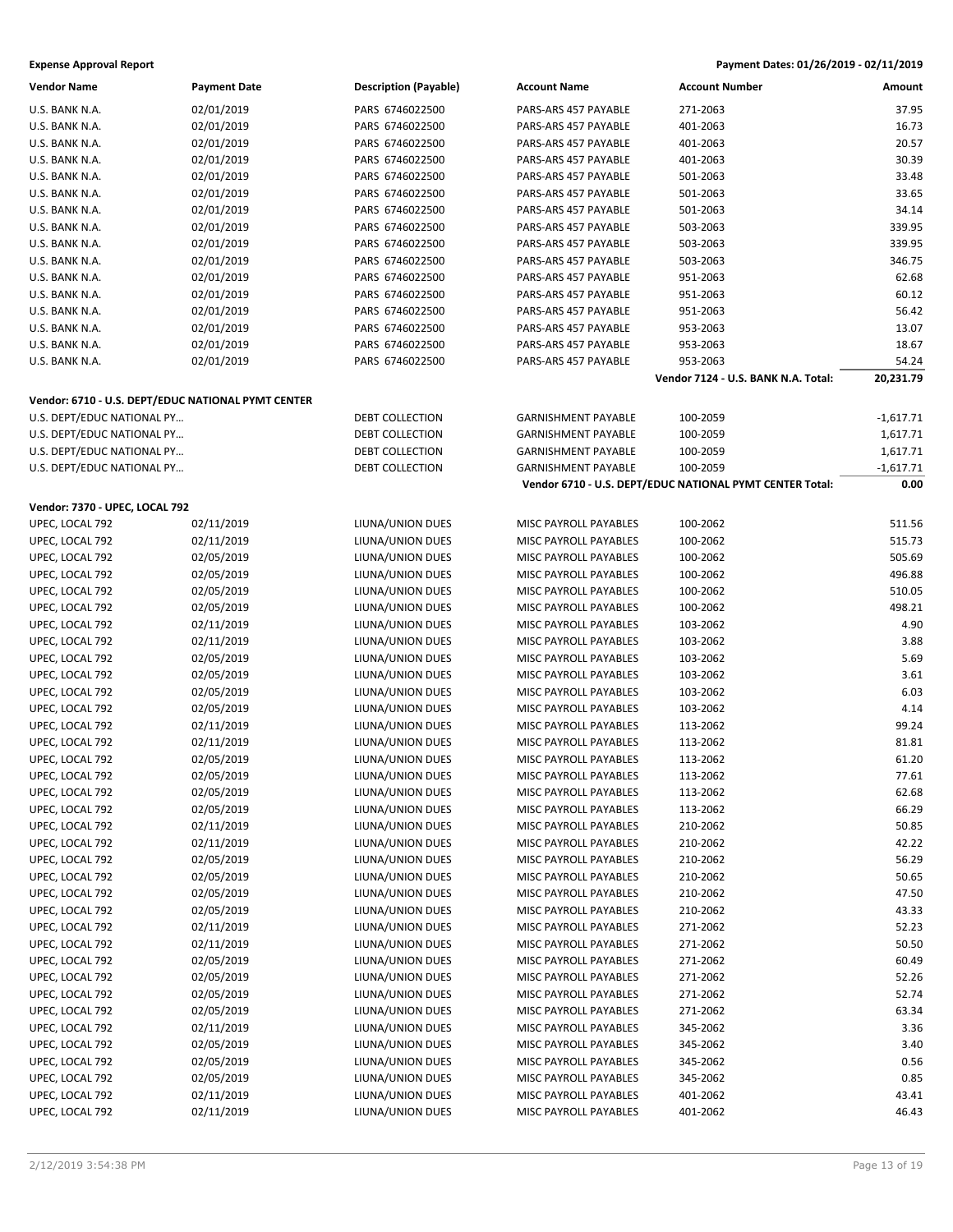| Vendor Name                                        | <b>Payment Date</b> | <b>Description (Payable)</b> | <b>Account Name</b>        | <b>Account Number</b>                                    | Amount      |
|----------------------------------------------------|---------------------|------------------------------|----------------------------|----------------------------------------------------------|-------------|
| U.S. BANK N.A.                                     | 02/01/2019          | PARS 6746022500              | PARS-ARS 457 PAYABLE       | 271-2063                                                 | 37.95       |
| U.S. BANK N.A.                                     | 02/01/2019          | PARS 6746022500              | PARS-ARS 457 PAYABLE       | 401-2063                                                 | 16.73       |
| U.S. BANK N.A.                                     | 02/01/2019          | PARS 6746022500              | PARS-ARS 457 PAYABLE       | 401-2063                                                 | 20.57       |
| U.S. BANK N.A.                                     | 02/01/2019          | PARS 6746022500              | PARS-ARS 457 PAYABLE       | 401-2063                                                 | 30.39       |
| U.S. BANK N.A.                                     | 02/01/2019          | PARS 6746022500              | PARS-ARS 457 PAYABLE       | 501-2063                                                 | 33.48       |
| U.S. BANK N.A.                                     | 02/01/2019          | PARS 6746022500              | PARS-ARS 457 PAYABLE       | 501-2063                                                 | 33.65       |
| U.S. BANK N.A.                                     | 02/01/2019          | PARS 6746022500              | PARS-ARS 457 PAYABLE       | 501-2063                                                 | 34.14       |
| U.S. BANK N.A.                                     | 02/01/2019          | PARS 6746022500              | PARS-ARS 457 PAYABLE       | 503-2063                                                 | 339.95      |
| U.S. BANK N.A.                                     | 02/01/2019          | PARS 6746022500              | PARS-ARS 457 PAYABLE       | 503-2063                                                 | 339.95      |
| U.S. BANK N.A.                                     | 02/01/2019          | PARS 6746022500              | PARS-ARS 457 PAYABLE       | 503-2063                                                 | 346.75      |
| U.S. BANK N.A.                                     | 02/01/2019          | PARS 6746022500              | PARS-ARS 457 PAYABLE       | 951-2063                                                 | 62.68       |
| U.S. BANK N.A.                                     | 02/01/2019          | PARS 6746022500              | PARS-ARS 457 PAYABLE       | 951-2063                                                 | 60.12       |
| U.S. BANK N.A.                                     | 02/01/2019          | PARS 6746022500              | PARS-ARS 457 PAYABLE       | 951-2063                                                 | 56.42       |
| U.S. BANK N.A.                                     | 02/01/2019          | PARS 6746022500              | PARS-ARS 457 PAYABLE       | 953-2063                                                 | 13.07       |
| U.S. BANK N.A.                                     | 02/01/2019          | PARS 6746022500              | PARS-ARS 457 PAYABLE       | 953-2063                                                 | 18.67       |
| U.S. BANK N.A.                                     | 02/01/2019          | PARS 6746022500              | PARS-ARS 457 PAYABLE       | 953-2063                                                 | 54.24       |
|                                                    |                     |                              |                            | Vendor 7124 - U.S. BANK N.A. Total:                      | 20,231.79   |
|                                                    |                     |                              |                            |                                                          |             |
| Vendor: 6710 - U.S. DEPT/EDUC NATIONAL PYMT CENTER |                     |                              |                            |                                                          |             |
| U.S. DEPT/EDUC NATIONAL PY                         |                     | DEBT COLLECTION              | <b>GARNISHMENT PAYABLE</b> | 100-2059                                                 | $-1,617.71$ |
| U.S. DEPT/EDUC NATIONAL PY                         |                     | <b>DEBT COLLECTION</b>       | <b>GARNISHMENT PAYABLE</b> | 100-2059                                                 | 1,617.71    |
| U.S. DEPT/EDUC NATIONAL PY                         |                     | <b>DEBT COLLECTION</b>       | <b>GARNISHMENT PAYABLE</b> | 100-2059                                                 | 1,617.71    |
| U.S. DEPT/EDUC NATIONAL PY                         |                     | DEBT COLLECTION              | <b>GARNISHMENT PAYABLE</b> | 100-2059                                                 | $-1,617.71$ |
|                                                    |                     |                              |                            | Vendor 6710 - U.S. DEPT/EDUC NATIONAL PYMT CENTER Total: | 0.00        |
| Vendor: 7370 - UPEC, LOCAL 792                     |                     |                              |                            |                                                          |             |
| UPEC, LOCAL 792                                    | 02/11/2019          | LIUNA/UNION DUES             | MISC PAYROLL PAYABLES      | 100-2062                                                 | 511.56      |
| UPEC, LOCAL 792                                    | 02/11/2019          | LIUNA/UNION DUES             | MISC PAYROLL PAYABLES      | 100-2062                                                 | 515.73      |
| UPEC, LOCAL 792                                    | 02/05/2019          | LIUNA/UNION DUES             | MISC PAYROLL PAYABLES      | 100-2062                                                 | 505.69      |
| UPEC, LOCAL 792                                    | 02/05/2019          | LIUNA/UNION DUES             | MISC PAYROLL PAYABLES      | 100-2062                                                 | 496.88      |
| UPEC, LOCAL 792                                    | 02/05/2019          | LIUNA/UNION DUES             | MISC PAYROLL PAYABLES      | 100-2062                                                 | 510.05      |
| UPEC, LOCAL 792                                    | 02/05/2019          | LIUNA/UNION DUES             | MISC PAYROLL PAYABLES      | 100-2062                                                 | 498.21      |
| UPEC, LOCAL 792                                    | 02/11/2019          | LIUNA/UNION DUES             | MISC PAYROLL PAYABLES      | 103-2062                                                 | 4.90        |
| UPEC, LOCAL 792                                    | 02/11/2019          | LIUNA/UNION DUES             | MISC PAYROLL PAYABLES      | 103-2062                                                 | 3.88        |
| UPEC, LOCAL 792                                    | 02/05/2019          | LIUNA/UNION DUES             | MISC PAYROLL PAYABLES      | 103-2062                                                 | 5.69        |
| UPEC, LOCAL 792                                    | 02/05/2019          | LIUNA/UNION DUES             | MISC PAYROLL PAYABLES      | 103-2062                                                 | 3.61        |
| UPEC, LOCAL 792                                    | 02/05/2019          | LIUNA/UNION DUES             | MISC PAYROLL PAYABLES      | 103-2062                                                 | 6.03        |
| UPEC, LOCAL 792                                    | 02/05/2019          | LIUNA/UNION DUES             | MISC PAYROLL PAYABLES      | 103-2062                                                 | 4.14        |
| UPEC, LOCAL 792                                    | 02/11/2019          | LIUNA/UNION DUES             | MISC PAYROLL PAYABLES      | 113-2062                                                 | 99.24       |
| UPEC, LOCAL 792                                    | 02/11/2019          | LIUNA/UNION DUES             | MISC PAYROLL PAYABLES      | 113-2062                                                 | 81.81       |
| UPEC, LOCAL 792                                    | 02/05/2019          | LIUNA/UNION DUES             | MISC PAYROLL PAYABLES      | 113-2062                                                 | 61.20       |
| UPEC, LOCAL 792                                    | 02/05/2019          | LIUNA/UNION DUES             | MISC PAYROLL PAYABLES      | 113-2062                                                 | 77.61       |
| UPEC, LOCAL 792                                    | 02/05/2019          | LIUNA/UNION DUES             | MISC PAYROLL PAYABLES      | 113-2062                                                 | 62.68       |
| UPEC, LOCAL 792                                    | 02/05/2019          | LIUNA/UNION DUES             | MISC PAYROLL PAYABLES      | 113-2062                                                 | 66.29       |
| UPEC, LOCAL 792                                    | 02/11/2019          | LIUNA/UNION DUES             | MISC PAYROLL PAYABLES      | 210-2062                                                 | 50.85       |
| UPEC, LOCAL 792                                    | 02/11/2019          | LIUNA/UNION DUES             | MISC PAYROLL PAYABLES      | 210-2062                                                 | 42.22       |
| UPEC, LOCAL 792                                    | 02/05/2019          | LIUNA/UNION DUES             | MISC PAYROLL PAYABLES      | 210-2062                                                 | 56.29       |
| UPEC, LOCAL 792                                    | 02/05/2019          | LIUNA/UNION DUES             | MISC PAYROLL PAYABLES      | 210-2062                                                 | 50.65       |
| UPEC, LOCAL 792                                    | 02/05/2019          | LIUNA/UNION DUES             | MISC PAYROLL PAYABLES      | 210-2062                                                 | 47.50       |
| UPEC, LOCAL 792                                    | 02/05/2019          | LIUNA/UNION DUES             | MISC PAYROLL PAYABLES      | 210-2062                                                 | 43.33       |
| UPEC, LOCAL 792                                    | 02/11/2019          | LIUNA/UNION DUES             | MISC PAYROLL PAYABLES      | 271-2062                                                 | 52.23       |
| UPEC, LOCAL 792                                    | 02/11/2019          | LIUNA/UNION DUES             | MISC PAYROLL PAYABLES      | 271-2062                                                 | 50.50       |
| UPEC, LOCAL 792                                    | 02/05/2019          | LIUNA/UNION DUES             | MISC PAYROLL PAYABLES      | 271-2062                                                 | 60.49       |
| UPEC, LOCAL 792                                    | 02/05/2019          | LIUNA/UNION DUES             | MISC PAYROLL PAYABLES      | 271-2062                                                 | 52.26       |
| UPEC, LOCAL 792                                    | 02/05/2019          | LIUNA/UNION DUES             | MISC PAYROLL PAYABLES      | 271-2062                                                 | 52.74       |
| UPEC, LOCAL 792                                    | 02/05/2019          | LIUNA/UNION DUES             | MISC PAYROLL PAYABLES      | 271-2062                                                 | 63.34       |
| UPEC, LOCAL 792                                    | 02/11/2019          | LIUNA/UNION DUES             | MISC PAYROLL PAYABLES      | 345-2062                                                 | 3.36        |
| UPEC, LOCAL 792                                    | 02/05/2019          | LIUNA/UNION DUES             | MISC PAYROLL PAYABLES      | 345-2062                                                 | 3.40        |
| UPEC, LOCAL 792                                    | 02/05/2019          | LIUNA/UNION DUES             | MISC PAYROLL PAYABLES      | 345-2062                                                 | 0.56        |
| UPEC, LOCAL 792                                    | 02/05/2019          | LIUNA/UNION DUES             | MISC PAYROLL PAYABLES      | 345-2062                                                 | 0.85        |
| UPEC, LOCAL 792                                    | 02/11/2019          | LIUNA/UNION DUES             | MISC PAYROLL PAYABLES      | 401-2062                                                 | 43.41       |
| UPEC, LOCAL 792                                    | 02/11/2019          | LIUNA/UNION DUES             | MISC PAYROLL PAYABLES      | 401-2062                                                 | 46.43       |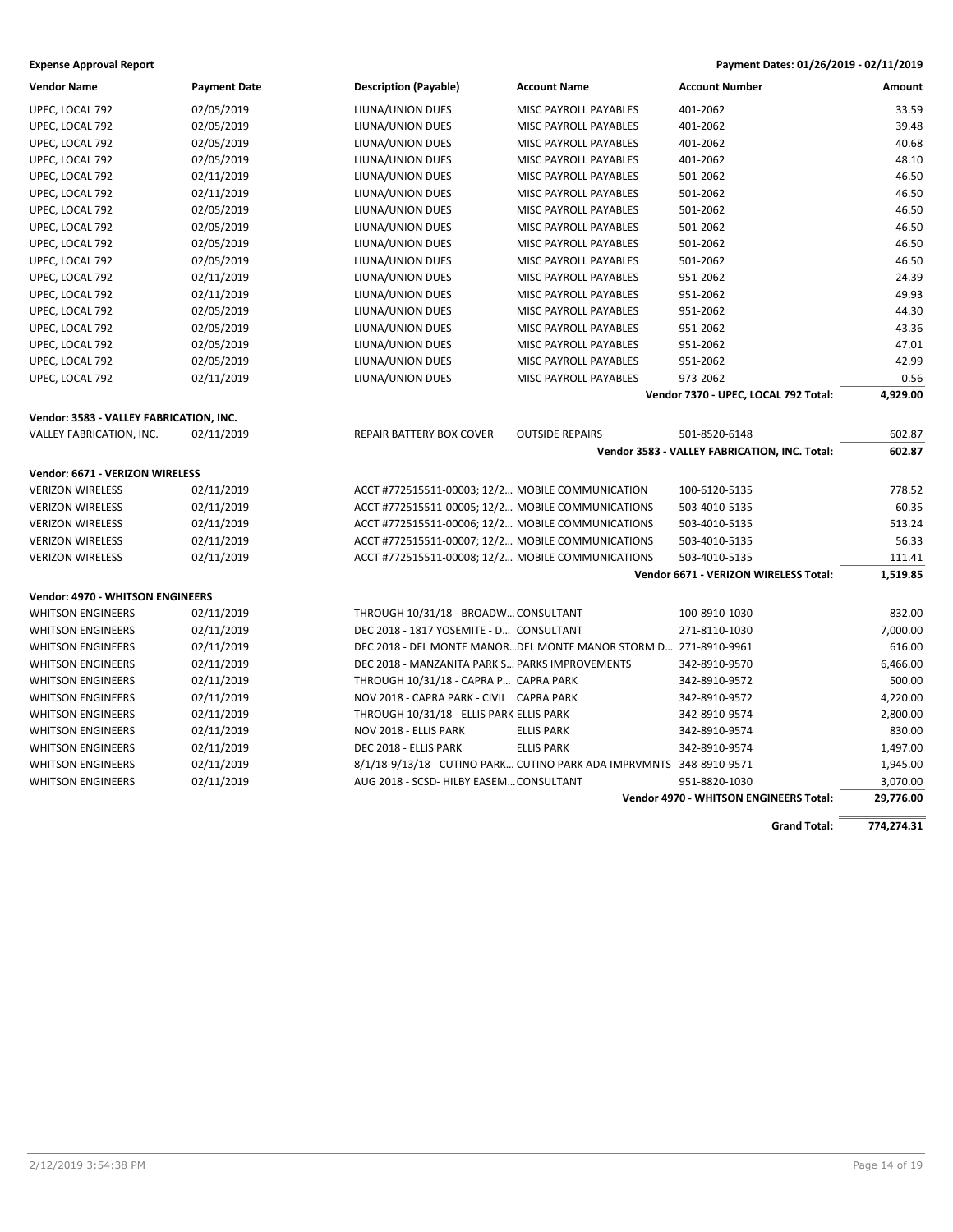| <b>Vendor Name</b>                      | <b>Payment Date</b> | <b>Description (Payable)</b>                      | <b>Account Name</b>                                                  | <b>Account Number</b>                         | <b>Amount</b> |
|-----------------------------------------|---------------------|---------------------------------------------------|----------------------------------------------------------------------|-----------------------------------------------|---------------|
| UPEC, LOCAL 792                         | 02/05/2019          | LIUNA/UNION DUES                                  | MISC PAYROLL PAYABLES                                                | 401-2062                                      | 33.59         |
| UPEC, LOCAL 792                         | 02/05/2019          | LIUNA/UNION DUES                                  | MISC PAYROLL PAYABLES                                                | 401-2062                                      | 39.48         |
| UPEC, LOCAL 792                         | 02/05/2019          | LIUNA/UNION DUES                                  | MISC PAYROLL PAYABLES                                                | 401-2062                                      | 40.68         |
| UPEC, LOCAL 792                         | 02/05/2019          | LIUNA/UNION DUES                                  | MISC PAYROLL PAYABLES                                                | 401-2062                                      | 48.10         |
| UPEC, LOCAL 792                         | 02/11/2019          | LIUNA/UNION DUES                                  | MISC PAYROLL PAYABLES                                                | 501-2062                                      | 46.50         |
| UPEC, LOCAL 792                         | 02/11/2019          | LIUNA/UNION DUES                                  | MISC PAYROLL PAYABLES                                                | 501-2062                                      | 46.50         |
| UPEC, LOCAL 792                         | 02/05/2019          | LIUNA/UNION DUES                                  | MISC PAYROLL PAYABLES                                                | 501-2062                                      | 46.50         |
| UPEC, LOCAL 792                         | 02/05/2019          | LIUNA/UNION DUES                                  | MISC PAYROLL PAYABLES                                                | 501-2062                                      | 46.50         |
| UPEC, LOCAL 792                         | 02/05/2019          | LIUNA/UNION DUES                                  | MISC PAYROLL PAYABLES                                                | 501-2062                                      | 46.50         |
| UPEC, LOCAL 792                         | 02/05/2019          | LIUNA/UNION DUES                                  | <b>MISC PAYROLL PAYABLES</b>                                         | 501-2062                                      | 46.50         |
| UPEC, LOCAL 792                         | 02/11/2019          | LIUNA/UNION DUES                                  | MISC PAYROLL PAYABLES                                                | 951-2062                                      | 24.39         |
| UPEC, LOCAL 792                         | 02/11/2019          | LIUNA/UNION DUES                                  | MISC PAYROLL PAYABLES                                                | 951-2062                                      | 49.93         |
| UPEC, LOCAL 792                         | 02/05/2019          | LIUNA/UNION DUES                                  | MISC PAYROLL PAYABLES                                                | 951-2062                                      | 44.30         |
| UPEC, LOCAL 792                         | 02/05/2019          | LIUNA/UNION DUES                                  | MISC PAYROLL PAYABLES                                                | 951-2062                                      | 43.36         |
| UPEC, LOCAL 792                         | 02/05/2019          | LIUNA/UNION DUES                                  | MISC PAYROLL PAYABLES                                                | 951-2062                                      | 47.01         |
| UPEC, LOCAL 792                         | 02/05/2019          | LIUNA/UNION DUES                                  | MISC PAYROLL PAYABLES                                                | 951-2062                                      | 42.99         |
| UPEC, LOCAL 792                         | 02/11/2019          | LIUNA/UNION DUES                                  | MISC PAYROLL PAYABLES                                                | 973-2062                                      | 0.56          |
|                                         |                     |                                                   |                                                                      | Vendor 7370 - UPEC, LOCAL 792 Total:          | 4,929.00      |
| Vendor: 3583 - VALLEY FABRICATION, INC. |                     |                                                   |                                                                      |                                               |               |
| VALLEY FABRICATION, INC.                | 02/11/2019          | REPAIR BATTERY BOX COVER                          | <b>OUTSIDE REPAIRS</b>                                               | 501-8520-6148                                 | 602.87        |
|                                         |                     |                                                   |                                                                      | Vendor 3583 - VALLEY FABRICATION, INC. Total: | 602.87        |
| Vendor: 6671 - VERIZON WIRELESS         |                     |                                                   |                                                                      |                                               |               |
| <b>VERIZON WIRELESS</b>                 | 02/11/2019          | ACCT #772515511-00003; 12/2 MOBILE COMMUNICATION  |                                                                      | 100-6120-5135                                 | 778.52        |
| <b>VERIZON WIRELESS</b>                 | 02/11/2019          | ACCT #772515511-00005; 12/2 MOBILE COMMUNICATIONS |                                                                      | 503-4010-5135                                 | 60.35         |
| <b>VERIZON WIRELESS</b>                 | 02/11/2019          | ACCT #772515511-00006; 12/2 MOBILE COMMUNICATIONS |                                                                      | 503-4010-5135                                 | 513.24        |
| <b>VERIZON WIRELESS</b>                 | 02/11/2019          | ACCT #772515511-00007; 12/2 MOBILE COMMUNICATIONS |                                                                      | 503-4010-5135                                 | 56.33         |
| <b>VERIZON WIRELESS</b>                 | 02/11/2019          | ACCT #772515511-00008; 12/2 MOBILE COMMUNICATIONS |                                                                      | 503-4010-5135                                 | 111.41        |
|                                         |                     |                                                   |                                                                      | Vendor 6671 - VERIZON WIRELESS Total:         | 1,519.85      |
|                                         |                     |                                                   |                                                                      |                                               |               |
| <b>Vendor: 4970 - WHITSON ENGINEERS</b> |                     |                                                   |                                                                      |                                               |               |
| <b>WHITSON ENGINEERS</b>                | 02/11/2019          | THROUGH 10/31/18 - BROADW CONSULTANT              |                                                                      | 100-8910-1030                                 | 832.00        |
| <b>WHITSON ENGINEERS</b>                | 02/11/2019          | DEC 2018 - 1817 YOSEMITE - D CONSULTANT           |                                                                      | 271-8110-1030                                 | 7,000.00      |
| <b>WHITSON ENGINEERS</b>                | 02/11/2019          |                                                   | DEC 2018 - DEL MONTE MANORDEL MONTE MANOR STORM D 271-8910-9961      |                                               | 616.00        |
| <b>WHITSON ENGINEERS</b>                | 02/11/2019          | DEC 2018 - MANZANITA PARK S PARKS IMPROVEMENTS    |                                                                      | 342-8910-9570                                 | 6,466.00      |
| <b>WHITSON ENGINEERS</b>                | 02/11/2019          | THROUGH 10/31/18 - CAPRA P CAPRA PARK             |                                                                      | 342-8910-9572                                 | 500.00        |
| <b>WHITSON ENGINEERS</b>                | 02/11/2019          | NOV 2018 - CAPRA PARK - CIVIL CAPRA PARK          |                                                                      | 342-8910-9572                                 | 4,220.00      |
| <b>WHITSON ENGINEERS</b>                | 02/11/2019          | THROUGH 10/31/18 - ELLIS PARK ELLIS PARK          |                                                                      | 342-8910-9574                                 | 2,800.00      |
| <b>WHITSON ENGINEERS</b>                | 02/11/2019          | NOV 2018 - ELLIS PARK                             | <b>ELLIS PARK</b>                                                    | 342-8910-9574                                 | 830.00        |
| <b>WHITSON ENGINEERS</b>                | 02/11/2019          | DEC 2018 - ELLIS PARK                             | <b>ELLIS PARK</b>                                                    | 342-8910-9574                                 | 1,497.00      |
| <b>WHITSON ENGINEERS</b>                | 02/11/2019          |                                                   | 8/1/18-9/13/18 - CUTINO PARK CUTINO PARK ADA IMPRVMNTS 348-8910-9571 |                                               | 1,945.00      |
| <b>WHITSON ENGINEERS</b>                | 02/11/2019          | AUG 2018 - SCSD- HILBY EASEM CONSULTANT           |                                                                      | 951-8820-1030                                 | 3,070.00      |
|                                         |                     |                                                   |                                                                      | <b>Vendor 4970 - WHITSON ENGINEERS Total:</b> | 29,776.00     |

**Grand Total: 774,274.31**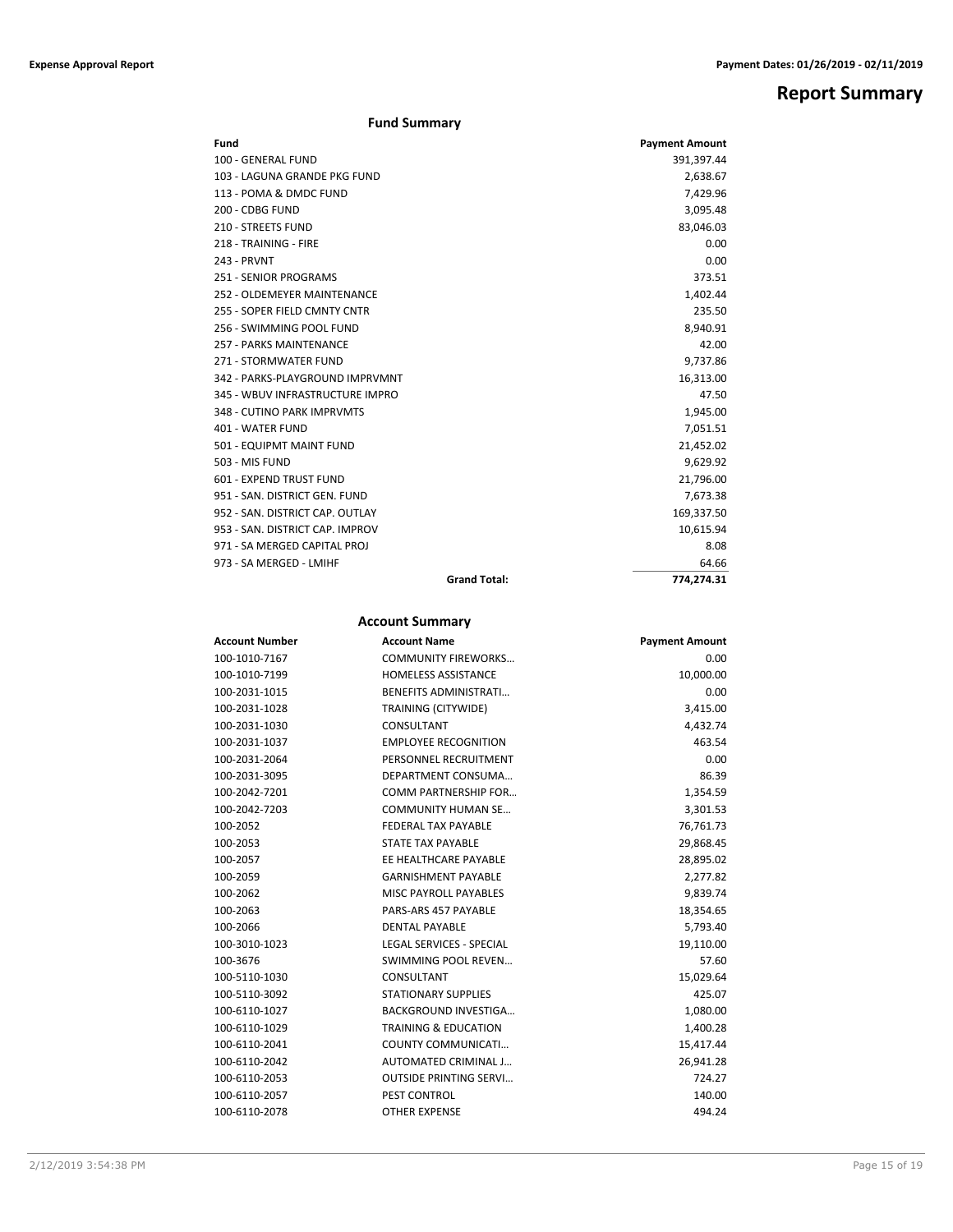## **Report Summary**

### **Fund Summary**

| Fund                            | <b>Payment Amount</b> |
|---------------------------------|-----------------------|
| 100 - GENERAL FUND              | 391,397.44            |
| 103 - LAGUNA GRANDE PKG FUND    | 2,638.67              |
| 113 - POMA & DMDC FUND          | 7,429.96              |
| 200 - CDBG FUND                 | 3,095.48              |
| <b>210 - STREETS FUND</b>       | 83,046.03             |
| 218 - TRAINING - FIRE           | 0.00                  |
| 243 - PRVNT                     | 0.00                  |
| 251 - SENIOR PROGRAMS           | 373.51                |
| 252 - OLDEMEYER MAINTENANCE     | 1,402.44              |
| 255 - SOPER FIELD CMNTY CNTR    | 235.50                |
| 256 - SWIMMING POOL FUND        | 8,940.91              |
| 257 - PARKS MAINTENANCE         | 42.00                 |
| 271 - STORMWATER FUND           | 9,737.86              |
| 342 - PARKS-PLAYGROUND IMPRVMNT | 16,313.00             |
| 345 - WBUV INFRASTRUCTURE IMPRO | 47.50                 |
| 348 - CUTINO PARK IMPRVMTS      | 1,945.00              |
| 401 - WATER FUND                | 7,051.51              |
| 501 - EQUIPMT MAINT FUND        | 21,452.02             |
| 503 - MIS FUND                  | 9,629.92              |
| 601 - EXPEND TRUST FUND         | 21,796.00             |
| 951 - SAN, DISTRICT GEN, FUND   | 7,673.38              |
| 952 - SAN, DISTRICT CAP, OUTLAY | 169,337.50            |
| 953 - SAN, DISTRICT CAP, IMPROV | 10,615.94             |
| 971 - SA MERGED CAPITAL PROJ    | 8.08                  |
| 973 - SA MERGED - LMIHF         | 64.66                 |
| <b>Grand Total:</b>             | 774.274.31            |

## **Account Summary**

| <b>Account Number</b> | <b>Account Name</b>             | <b>Payment Amount</b> |
|-----------------------|---------------------------------|-----------------------|
| 100-1010-7167         | <b>COMMUNITY FIREWORKS</b>      | 0.00                  |
| 100-1010-7199         | <b>HOMELESS ASSISTANCE</b>      | 10,000.00             |
| 100-2031-1015         | <b>BENEFITS ADMINISTRATI</b>    | 0.00                  |
| 100-2031-1028         | TRAINING (CITYWIDE)             | 3,415.00              |
| 100-2031-1030         | CONSULTANT                      | 4,432.74              |
| 100-2031-1037         | <b>EMPLOYEE RECOGNITION</b>     | 463.54                |
| 100-2031-2064         | PERSONNEL RECRUITMENT           | 0.00                  |
| 100-2031-3095         | DEPARTMENT CONSUMA              | 86.39                 |
| 100-2042-7201         | <b>COMM PARTNERSHIP FOR</b>     | 1,354.59              |
| 100-2042-7203         | <b>COMMUNITY HUMAN SE</b>       | 3,301.53              |
| 100-2052              | <b>FEDERAL TAX PAYABLE</b>      | 76,761.73             |
| 100-2053              | STATE TAX PAYABLE               | 29,868.45             |
| 100-2057              | EE HEALTHCARE PAYABLE           | 28,895.02             |
| 100-2059              | <b>GARNISHMENT PAYABLE</b>      | 2,277.82              |
| 100-2062              | <b>MISC PAYROLL PAYABLES</b>    | 9,839.74              |
| 100-2063              | PARS-ARS 457 PAYABLE            | 18,354.65             |
| 100-2066              | <b>DENTAL PAYABLE</b>           | 5,793.40              |
| 100-3010-1023         | <b>LEGAL SERVICES - SPECIAL</b> | 19,110.00             |
| 100-3676              | <b>SWIMMING POOL REVEN</b>      | 57.60                 |
| 100-5110-1030         | CONSULTANT                      | 15,029.64             |
| 100-5110-3092         | <b>STATIONARY SUPPLIES</b>      | 425.07                |
| 100-6110-1027         | <b>BACKGROUND INVESTIGA</b>     | 1,080.00              |
| 100-6110-1029         | <b>TRAINING &amp; EDUCATION</b> | 1,400.28              |
| 100-6110-2041         | COUNTY COMMUNICATI              | 15,417.44             |
| 100-6110-2042         | AUTOMATED CRIMINAL J            | 26,941.28             |
| 100-6110-2053         | <b>OUTSIDE PRINTING SERVI</b>   | 724.27                |
| 100-6110-2057         | PEST CONTROL                    | 140.00                |
| 100-6110-2078         | <b>OTHER EXPENSE</b>            | 494.24                |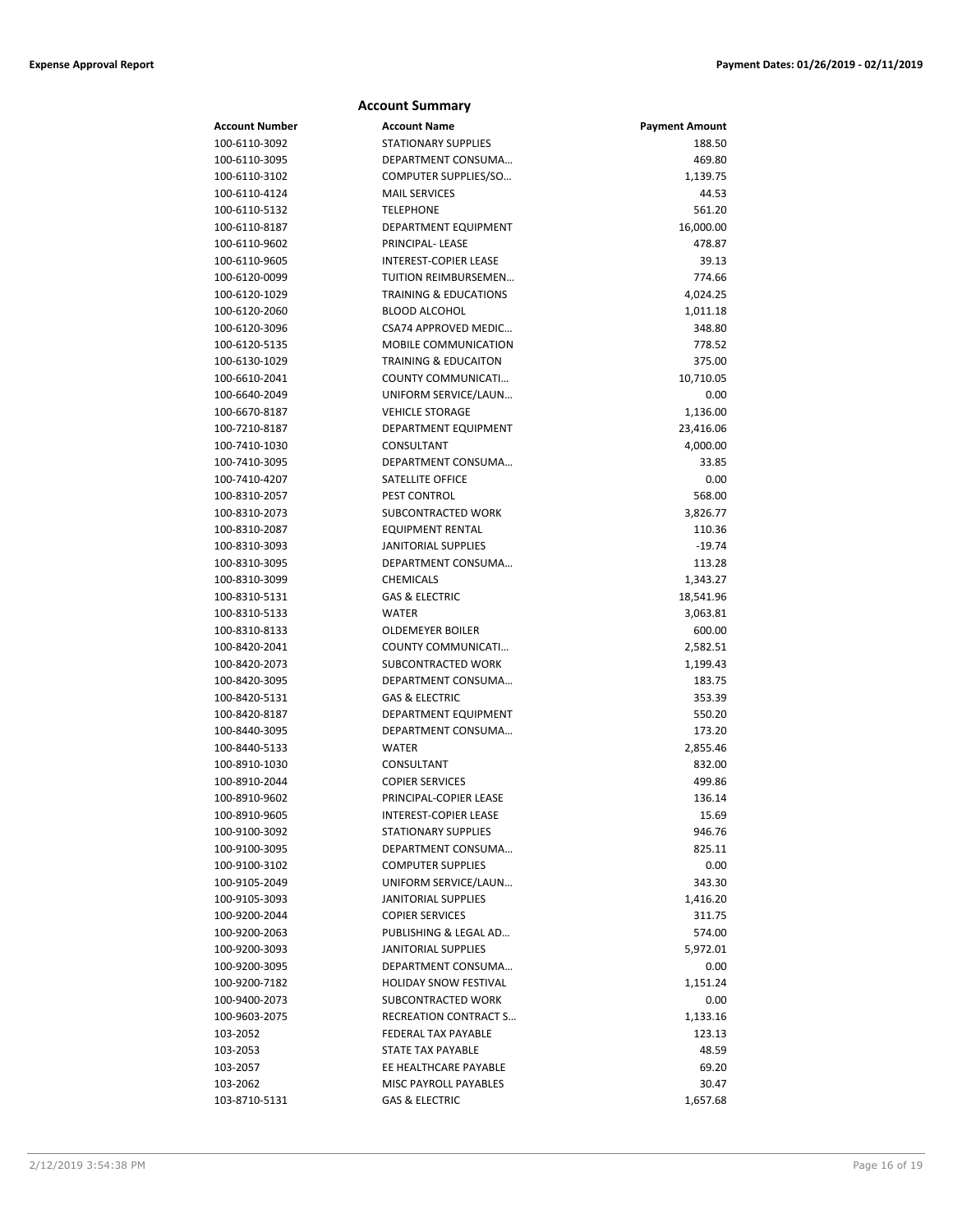|                                | <b>Account Summary</b>               |                       |
|--------------------------------|--------------------------------------|-----------------------|
| <b>Account Number</b>          | <b>Account Name</b>                  | <b>Payment Amount</b> |
| 100-6110-3092                  | <b>STATIONARY SUPPLIES</b>           | 188.50                |
| 100-6110-3095                  | DEPARTMENT CONSUMA                   | 469.80                |
| 100-6110-3102                  | COMPUTER SUPPLIES/SO                 | 1,139.75              |
| 100-6110-4124                  | <b>MAIL SERVICES</b>                 | 44.53                 |
| 100-6110-5132                  | <b>TELEPHONE</b>                     | 561.20                |
| 100-6110-8187                  | DEPARTMENT EQUIPMENT                 | 16,000.00             |
| 100-6110-9602                  | PRINCIPAL-LEASE                      | 478.87                |
| 100-6110-9605                  | <b>INTEREST-COPIER LEASE</b>         | 39.13                 |
| 100-6120-0099                  | <b>TUITION REIMBURSEMEN</b>          | 774.66                |
| 100-6120-1029                  | <b>TRAINING &amp; EDUCATIONS</b>     | 4,024.25              |
| 100-6120-2060                  | <b>BLOOD ALCOHOL</b>                 | 1,011.18              |
| 100-6120-3096                  | <b>CSA74 APPROVED MEDIC</b>          | 348.80                |
| 100-6120-5135                  | <b>MOBILE COMMUNICATION</b>          | 778.52                |
| 100-6130-1029                  | <b>TRAINING &amp; EDUCAITON</b>      | 375.00                |
| 100-6610-2041                  | COUNTY COMMUNICATI                   | 10,710.05             |
| 100-6640-2049                  | UNIFORM SERVICE/LAUN                 | 0.00                  |
| 100-6670-8187                  | <b>VEHICLE STORAGE</b>               | 1,136.00              |
| 100-7210-8187                  | DEPARTMENT EQUIPMENT                 | 23,416.06             |
| 100-7410-1030                  | CONSULTANT                           | 4,000.00              |
| 100-7410-3095                  | DEPARTMENT CONSUMA                   | 33.85                 |
| 100-7410-4207                  | SATELLITE OFFICE                     | 0.00                  |
| 100-8310-2057                  | <b>PEST CONTROL</b>                  | 568.00                |
| 100-8310-2073                  | SUBCONTRACTED WORK                   | 3,826.77              |
| 100-8310-2087                  | EQUIPMENT RENTAL                     | 110.36                |
| 100-8310-3093                  | <b>JANITORIAL SUPPLIES</b>           | $-19.74$              |
| 100-8310-3095                  | DEPARTMENT CONSUMA                   | 113.28                |
| 100-8310-3099                  | <b>CHEMICALS</b>                     | 1,343.27              |
| 100-8310-5131                  | <b>GAS &amp; ELECTRIC</b>            | 18,541.96             |
| 100-8310-5133                  | <b>WATER</b>                         | 3,063.81              |
| 100-8310-8133                  | <b>OLDEMEYER BOILER</b>              | 600.00                |
| 100-8420-2041                  | COUNTY COMMUNICATI                   | 2,582.51              |
| 100-8420-2073                  | SUBCONTRACTED WORK                   | 1,199.43              |
| 100-8420-3095                  | DEPARTMENT CONSUMA                   | 183.75                |
| 100-8420-5131                  | <b>GAS &amp; ELECTRIC</b>            | 353.39                |
| 100-8420-8187<br>100-8440-3095 | <b>DEPARTMENT EQUIPMENT</b>          | 550.20                |
|                                | DEPARTMENT CONSUMA                   | 173.20<br>2,855.46    |
| 100-8440-5133                  | WATER                                |                       |
| 100-8910-1030<br>100-8910-2044 | CONSULTANT<br><b>COPIER SERVICES</b> | 832.00<br>499.86      |
| 100-8910-9602                  | PRINCIPAL-COPIER LEASE               | 136.14                |
| 100-8910-9605                  | INTEREST-COPIER LEASE                | 15.69                 |
| 100-9100-3092                  | <b>STATIONARY SUPPLIES</b>           | 946.76                |
| 100-9100-3095                  | DEPARTMENT CONSUMA                   | 825.11                |
| 100-9100-3102                  | <b>COMPUTER SUPPLIES</b>             | 0.00                  |
| 100-9105-2049                  | UNIFORM SERVICE/LAUN                 | 343.30                |
| 100-9105-3093                  | <b>JANITORIAL SUPPLIES</b>           | 1,416.20              |
| 100-9200-2044                  | <b>COPIER SERVICES</b>               | 311.75                |
| 100-9200-2063                  | PUBLISHING & LEGAL AD                | 574.00                |
| 100-9200-3093                  | <b>JANITORIAL SUPPLIES</b>           | 5,972.01              |
| 100-9200-3095                  | DEPARTMENT CONSUMA                   | 0.00                  |
| 100-9200-7182                  | <b>HOLIDAY SNOW FESTIVAL</b>         | 1,151.24              |
| 100-9400-2073                  | SUBCONTRACTED WORK                   | 0.00                  |
| 100-9603-2075                  | RECREATION CONTRACT S                | 1,133.16              |
| 103-2052                       | FEDERAL TAX PAYABLE                  | 123.13                |
| 103-2053                       | STATE TAX PAYABLE                    | 48.59                 |
| 103-2057                       | EE HEALTHCARE PAYABLE                | 69.20                 |
| 103-2062                       | MISC PAYROLL PAYABLES                | 30.47                 |
| 103-8710-5131                  | <b>GAS &amp; ELECTRIC</b>            | 1,657.68              |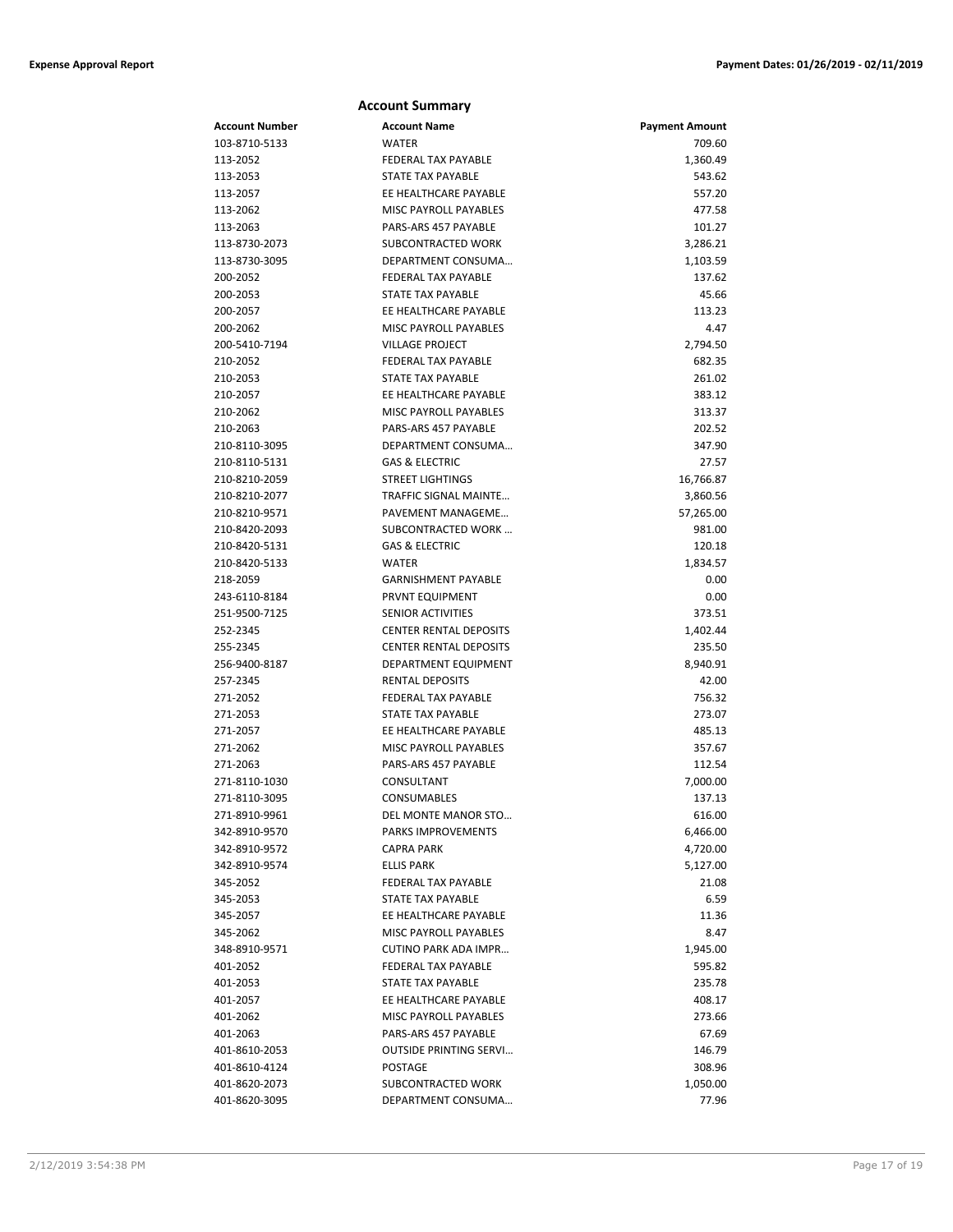|                      | <b>Account Summary</b>                               |                       |
|----------------------|------------------------------------------------------|-----------------------|
| Account Number       | <b>Account Name</b>                                  | <b>Payment Amount</b> |
| 103-8710-5133        | <b>WATER</b>                                         | 709.60                |
| 113-2052             | FEDERAL TAX PAYABLE                                  | 1,360.49              |
| 113-2053             | <b>STATE TAX PAYABLE</b>                             | 543.62                |
| 113-2057             | EE HEALTHCARE PAYABLE                                | 557.20                |
| 113-2062             | <b>MISC PAYROLL PAYABLES</b>                         | 477.58                |
| 113-2063             | PARS-ARS 457 PAYABLE                                 | 101.27                |
| 113-8730-2073        | SUBCONTRACTED WORK                                   | 3,286.21              |
| 113-8730-3095        | DEPARTMENT CONSUMA                                   | 1,103.59              |
| 200-2052             | <b>FEDERAL TAX PAYABLE</b>                           | 137.62                |
| 200-2053             | STATE TAX PAYABLE                                    | 45.66                 |
| 200-2057             | EE HEALTHCARE PAYABLE                                | 113.23                |
| 200-2062             | MISC PAYROLL PAYABLES                                | 4.47                  |
| 200-5410-7194        | <b>VILLAGE PROJECT</b>                               | 2,794.50              |
| 210-2052             | <b>FEDERAL TAX PAYABLE</b>                           | 682.35                |
| 210-2053             | STATE TAX PAYABLE                                    | 261.02                |
| 210-2057             | EE HEALTHCARE PAYABLE                                | 383.12                |
| 210-2062             | MISC PAYROLL PAYABLES                                | 313.37                |
| 210-2063             | PARS-ARS 457 PAYABLE                                 | 202.52                |
| 210-8110-3095        | DEPARTMENT CONSUMA                                   | 347.90                |
| 210-8110-5131        | <b>GAS &amp; ELECTRIC</b>                            | 27.57                 |
| 210-8210-2059        | <b>STREET LIGHTINGS</b>                              | 16,766.87             |
| 210-8210-2077        | TRAFFIC SIGNAL MAINTE                                | 3,860.56              |
| 210-8210-9571        | PAVEMENT MANAGEME                                    | 57,265.00             |
| 210-8420-2093        | SUBCONTRACTED WORK                                   | 981.00                |
| 210-8420-5131        | <b>GAS &amp; ELECTRIC</b>                            | 120.18                |
| 210-8420-5133        | <b>WATER</b>                                         | 1,834.57              |
| 218-2059             | <b>GARNISHMENT PAYABLE</b>                           | 0.00                  |
| 243-6110-8184        | PRVNT EQUIPMENT                                      | 0.00                  |
| 251-9500-7125        | <b>SENIOR ACTIVITIES</b>                             | 373.51                |
| 252-2345             | <b>CENTER RENTAL DEPOSITS</b>                        | 1,402.44              |
| 255-2345             | <b>CENTER RENTAL DEPOSITS</b>                        | 235.50                |
| 256-9400-8187        | DEPARTMENT EQUIPMENT                                 | 8,940.91              |
| 257-2345<br>271-2052 | <b>RENTAL DEPOSITS</b><br><b>FEDERAL TAX PAYABLE</b> | 42.00<br>756.32       |
| 271-2053             | <b>STATE TAX PAYABLE</b>                             | 273.07                |
| 271-2057             | EE HEALTHCARE PAYABLE                                | 485.13                |
| 271-2062             | <b>MISC PAYROLL PAYABLES</b>                         | 357.67                |
| 271-2063             | PARS-ARS 457 PAYABLE                                 | 112.54                |
| 271-8110-1030        | CONSULTANT                                           | 7,000.00              |
| 271-8110-3095        | CONSUMABLES                                          | 137.13                |
| 271-8910-9961        | DEL MONTE MANOR STO                                  | 616.00                |
| 342-8910-9570        | PARKS IMPROVEMENTS                                   | 6,466.00              |
| 342-8910-9572        | <b>CAPRA PARK</b>                                    | 4,720.00              |
| 342-8910-9574        | <b>ELLIS PARK</b>                                    | 5,127.00              |
| 345-2052             | FEDERAL TAX PAYABLE                                  | 21.08                 |
| 345-2053             | STATE TAX PAYABLE                                    | 6.59                  |
| 345-2057             | EE HEALTHCARE PAYABLE                                | 11.36                 |
| 345-2062             | MISC PAYROLL PAYABLES                                | 8.47                  |
| 348-8910-9571        | <b>CUTINO PARK ADA IMPR</b>                          | 1,945.00              |
| 401-2052             | FEDERAL TAX PAYABLE                                  | 595.82                |
| 401-2053             | <b>STATE TAX PAYABLE</b>                             | 235.78                |
| 401-2057             | EE HEALTHCARE PAYABLE                                | 408.17                |
| 401-2062             | MISC PAYROLL PAYABLES                                | 273.66                |
| 401-2063             | PARS-ARS 457 PAYABLE                                 | 67.69                 |
| 401-8610-2053        | <b>OUTSIDE PRINTING SERVI</b>                        | 146.79                |
| 401-8610-4124        | POSTAGE                                              | 308.96                |
| 401-8620-2073        | SUBCONTRACTED WORK                                   | 1,050.00              |
| 401-8620-3095        | DEPARTMENT CONSUMA                                   | 77.96                 |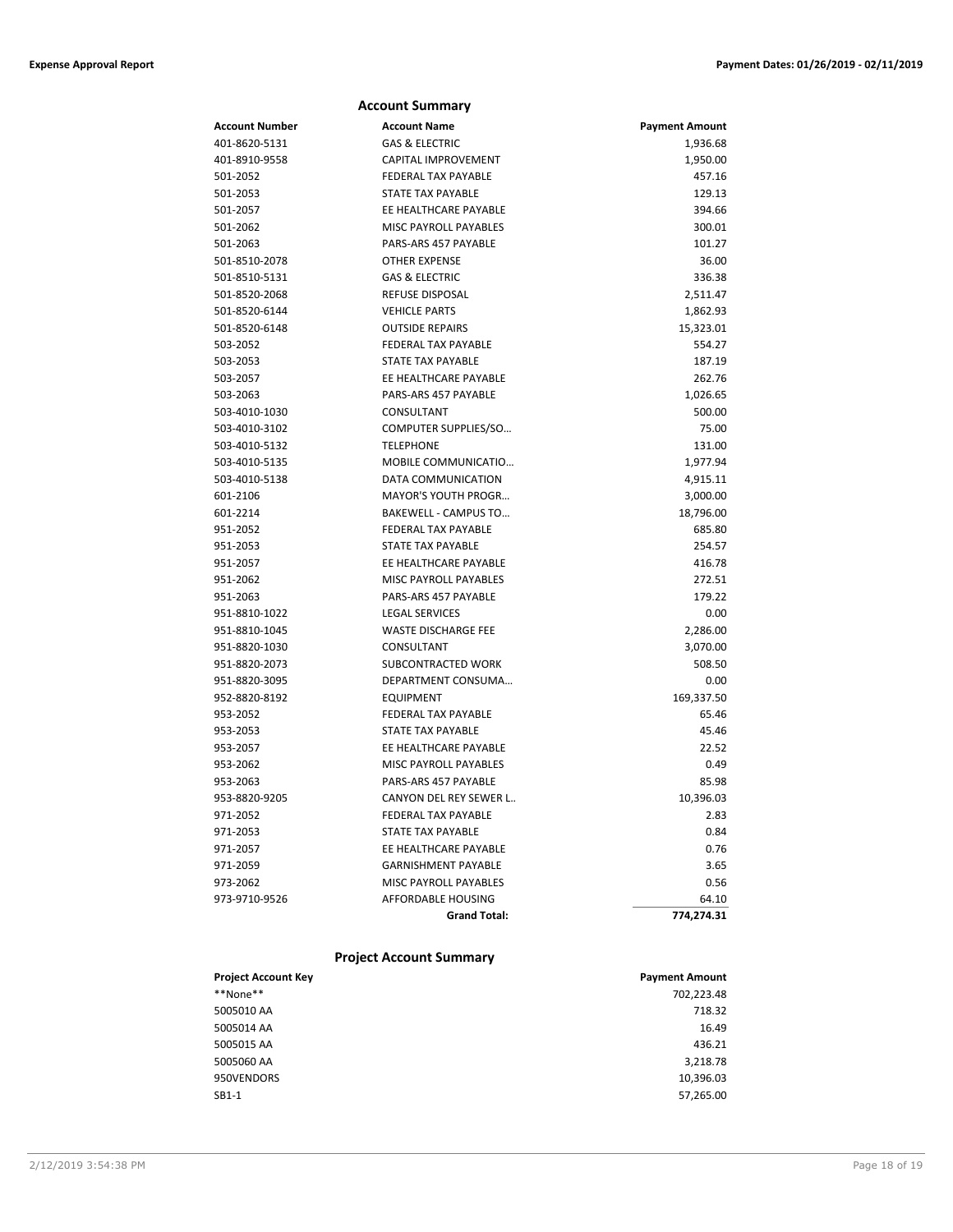|                | <b>Account Summary</b>       |                       |
|----------------|------------------------------|-----------------------|
| Account Number | <b>Account Name</b>          | <b>Payment Amount</b> |
| 401-8620-5131  | <b>GAS &amp; ELECTRIC</b>    | 1,936.68              |
| 401-8910-9558  | CAPITAL IMPROVEMENT          | 1,950.00              |
| 501-2052       | <b>FEDERAL TAX PAYABLE</b>   | 457.16                |
| 501-2053       | STATE TAX PAYABLE            | 129.13                |
| 501-2057       | EE HEALTHCARE PAYABLE        | 394.66                |
| 501-2062       | MISC PAYROLL PAYABLES        | 300.01                |
| 501-2063       | PARS-ARS 457 PAYABLE         | 101.27                |
| 501-8510-2078  | <b>OTHER EXPENSE</b>         | 36.00                 |
| 501-8510-5131  | <b>GAS &amp; ELECTRIC</b>    | 336.38                |
| 501-8520-2068  | <b>REFUSE DISPOSAL</b>       | 2,511.47              |
| 501-8520-6144  | <b>VEHICLE PARTS</b>         | 1,862.93              |
| 501-8520-6148  | <b>OUTSIDE REPAIRS</b>       | 15,323.01             |
| 503-2052       | <b>FEDERAL TAX PAYABLE</b>   | 554.27                |
| 503-2053       | STATE TAX PAYABLE            | 187.19                |
| 503-2057       | EE HEALTHCARE PAYABLE        | 262.76                |
| 503-2063       | PARS-ARS 457 PAYABLE         | 1,026.65              |
| 503-4010-1030  | CONSULTANT                   | 500.00                |
| 503-4010-3102  | COMPUTER SUPPLIES/SO         | 75.00                 |
| 503-4010-5132  | <b>TELEPHONE</b>             | 131.00                |
| 503-4010-5135  | MOBILE COMMUNICATIO          | 1,977.94              |
| 503-4010-5138  | DATA COMMUNICATION           | 4,915.11              |
| 601-2106       | MAYOR'S YOUTH PROGR          | 3,000.00              |
| 601-2214       | BAKEWELL - CAMPUS TO         | 18,796.00             |
| 951-2052       | FEDERAL TAX PAYABLE          | 685.80                |
| 951-2053       | STATE TAX PAYABLE            | 254.57                |
| 951-2057       | EE HEALTHCARE PAYABLE        | 416.78                |
| 951-2062       | <b>MISC PAYROLL PAYABLES</b> | 272.51                |
| 951-2063       | PARS-ARS 457 PAYABLE         | 179.22                |
| 951-8810-1022  | <b>LEGAL SERVICES</b>        | 0.00                  |
| 951-8810-1045  | <b>WASTE DISCHARGE FEE</b>   | 2,286.00              |
| 951-8820-1030  | CONSULTANT                   | 3,070.00              |
| 951-8820-2073  | SUBCONTRACTED WORK           | 508.50                |
| 951-8820-3095  | DEPARTMENT CONSUMA           | 0.00                  |
| 952-8820-8192  | <b>EQUIPMENT</b>             | 169,337.50            |
| 953-2052       | FEDERAL TAX PAYABLE          | 65.46                 |
| 953-2053       | STATE TAX PAYABLE            | 45.46                 |
| 953-2057       | EE HEALTHCARE PAYABLE        | 22.52                 |
| 953-2062       | <b>MISC PAYROLL PAYABLES</b> | 0.49                  |
| 953-2063       | PARS-ARS 457 PAYABLE         | 85.98                 |
| 953-8820-9205  | CANYON DEL REY SEWER L       | 10,396.03             |
| 971-2052       | FEDERAL TAX PAYABLE          | 2.83                  |
| 971-2053       | STATE TAX PAYABLE            | 0.84                  |
| 971-2057       | EE HEALTHCARE PAYABLE        | 0.76                  |
| 971-2059       | <b>GARNISHMENT PAYABLE</b>   | 3.65                  |
| 973-2062       | MISC PAYROLL PAYABLES        | 0.56                  |
| 973-9710-9526  | AFFORDABLE HOUSING           | 64.10                 |
|                | <b>Grand Total:</b>          | 774,274.31            |
|                |                              |                       |

### **Project Account Summary**

| <b>Project Account Key</b> | <b>Payment Amount</b> |
|----------------------------|-----------------------|
| **None**                   | 702.223.48            |
| 5005010 AA                 | 718.32                |
| 5005014 AA                 | 16.49                 |
| 5005015 AA                 | 436.21                |
| 5005060 AA                 | 3,218.78              |
| 950VENDORS                 | 10,396.03             |
| $SB1-1$                    | 57,265.00             |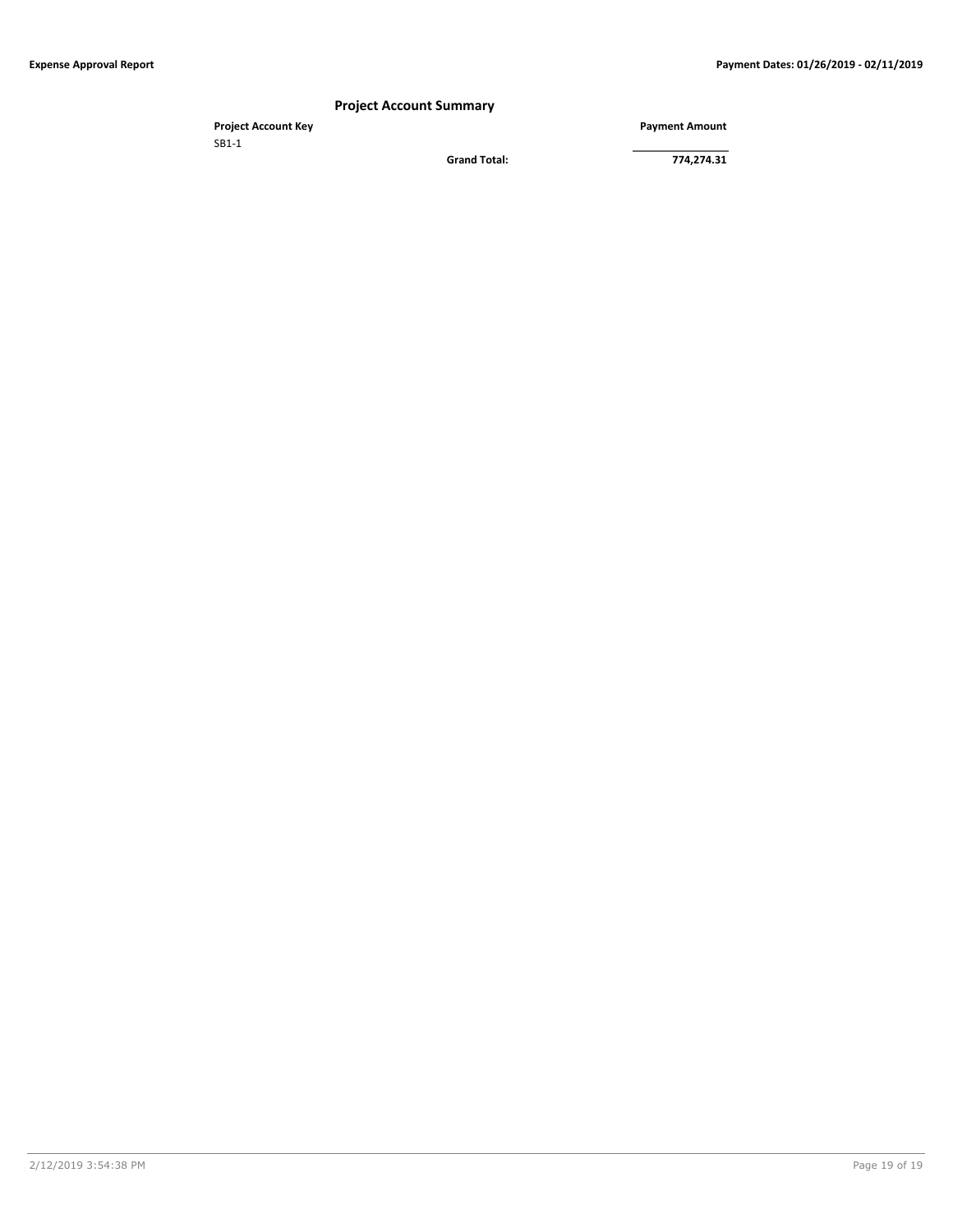### **Project Account Summary**

**Project Account Key Payment Amount** SB1-1

**Grand Total: 774,274.31**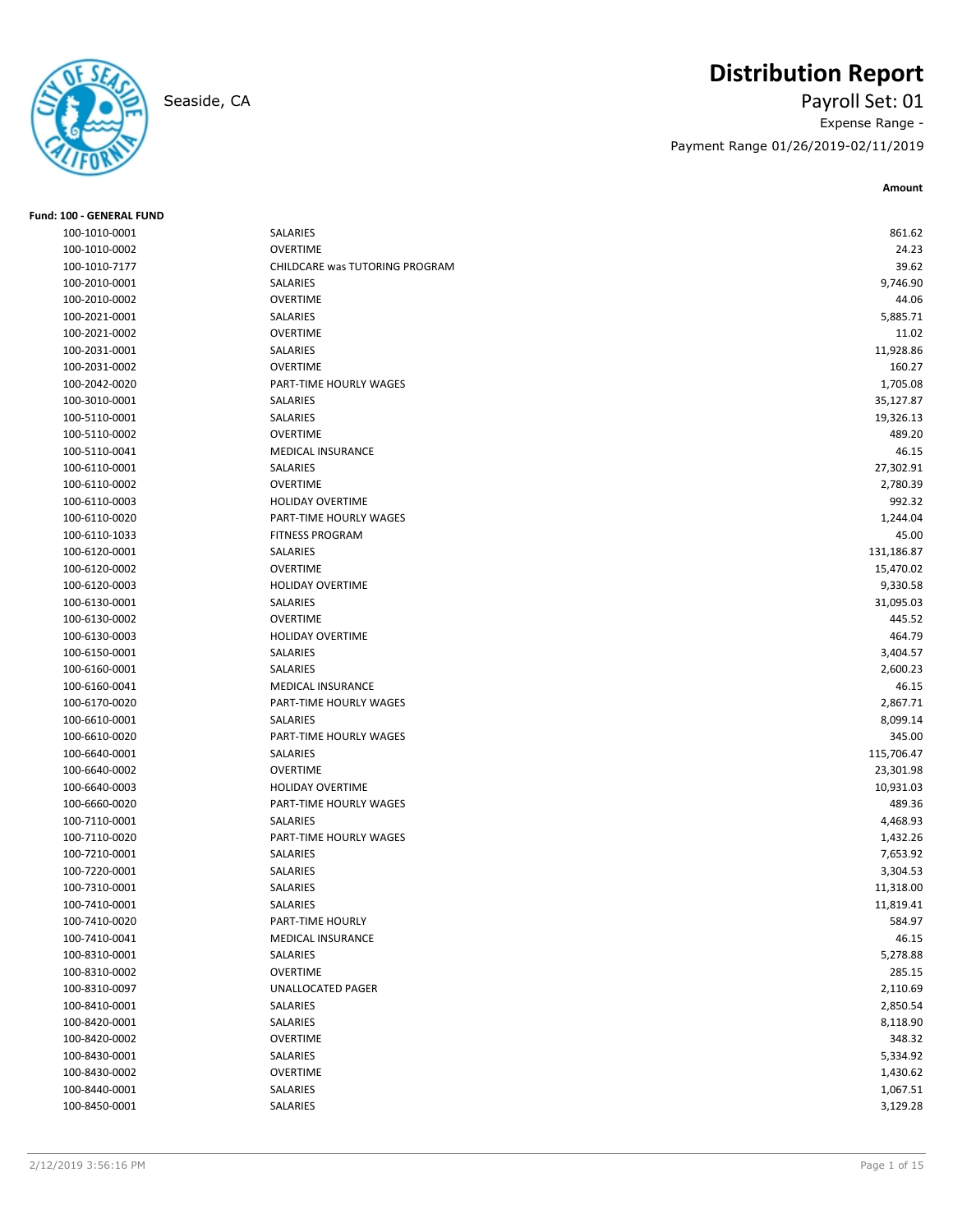# **Distribution Report**

Seaside, CA Payroll Set: 01 Expense Range - Payment Range 01/26/2019-02/11/2019

**Amount**

| <b>Fund: 100 - GENERAL FUND</b> |                                |            |
|---------------------------------|--------------------------------|------------|
| 100-1010-0001                   | SALARIES                       | 861.62     |
| 100-1010-0002                   | <b>OVERTIME</b>                | 24.23      |
| 100-1010-7177                   | CHILDCARE was TUTORING PROGRAM | 39.62      |
| 100-2010-0001                   | SALARIES                       | 9,746.90   |
| 100-2010-0002                   | <b>OVERTIME</b>                | 44.06      |
| 100-2021-0001                   | SALARIES                       | 5,885.71   |
| 100-2021-0002                   | <b>OVERTIME</b>                | 11.02      |
| 100-2031-0001                   | SALARIES                       | 11,928.86  |
| 100-2031-0002                   | <b>OVERTIME</b>                | 160.27     |
| 100-2042-0020                   | PART-TIME HOURLY WAGES         | 1,705.08   |
| 100-3010-0001                   | SALARIES                       | 35,127.87  |
| 100-5110-0001                   | SALARIES                       | 19,326.13  |
| 100-5110-0002                   | <b>OVERTIME</b>                | 489.20     |
| 100-5110-0041                   | <b>MEDICAL INSURANCE</b>       | 46.15      |
| 100-6110-0001                   | SALARIES                       | 27,302.91  |
| 100-6110-0002                   | <b>OVERTIME</b>                | 2,780.39   |
| 100-6110-0003                   | <b>HOLIDAY OVERTIME</b>        | 992.32     |
| 100-6110-0020                   | PART-TIME HOURLY WAGES         | 1,244.04   |
| 100-6110-1033                   | <b>FITNESS PROGRAM</b>         | 45.00      |
| 100-6120-0001                   | SALARIES                       | 131,186.87 |
| 100-6120-0002                   | <b>OVERTIME</b>                | 15,470.02  |
| 100-6120-0003                   | <b>HOLIDAY OVERTIME</b>        | 9,330.58   |
| 100-6130-0001                   | SALARIES                       | 31,095.03  |
| 100-6130-0002                   | <b>OVERTIME</b>                | 445.52     |
| 100-6130-0003                   | <b>HOLIDAY OVERTIME</b>        | 464.79     |
| 100-6150-0001                   | SALARIES                       | 3,404.57   |
| 100-6160-0001                   | SALARIES                       | 2,600.23   |
| 100-6160-0041                   | <b>MEDICAL INSURANCE</b>       | 46.15      |
| 100-6170-0020                   | PART-TIME HOURLY WAGES         | 2,867.71   |
| 100-6610-0001                   | SALARIES                       | 8,099.14   |
| 100-6610-0020                   | PART-TIME HOURLY WAGES         | 345.00     |
| 100-6640-0001                   | SALARIES                       | 115,706.47 |
| 100-6640-0002                   | <b>OVERTIME</b>                | 23,301.98  |
| 100-6640-0003                   | HOLIDAY OVERTIME               | 10,931.03  |
| 100-6660-0020                   | PART-TIME HOURLY WAGES         | 489.36     |
| 100-7110-0001                   | SALARIES                       | 4,468.93   |
| 100-7110-0020                   | PART-TIME HOURLY WAGES         | 1,432.26   |
| 100-7210-0001                   | SALARIES                       | 7,653.92   |
| 100-7220-0001                   | SALARIES                       | 3,304.53   |
| 100-7310-0001                   | SALARIES                       | 11,318.00  |
| 100-7410-0001                   | SALARIES                       | 11,819.41  |
| 100-7410-0020                   | PART-TIME HOURLY               | 584.97     |
| 100-7410-0041                   | MEDICAL INSURANCE              | 46.15      |
| 100-8310-0001                   | SALARIES                       | 5,278.88   |
| 100-8310-0002                   | <b>OVERTIME</b>                | 285.15     |
| 100-8310-0097                   | UNALLOCATED PAGER              | 2,110.69   |
| 100-8410-0001                   | SALARIES                       | 2,850.54   |
| 100-8420-0001                   | SALARIES                       | 8,118.90   |
| 100-8420-0002                   | <b>OVERTIME</b>                | 348.32     |
| 100-8430-0001                   | SALARIES                       | 5,334.92   |
| 100-8430-0002                   | <b>OVERTIME</b>                | 1,430.62   |
| 100-8440-0001                   | SALARIES                       | 1,067.51   |
| 100-8450-0001                   | SALARIES                       | 3,129.28   |
|                                 |                                |            |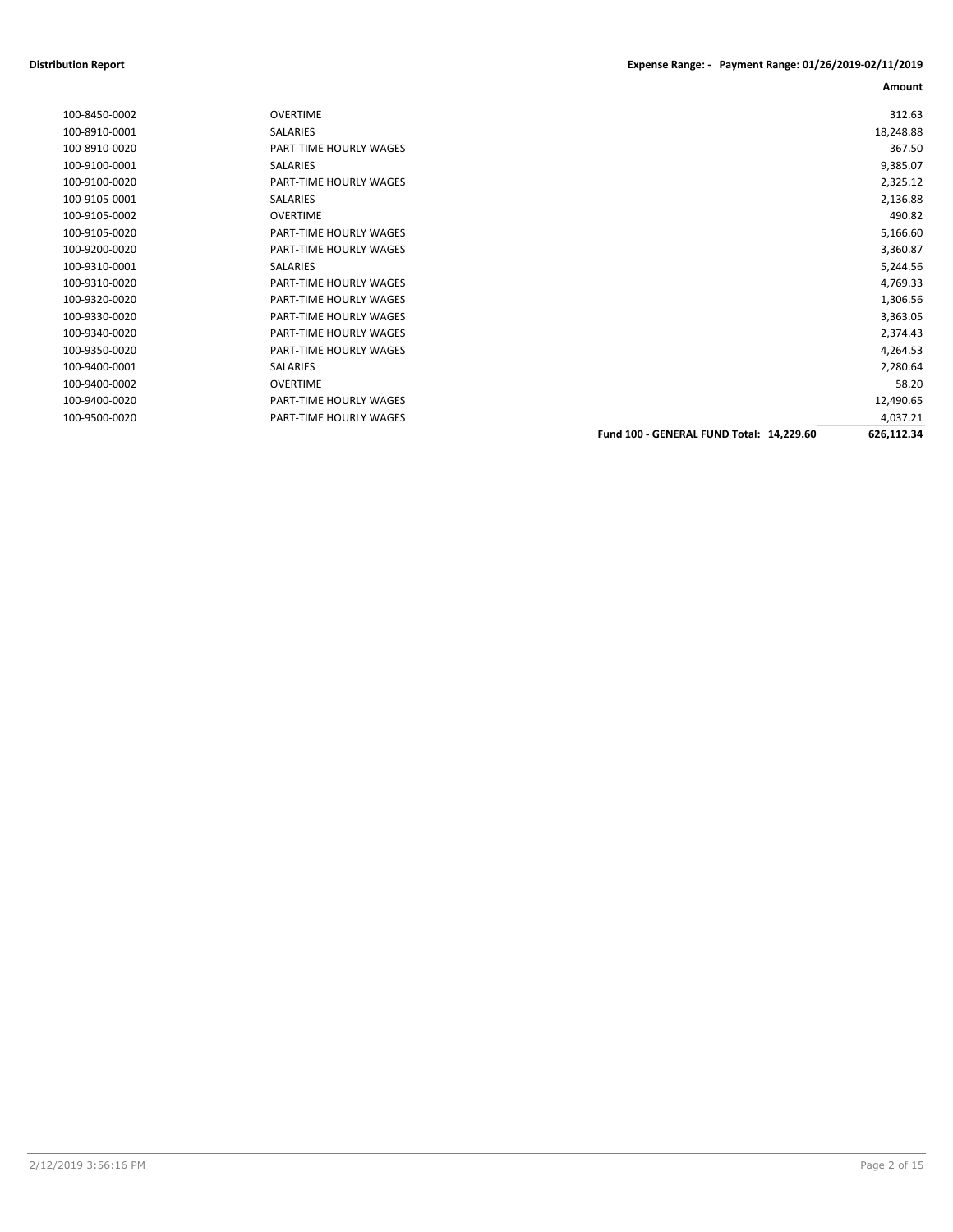### **Distribution Report Expense Range: - Payment Range: 01/26/2019-02/11/2019**

|               |                        |                                          | Amount     |
|---------------|------------------------|------------------------------------------|------------|
| 100-8450-0002 | <b>OVERTIME</b>        |                                          | 312.63     |
| 100-8910-0001 | <b>SALARIES</b>        |                                          | 18,248.88  |
| 100-8910-0020 | PART-TIME HOURLY WAGES |                                          | 367.50     |
| 100-9100-0001 | SALARIES               |                                          | 9,385.07   |
| 100-9100-0020 | PART-TIME HOURLY WAGES |                                          | 2,325.12   |
| 100-9105-0001 | <b>SALARIES</b>        |                                          | 2,136.88   |
| 100-9105-0002 | <b>OVERTIME</b>        |                                          | 490.82     |
| 100-9105-0020 | PART-TIME HOURLY WAGES |                                          | 5,166.60   |
| 100-9200-0020 | PART-TIME HOURLY WAGES |                                          | 3,360.87   |
| 100-9310-0001 | <b>SALARIES</b>        |                                          | 5,244.56   |
| 100-9310-0020 | PART-TIME HOURLY WAGES |                                          | 4,769.33   |
| 100-9320-0020 | PART-TIME HOURLY WAGES |                                          | 1,306.56   |
| 100-9330-0020 | PART-TIME HOURLY WAGES |                                          | 3,363.05   |
| 100-9340-0020 | PART-TIME HOURLY WAGES |                                          | 2,374.43   |
| 100-9350-0020 | PART-TIME HOURLY WAGES |                                          | 4,264.53   |
| 100-9400-0001 | <b>SALARIES</b>        |                                          | 2,280.64   |
| 100-9400-0002 | <b>OVERTIME</b>        |                                          | 58.20      |
| 100-9400-0020 | PART-TIME HOURLY WAGES |                                          | 12,490.65  |
| 100-9500-0020 | PART-TIME HOURLY WAGES |                                          | 4,037.21   |
|               |                        | Fund 100 - GENERAL FUND Total: 14,229.60 | 626,112.34 |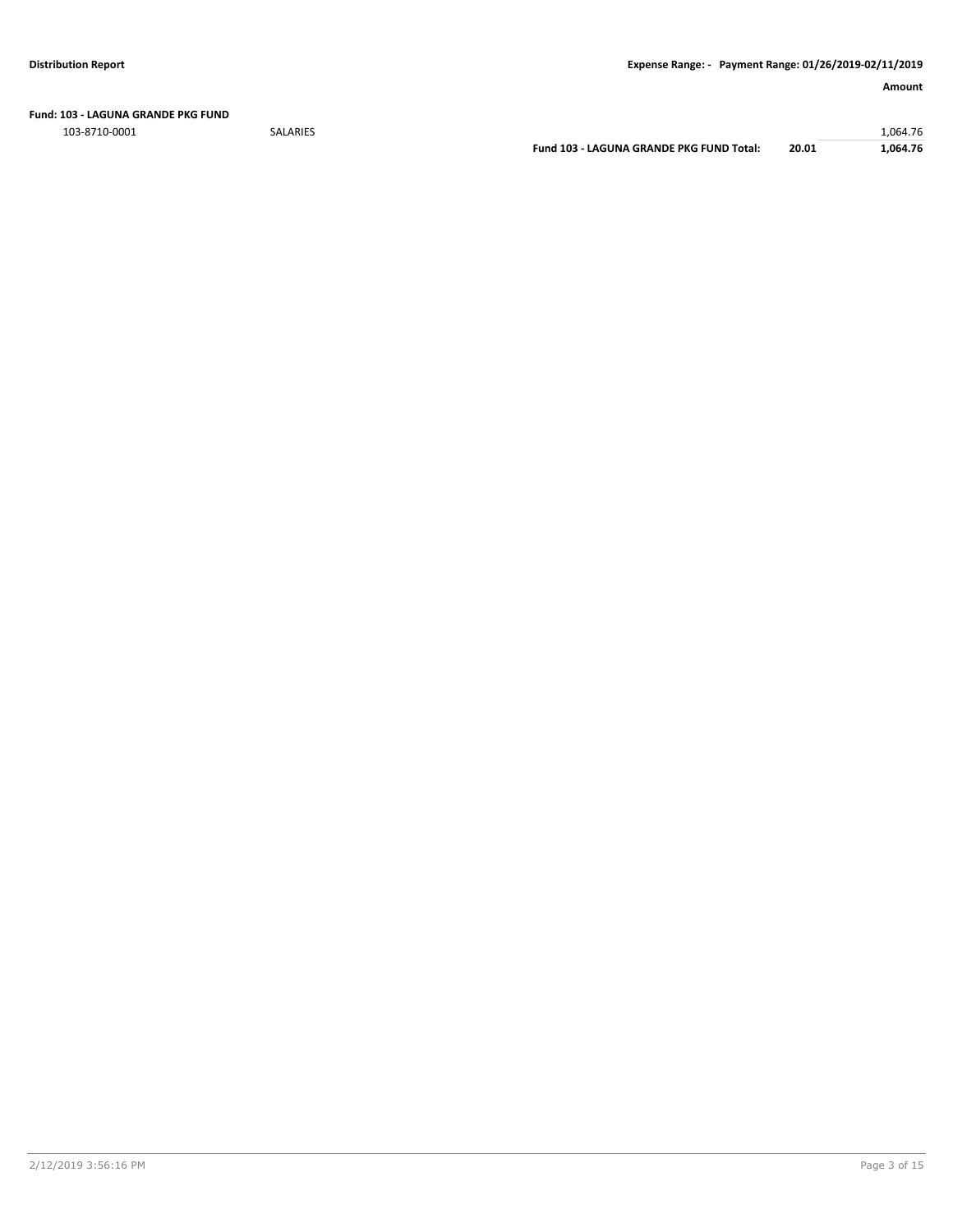**Fund: 103 - LAGUNA GRANDE PKG FUND**

103-8710-0001 SALARIES 1,064.76

**Fund 103 - LAGUNA GRANDE PKG FUND Total: 20.01 1,064.76**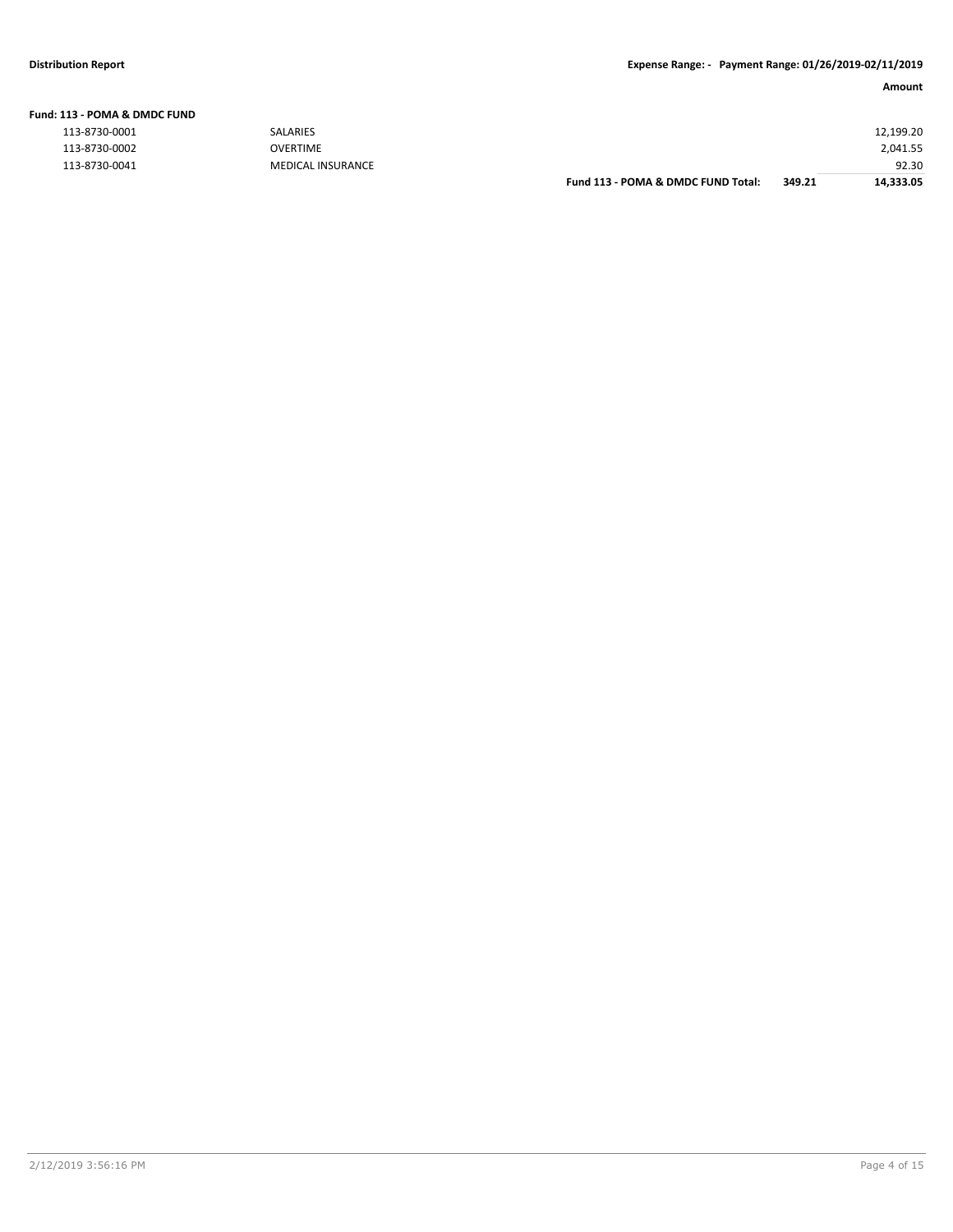| L13 - POMA & DMDC FUND |                   |                                    |        |           |
|------------------------|-------------------|------------------------------------|--------|-----------|
| 113-8730-0001          | SALARIES          |                                    |        | 12,199.20 |
| 113-8730-0002          | <b>OVERTIME</b>   |                                    |        | 2,041.55  |
| 113-8730-0041          | MEDICAL INSURANCE |                                    |        | 92.30     |
|                        |                   | Fund 113 - POMA & DMDC FUND Total: | 349.21 | 14,333.05 |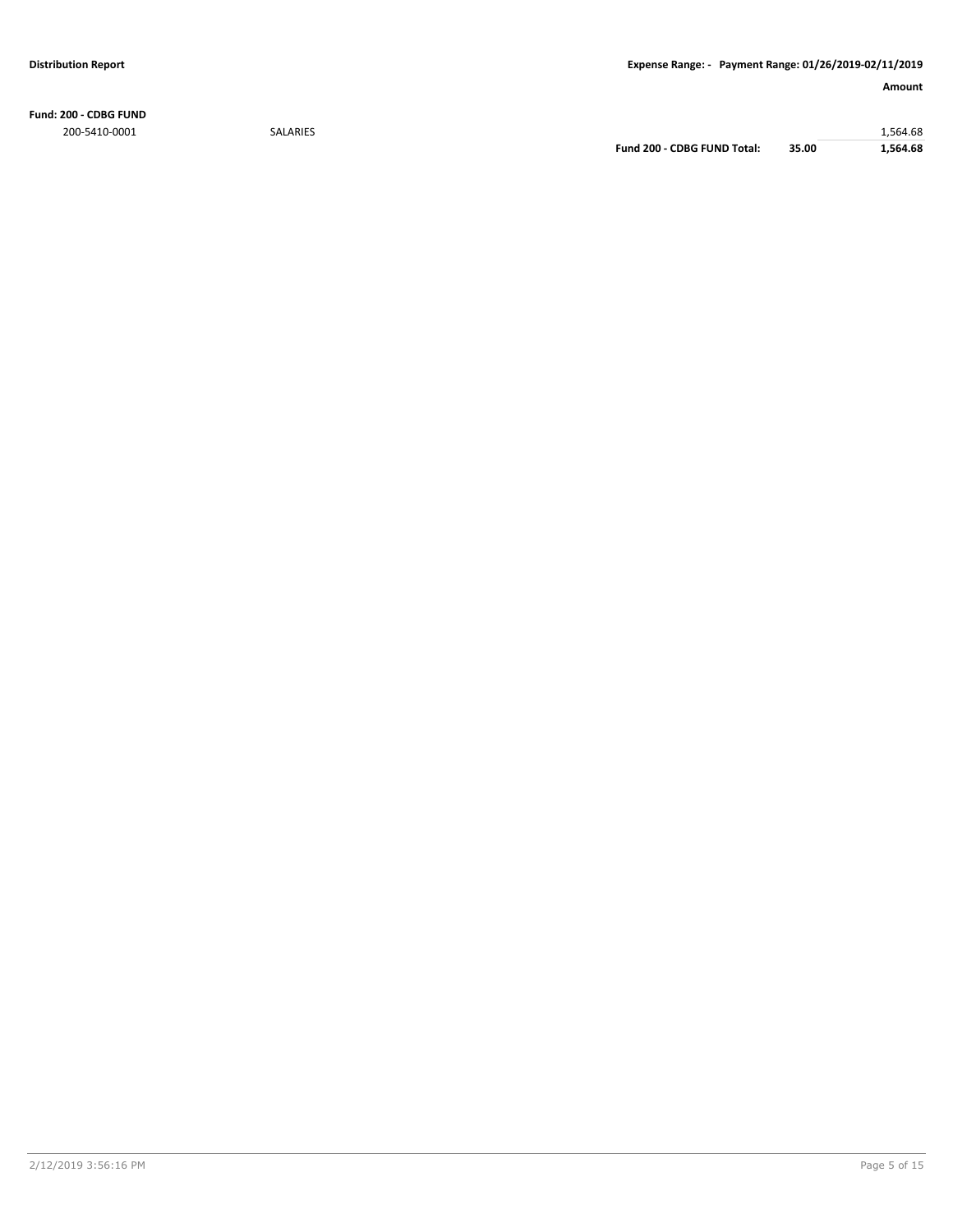**Fund: 200 - CDBG FUND** 200-5410-0001 SALARIES 1,564.68

**Fund 200 - CDBG FUND Total: 35.00 1,564.68**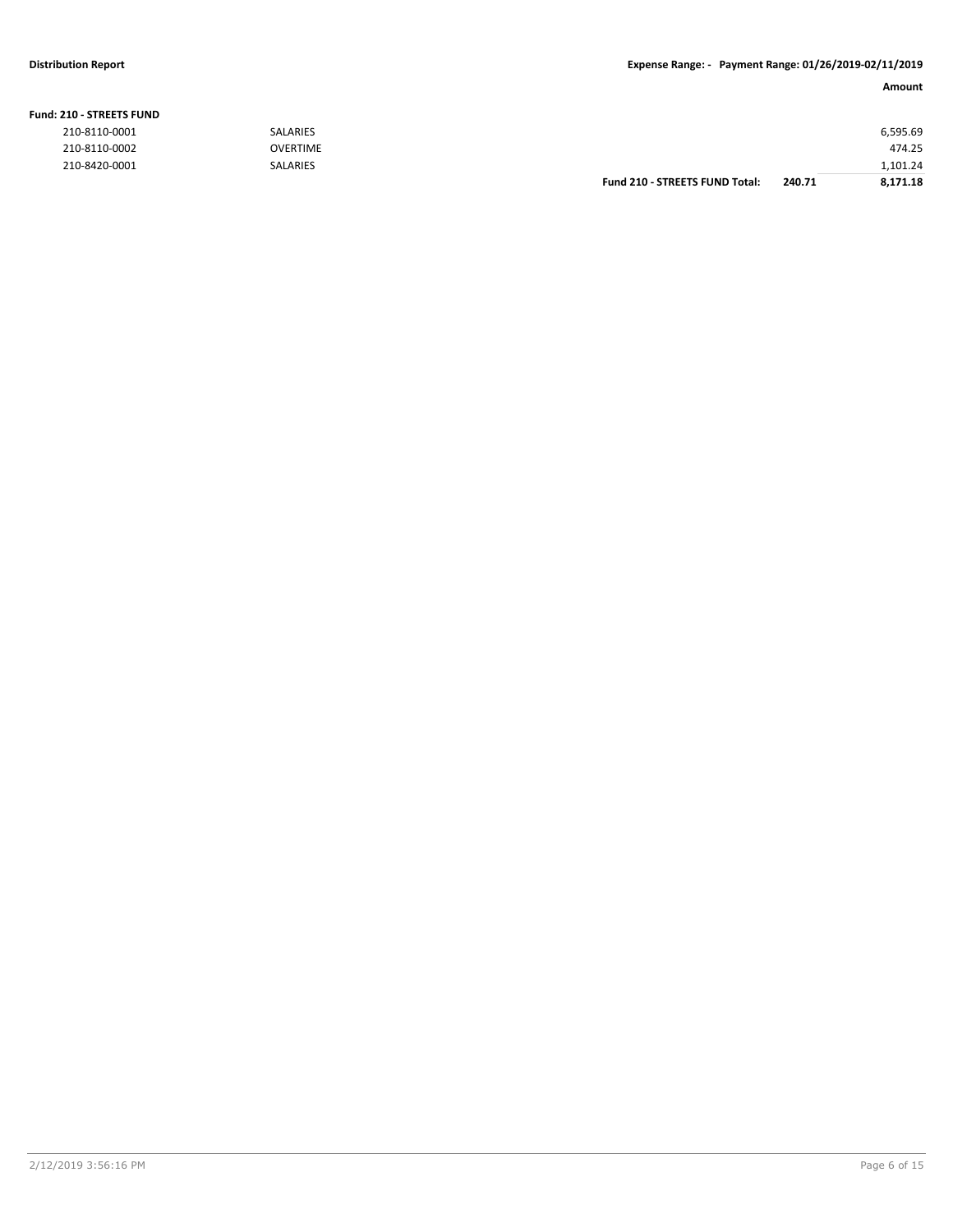### **Fund: 210 - STREETS FUND**

| 210-8110-0001 | <b>SALARIES</b> |                                       |        | 6,595.69 |
|---------------|-----------------|---------------------------------------|--------|----------|
| 210-8110-0002 | <b>OVERTIME</b> |                                       |        | 474.25   |
| 210-8420-0001 | <b>SALARIES</b> |                                       |        | 1,101.24 |
|               |                 | <b>Fund 210 - STREETS FUND Total:</b> | 240.71 | 8,171.18 |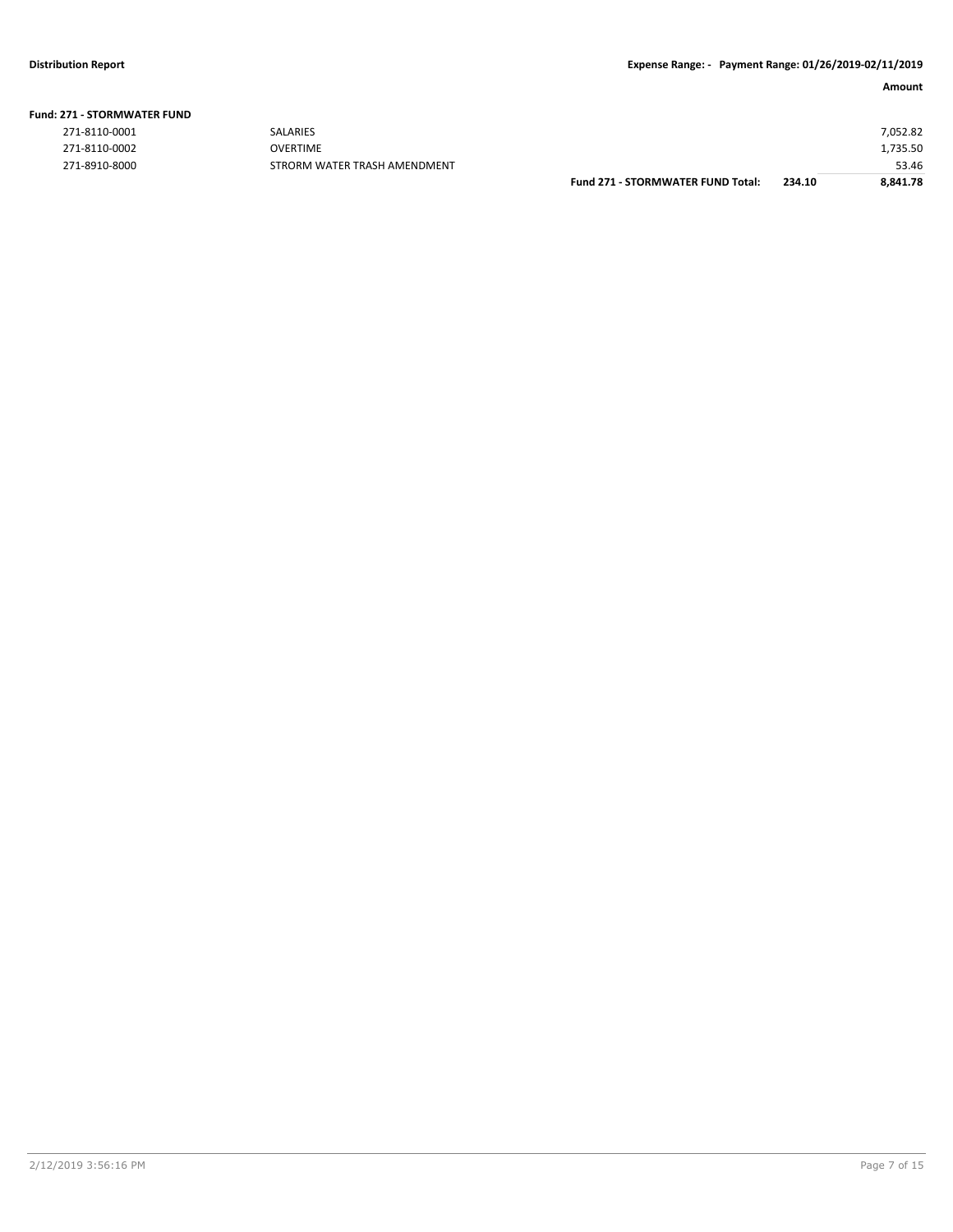| <b>Fund: 271 - STORMWATER FUND</b> |  |
|------------------------------------|--|
|------------------------------------|--|

| 271-8110-0001 |
|---------------|
| 271-8110-0002 |
| 271-8010-8000 |

|               |                              | <b>Fund 271 - STORMWATER FUND Total:</b> | 234.10 | 8.841.78 |
|---------------|------------------------------|------------------------------------------|--------|----------|
| 271-8910-8000 | STRORM WATER TRASH AMENDMENT |                                          |        | 53.46    |
| 271-8110-0002 | OVERTIME                     |                                          |        | 1,735.50 |
| 271-8110-0001 | <b>SALARIES</b>              |                                          |        | 7,052.82 |
|               |                              |                                          |        |          |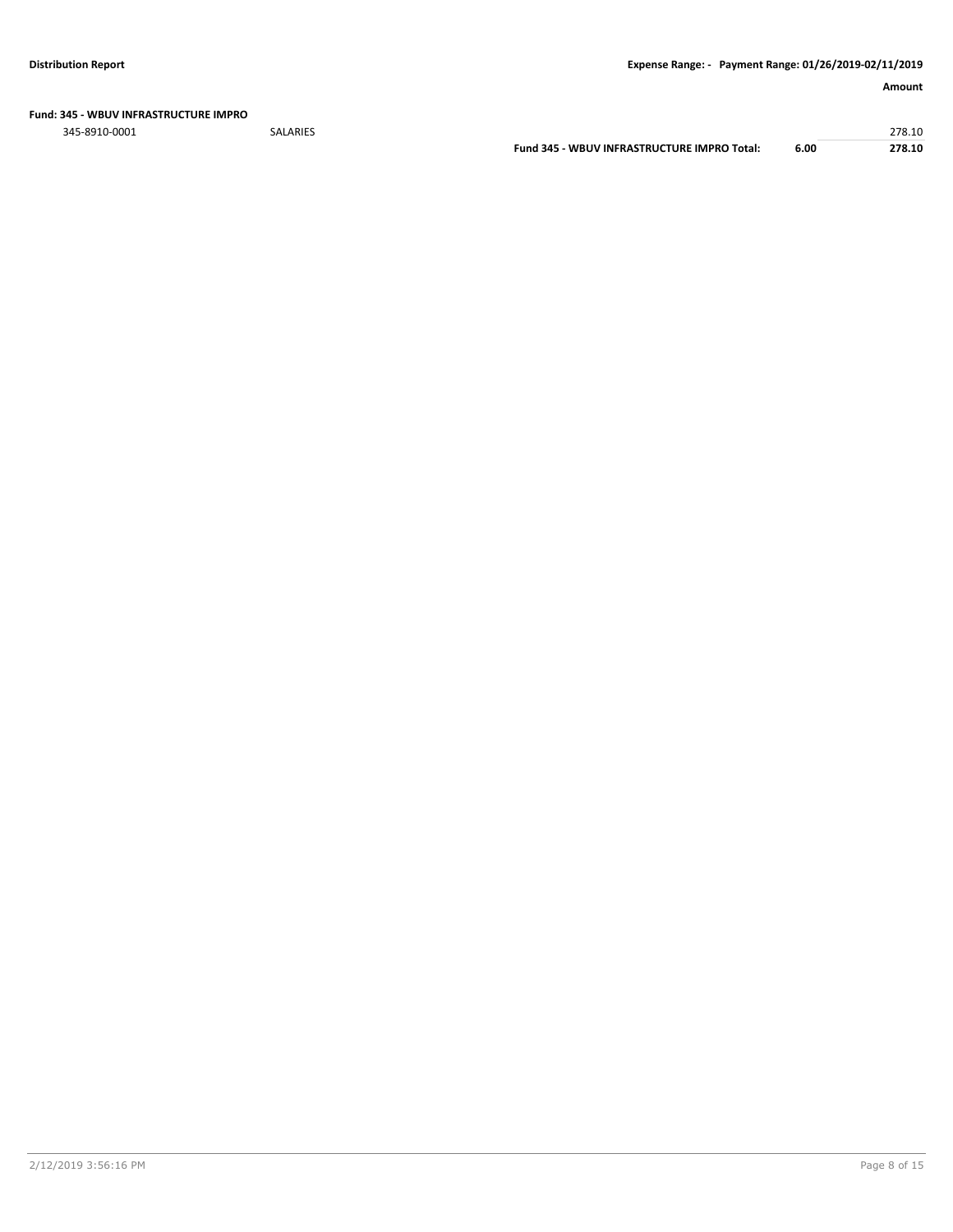**Fund: 345 - WBUV INFRASTRUCTURE IMPRO**

345-8910-0001 SALARIES 278.10

**Fund 345 - WBUV INFRASTRUCTURE IMPRO Total: 6.00 278.10**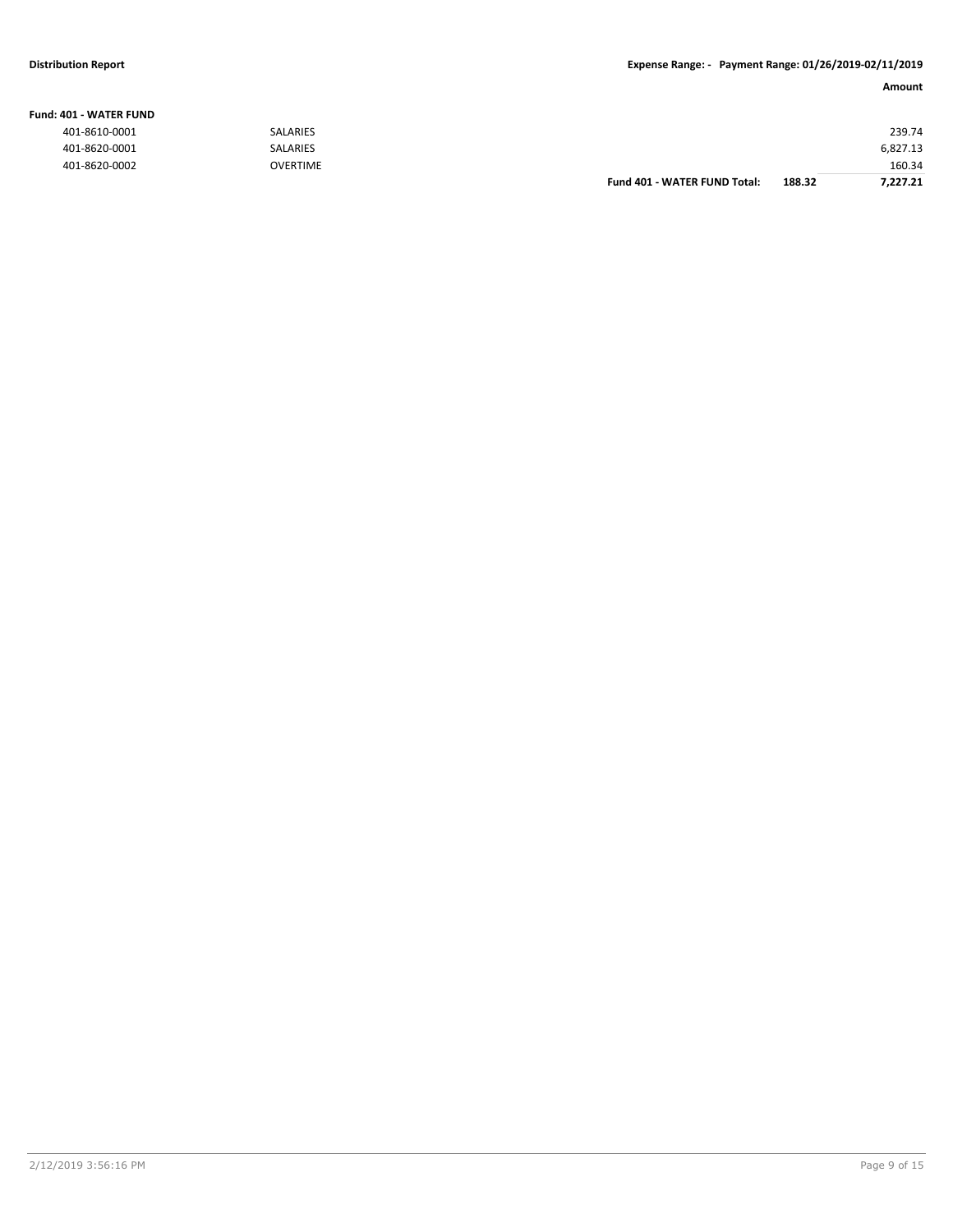### **Fund: 401 - WATER FUND**

**Amount**

| ------------- |                 |                              |        |          |
|---------------|-----------------|------------------------------|--------|----------|
| 401-8610-0001 | <b>SALARIES</b> |                              |        | 239.74   |
| 401-8620-0001 | <b>SALARIES</b> |                              |        | 6,827.13 |
| 401-8620-0002 | <b>OVERTIME</b> |                              |        | 160.34   |
|               |                 | Fund 401 - WATER FUND Total: | 188.32 | 7,227.21 |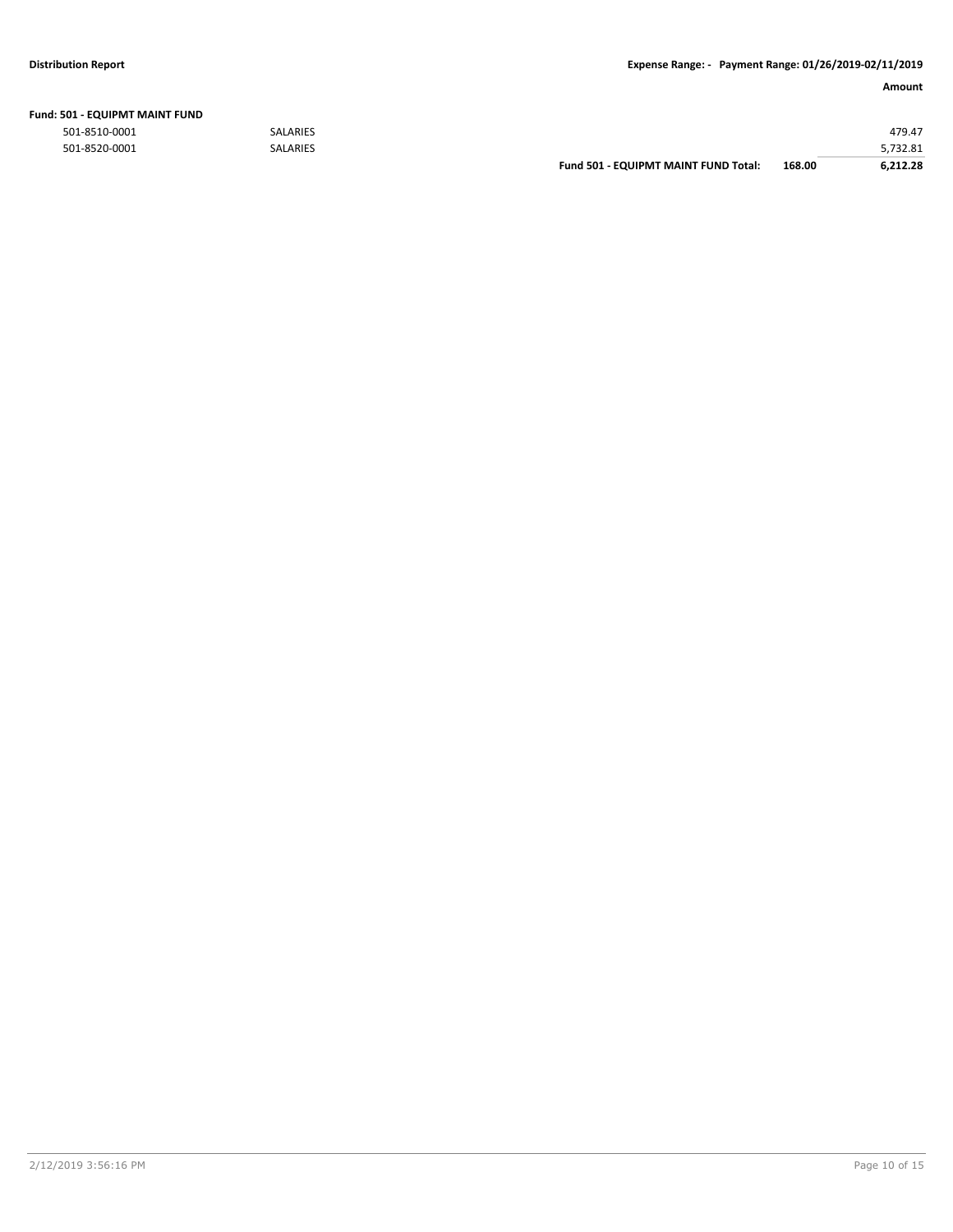| Fund: 501 - EQUIPMT MAINT FUND |  |
|--------------------------------|--|
|--------------------------------|--|

|               |                 | <b>Fund 501 - EQUIPMT MAINT FUND Total:</b> | 168.00 | 6.212.28 |
|---------------|-----------------|---------------------------------------------|--------|----------|
| 501-8520-0001 | <b>SALARIES</b> |                                             |        | 5,732.81 |
| 501-8510-0001 | <b>SALARIES</b> |                                             |        | 479.47   |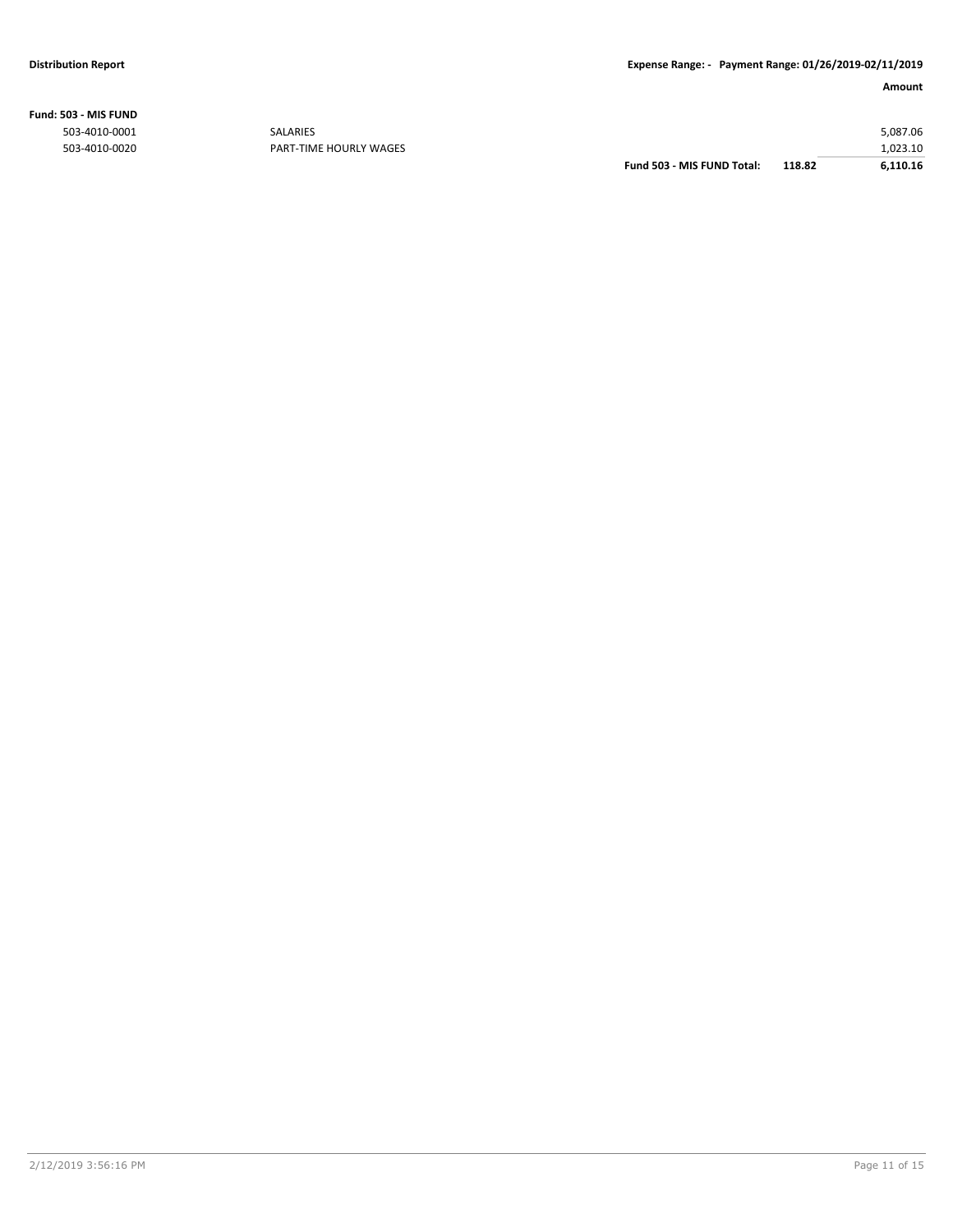**Fund: 503 - MIS FUND**

|               |                        | Fund 503 - MIS FUND Total: | 118.82 | 6,110.16 |
|---------------|------------------------|----------------------------|--------|----------|
| 503-4010-0020 | PART-TIME HOURLY WAGES |                            |        | 1.023.10 |
| 503-4010-0001 | <b>SALARIES</b>        |                            |        | 5,087.06 |
|               |                        |                            |        |          |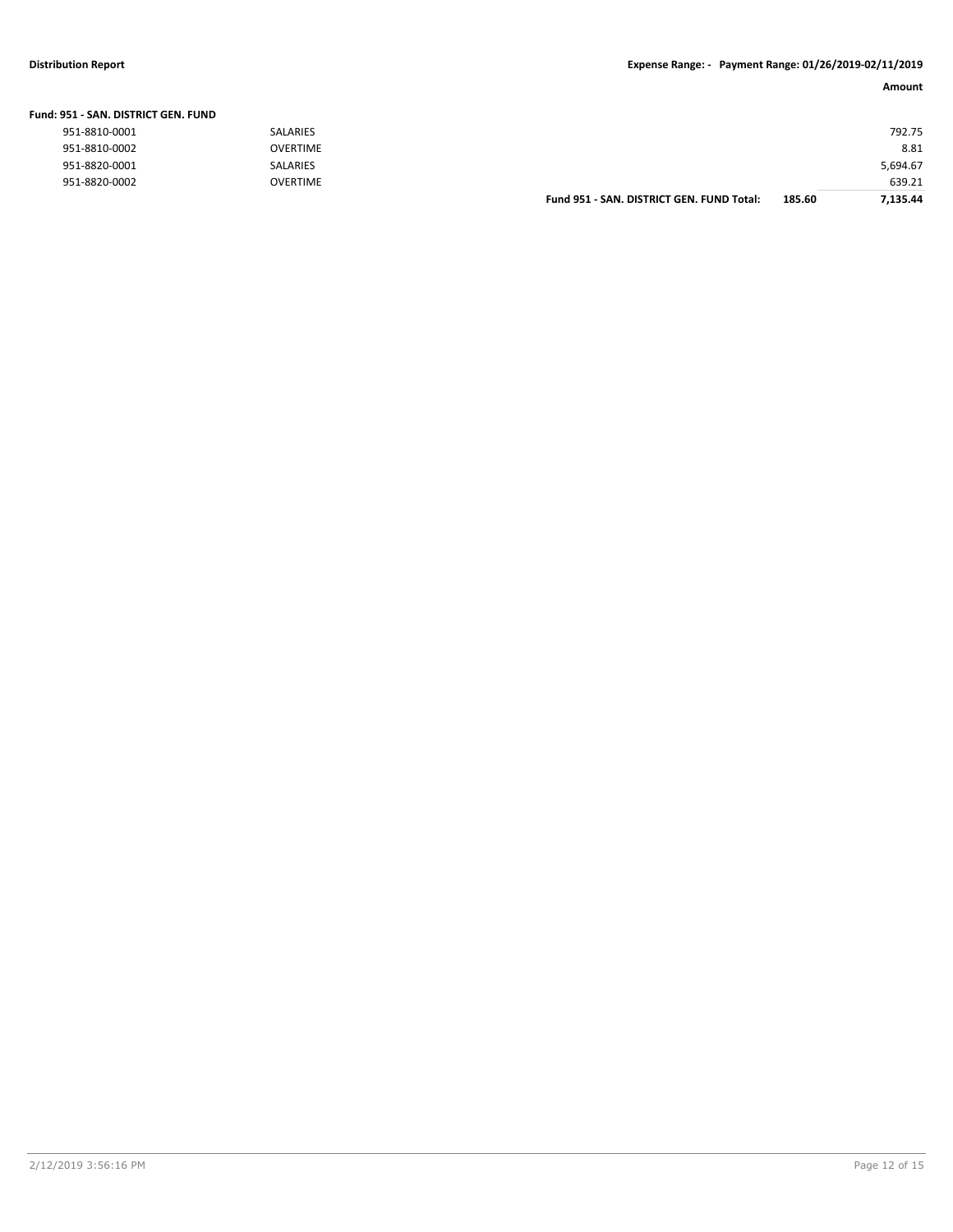### **Distribution Report Expense Range: - Payment Range: 01/26/2019-02/11/2019**

| Amount |
|--------|
|        |

| Fund: 951 - SAN. DISTRICT GEN. FUND |                 |                                           |        |          |
|-------------------------------------|-----------------|-------------------------------------------|--------|----------|
| 951-8810-0001                       | <b>SALARIES</b> |                                           |        | 792.75   |
| 951-8810-0002                       | <b>OVERTIME</b> |                                           |        | 8.81     |
| 951-8820-0001                       | SALARIES        |                                           |        | 5,694.67 |
| 951-8820-0002                       | <b>OVERTIME</b> |                                           |        | 639.21   |
|                                     |                 | Fund 951 - SAN, DISTRICT GEN, FUND Total: | 185.60 | 7.135.44 |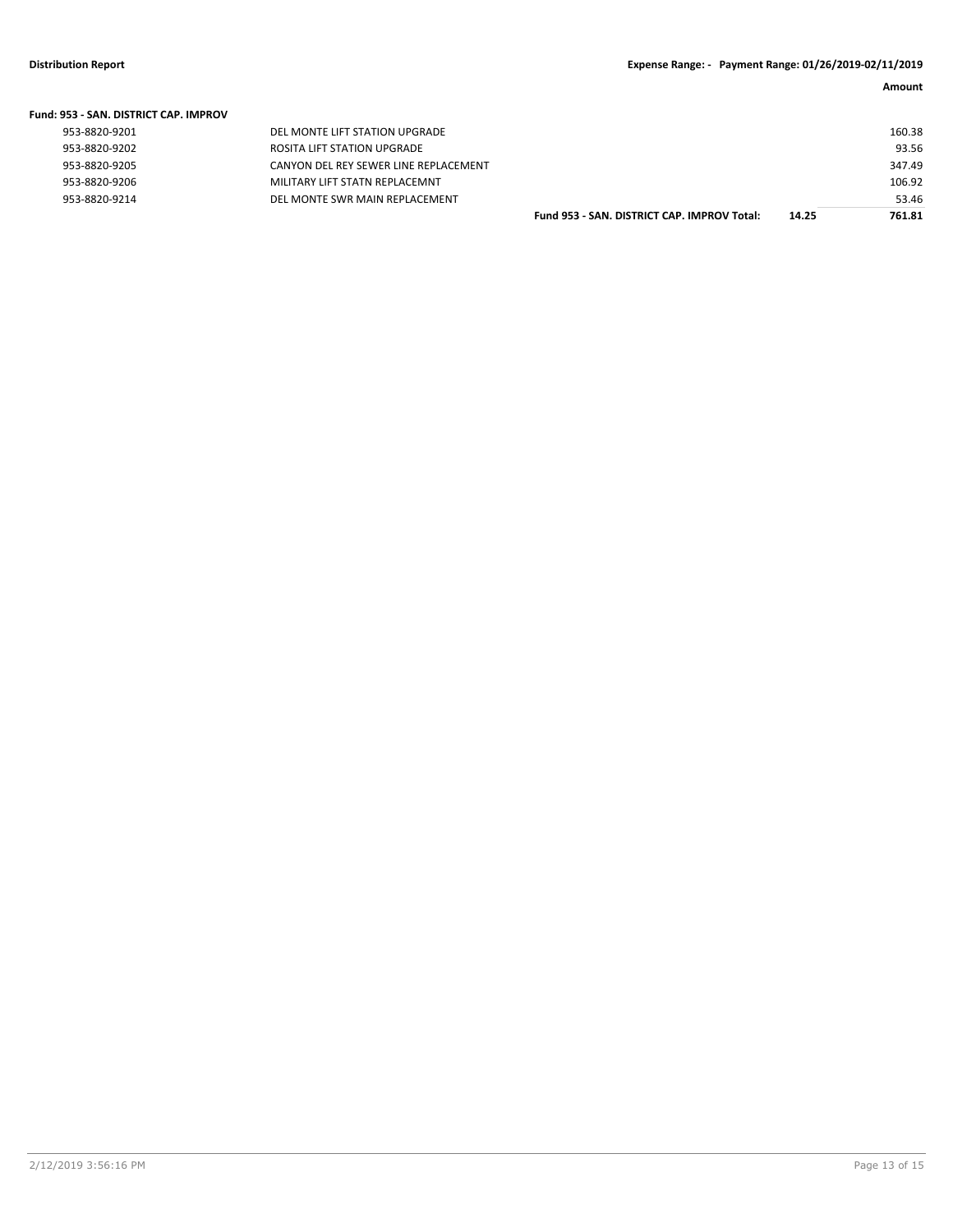| <b>Fund: 953 - SAN, DISTRICT CAP, IMPROV</b> |                                       |                                             |       |        |
|----------------------------------------------|---------------------------------------|---------------------------------------------|-------|--------|
| 953-8820-9201                                | DEL MONTE LIFT STATION UPGRADE        |                                             |       | 160.38 |
| 953-8820-9202                                | ROSITA LIFT STATION UPGRADE           |                                             |       | 93.56  |
| 953-8820-9205                                | CANYON DEL REY SEWER LINE REPLACEMENT |                                             |       | 347.49 |
| 953-8820-9206                                | MILITARY LIFT STATN REPLACEMNT        |                                             |       | 106.92 |
| 953-8820-9214                                | DEL MONTE SWR MAIN REPLACEMENT        |                                             |       | 53.46  |
|                                              |                                       | Fund 953 - SAN, DISTRICT CAP, IMPROV Total: | 14.25 | 761.81 |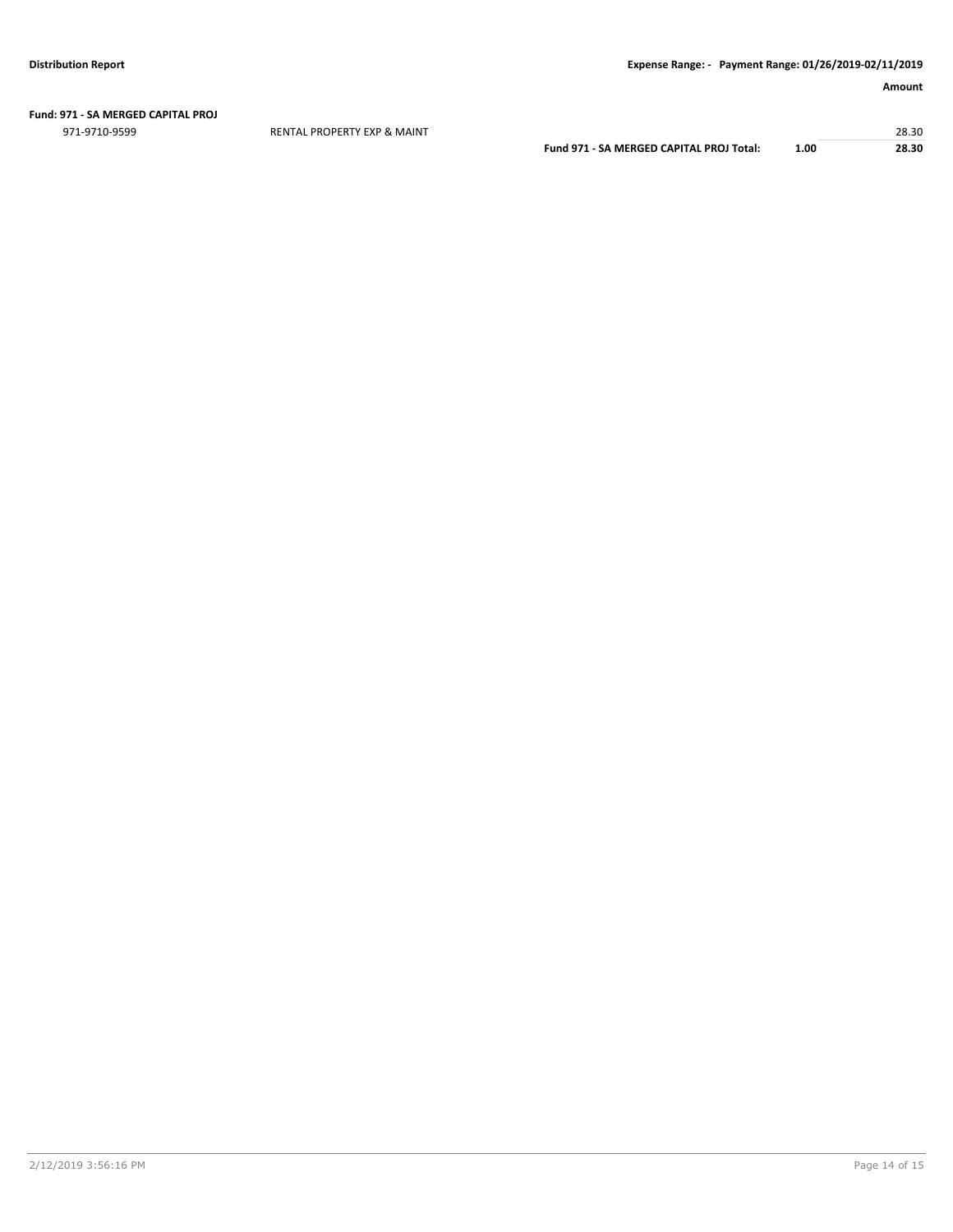### **Fund: 971 - SA MERGED CAPITAL PROJ**

971-9710-9599 RENTAL PROPERTY EXP & MAINT 28.30

**Fund 971 - SA MERGED CAPITAL PROJ Total: 1.00 28.30**